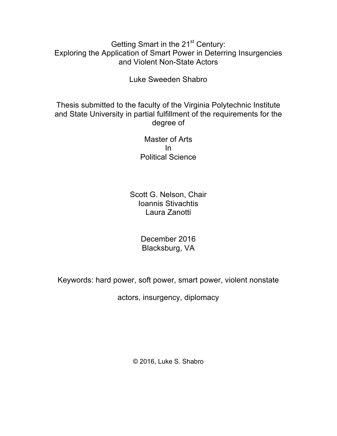## Getting Smart in the 21<sup>st</sup> Century: Exploring the Application of Smart Power in Deterring Insurgencies and Violent Non-State Actors

Luke Sweeden Shabro

Thesis submitted to the faculty of the Virginia Polytechnic Institute and State University in partial fulfillment of the requirements for the degree of

> Master of Arts In Political Science

Scott G. Nelson, Chair Ioannis Stivachtis Laura Zanotti

> December 2016 Blacksburg, VA

Keywords: hard power, soft power, smart power, violent nonstate

actors, insurgency, diplomacy

© 2016, Luke S. Shabro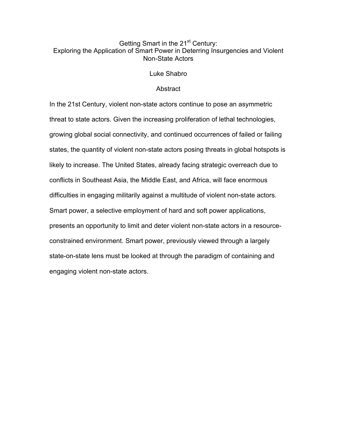## Getting Smart in the 21<sup>st</sup> Century: Exploring the Application of Smart Power in Deterring Insurgencies and Violent Non-State Actors

Luke Shabro

#### **Abstract**

In the 21st Century, violent non-state actors continue to pose an asymmetric threat to state actors. Given the increasing proliferation of lethal technologies, growing global social connectivity, and continued occurrences of failed or failing states, the quantity of violent non-state actors posing threats in global hotspots is likely to increase. The United States, already facing strategic overreach due to conflicts in Southeast Asia, the Middle East, and Africa, will face enormous difficulties in engaging militarily against a multitude of violent non-state actors. Smart power, a selective employment of hard and soft power applications, presents an opportunity to limit and deter violent non-state actors in a resourceconstrained environment. Smart power, previously viewed through a largely state-on-state lens must be looked at through the paradigm of containing and engaging violent non-state actors.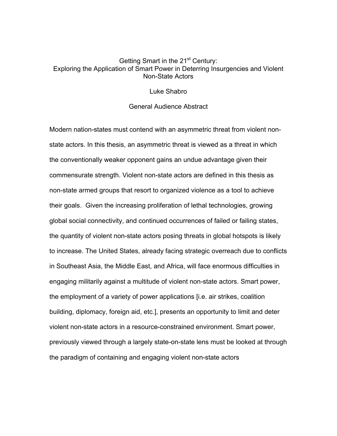## Getting Smart in the 21<sup>st</sup> Century: Exploring the Application of Smart Power in Deterring Insurgencies and Violent Non-State Actors

#### Luke Shabro

#### General Audience Abstract

Modern nation-states must contend with an asymmetric threat from violent nonstate actors. In this thesis, an asymmetric threat is viewed as a threat in which the conventionally weaker opponent gains an undue advantage given their commensurate strength. Violent non-state actors are defined in this thesis as non-state armed groups that resort to organized violence as a tool to achieve their goals. Given the increasing proliferation of lethal technologies, growing global social connectivity, and continued occurrences of failed or failing states, the quantity of violent non-state actors posing threats in global hotspots is likely to increase. The United States, already facing strategic overreach due to conflicts in Southeast Asia, the Middle East, and Africa, will face enormous difficulties in engaging militarily against a multitude of violent non-state actors. Smart power, the employment of a variety of power applications [i.e. air strikes, coalition building, diplomacy, foreign aid, etc.], presents an opportunity to limit and deter violent non-state actors in a resource-constrained environment. Smart power, previously viewed through a largely state-on-state lens must be looked at through the paradigm of containing and engaging violent non-state actors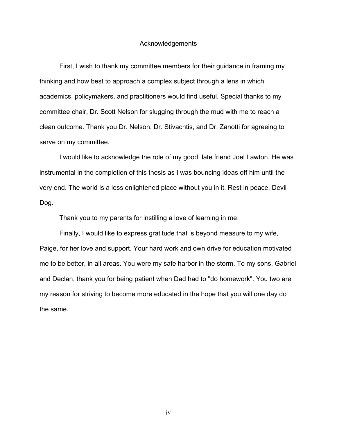#### Acknowledgements

First, I wish to thank my committee members for their guidance in framing my thinking and how best to approach a complex subject through a lens in which academics, policymakers, and practitioners would find useful. Special thanks to my committee chair, Dr. Scott Nelson for slugging through the mud with me to reach a clean outcome. Thank you Dr. Nelson, Dr. Stivachtis, and Dr. Zanotti for agreeing to serve on my committee.

I would like to acknowledge the role of my good, late friend Joel Lawton. He was instrumental in the completion of this thesis as I was bouncing ideas off him until the very end. The world is a less enlightened place without you in it. Rest in peace, Devil Dog.

Thank you to my parents for instilling a love of learning in me.

Finally, I would like to express gratitude that is beyond measure to my wife, Paige, for her love and support. Your hard work and own drive for education motivated me to be better, in all areas. You were my safe harbor in the storm. To my sons, Gabriel and Declan, thank you for being patient when Dad had to "do homework". You two are my reason for striving to become more educated in the hope that you will one day do the same.

iv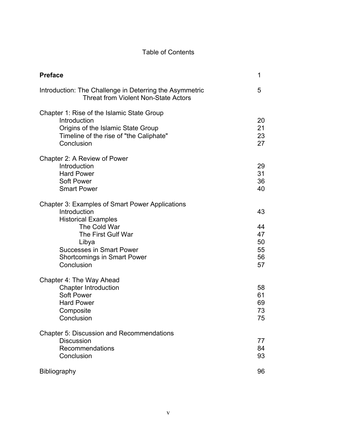## Table of Contents

| <b>Preface</b>                                                                                                                                                                                                                             | 1                                      |
|--------------------------------------------------------------------------------------------------------------------------------------------------------------------------------------------------------------------------------------------|----------------------------------------|
| Introduction: The Challenge in Deterring the Asymmetric<br><b>Threat from Violent Non-State Actors</b>                                                                                                                                     | 5                                      |
| Chapter 1: Rise of the Islamic State Group<br>Introduction<br>Origins of the Islamic State Group<br>Timeline of the rise of "the Caliphate"<br>Conclusion                                                                                  | 20<br>21<br>23<br>27                   |
| Chapter 2: A Review of Power<br>Introduction<br><b>Hard Power</b><br>Soft Power<br><b>Smart Power</b>                                                                                                                                      | 29<br>31<br>36<br>40                   |
| <b>Chapter 3: Examples of Smart Power Applications</b><br>Introduction<br><b>Historical Examples</b><br>The Cold War<br>The First Gulf War<br>Libya<br><b>Successes in Smart Power</b><br><b>Shortcomings in Smart Power</b><br>Conclusion | 43<br>44<br>47<br>50<br>55<br>56<br>57 |
| Chapter 4: The Way Ahead<br><b>Chapter Introduction</b><br><b>Soft Power</b><br><b>Hard Power</b><br>Composite<br>Conclusion                                                                                                               | 58<br>61<br>69<br>73<br>75             |
| <b>Chapter 5: Discussion and Recommendations</b><br><b>Discussion</b><br>Recommendations<br>Conclusion                                                                                                                                     | 77<br>84<br>93                         |
| Bibliography                                                                                                                                                                                                                               | 96                                     |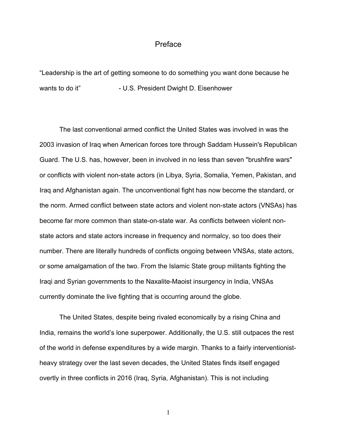## Preface

"Leadership is the art of getting someone to do something you want done because he wants to do it" - U.S. President Dwight D. Eisenhower

The last conventional armed conflict the United States was involved in was the 2003 invasion of Iraq when American forces tore through Saddam Hussein's Republican Guard. The U.S. has, however, been in involved in no less than seven "brushfire wars" or conflicts with violent non-state actors (in Libya, Syria, Somalia, Yemen, Pakistan, and Iraq and Afghanistan again. The unconventional fight has now become the standard, or the norm. Armed conflict between state actors and violent non-state actors (VNSAs) has become far more common than state-on-state war. As conflicts between violent nonstate actors and state actors increase in frequency and normalcy, so too does their number. There are literally hundreds of conflicts ongoing between VNSAs, state actors, or some amalgamation of the two. From the Islamic State group militants fighting the Iraqi and Syrian governments to the Naxalite-Maoist insurgency in India, VNSAs currently dominate the live fighting that is occurring around the globe.

The United States, despite being rivaled economically by a rising China and India, remains the world's lone superpower. Additionally, the U.S. still outpaces the rest of the world in defense expenditures by a wide margin. Thanks to a fairly interventionistheavy strategy over the last seven decades, the United States finds itself engaged overtly in three conflicts in 2016 (Iraq, Syria, Afghanistan). This is not including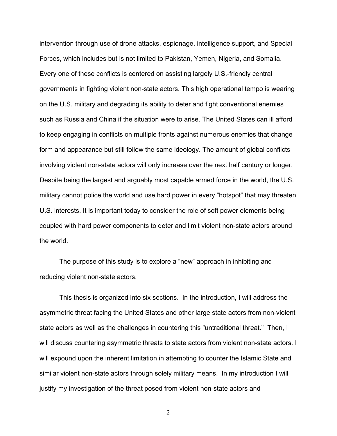intervention through use of drone attacks, espionage, intelligence support, and Special Forces, which includes but is not limited to Pakistan, Yemen, Nigeria, and Somalia. Every one of these conflicts is centered on assisting largely U.S.-friendly central governments in fighting violent non-state actors. This high operational tempo is wearing on the U.S. military and degrading its ability to deter and fight conventional enemies such as Russia and China if the situation were to arise. The United States can ill afford to keep engaging in conflicts on multiple fronts against numerous enemies that change form and appearance but still follow the same ideology. The amount of global conflicts involving violent non-state actors will only increase over the next half century or longer. Despite being the largest and arguably most capable armed force in the world, the U.S. military cannot police the world and use hard power in every "hotspot" that may threaten U.S. interests. It is important today to consider the role of soft power elements being coupled with hard power components to deter and limit violent non-state actors around the world.

The purpose of this study is to explore a "new" approach in inhibiting and reducing violent non-state actors.

This thesis is organized into six sections. In the introduction, I will address the asymmetric threat facing the United States and other large state actors from non-violent state actors as well as the challenges in countering this "untraditional threat." Then, I will discuss countering asymmetric threats to state actors from violent non-state actors. I will expound upon the inherent limitation in attempting to counter the Islamic State and similar violent non-state actors through solely military means. In my introduction I will justify my investigation of the threat posed from violent non-state actors and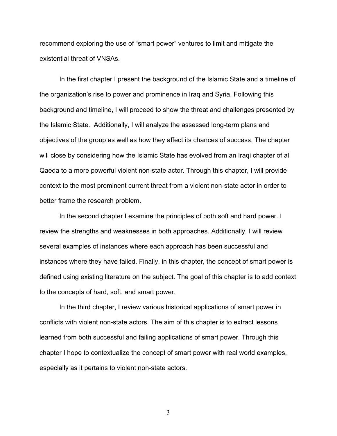recommend exploring the use of "smart power" ventures to limit and mitigate the existential threat of VNSAs.

In the first chapter I present the background of the Islamic State and a timeline of the organization's rise to power and prominence in Iraq and Syria. Following this background and timeline, I will proceed to show the threat and challenges presented by the Islamic State. Additionally, I will analyze the assessed long-term plans and objectives of the group as well as how they affect its chances of success. The chapter will close by considering how the Islamic State has evolved from an Iraqi chapter of al Qaeda to a more powerful violent non-state actor. Through this chapter, I will provide context to the most prominent current threat from a violent non-state actor in order to better frame the research problem.

In the second chapter I examine the principles of both soft and hard power. I review the strengths and weaknesses in both approaches. Additionally, I will review several examples of instances where each approach has been successful and instances where they have failed. Finally, in this chapter, the concept of smart power is defined using existing literature on the subject. The goal of this chapter is to add context to the concepts of hard, soft, and smart power.

In the third chapter, I review various historical applications of smart power in conflicts with violent non-state actors. The aim of this chapter is to extract lessons learned from both successful and failing applications of smart power. Through this chapter I hope to contextualize the concept of smart power with real world examples, especially as it pertains to violent non-state actors.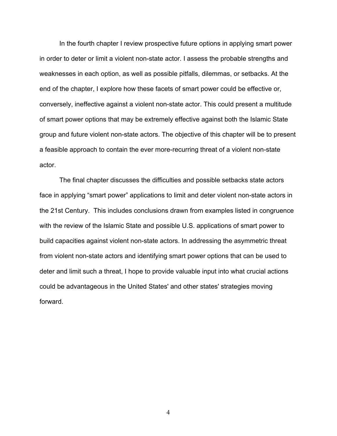In the fourth chapter I review prospective future options in applying smart power in order to deter or limit a violent non-state actor. I assess the probable strengths and weaknesses in each option, as well as possible pitfalls, dilemmas, or setbacks. At the end of the chapter, I explore how these facets of smart power could be effective or, conversely, ineffective against a violent non-state actor. This could present a multitude of smart power options that may be extremely effective against both the Islamic State group and future violent non-state actors. The objective of this chapter will be to present a feasible approach to contain the ever more-recurring threat of a violent non-state actor.

The final chapter discusses the difficulties and possible setbacks state actors face in applying "smart power" applications to limit and deter violent non-state actors in the 21st Century. This includes conclusions drawn from examples listed in congruence with the review of the Islamic State and possible U.S. applications of smart power to build capacities against violent non-state actors. In addressing the asymmetric threat from violent non-state actors and identifying smart power options that can be used to deter and limit such a threat, I hope to provide valuable input into what crucial actions could be advantageous in the United States' and other states' strategies moving forward.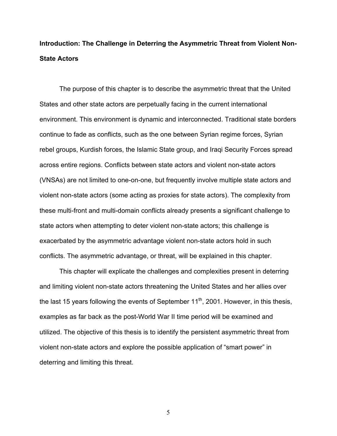# **Introduction: The Challenge in Deterring the Asymmetric Threat from Violent Non-State Actors**

The purpose of this chapter is to describe the asymmetric threat that the United States and other state actors are perpetually facing in the current international environment. This environment is dynamic and interconnected. Traditional state borders continue to fade as conflicts, such as the one between Syrian regime forces, Syrian rebel groups, Kurdish forces, the Islamic State group, and Iraqi Security Forces spread across entire regions. Conflicts between state actors and violent non-state actors (VNSAs) are not limited to one-on-one, but frequently involve multiple state actors and violent non-state actors (some acting as proxies for state actors). The complexity from these multi-front and multi-domain conflicts already presents a significant challenge to state actors when attempting to deter violent non-state actors; this challenge is exacerbated by the asymmetric advantage violent non-state actors hold in such conflicts. The asymmetric advantage, or threat, will be explained in this chapter.

This chapter will explicate the challenges and complexities present in deterring and limiting violent non-state actors threatening the United States and her allies over the last 15 years following the events of September  $11<sup>th</sup>$ , 2001. However, in this thesis, examples as far back as the post-World War II time period will be examined and utilized. The objective of this thesis is to identify the persistent asymmetric threat from violent non-state actors and explore the possible application of "smart power" in deterring and limiting this threat.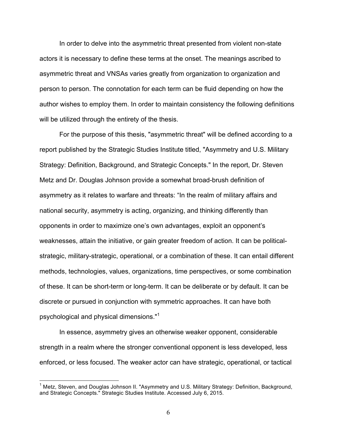In order to delve into the asymmetric threat presented from violent non-state actors it is necessary to define these terms at the onset. The meanings ascribed to asymmetric threat and VNSAs varies greatly from organization to organization and person to person. The connotation for each term can be fluid depending on how the author wishes to employ them. In order to maintain consistency the following definitions will be utilized through the entirety of the thesis.

For the purpose of this thesis, "asymmetric threat" will be defined according to a report published by the Strategic Studies Institute titled, "Asymmetry and U.S. Military Strategy: Definition, Background, and Strategic Concepts." In the report, Dr. Steven Metz and Dr. Douglas Johnson provide a somewhat broad-brush definition of asymmetry as it relates to warfare and threats: "In the realm of military affairs and national security, asymmetry is acting, organizing, and thinking differently than opponents in order to maximize one's own advantages, exploit an opponent's weaknesses, attain the initiative, or gain greater freedom of action. It can be politicalstrategic, military-strategic, operational, or a combination of these. It can entail different methods, technologies, values, organizations, time perspectives, or some combination of these. It can be short-term or long-term. It can be deliberate or by default. It can be discrete or pursued in conjunction with symmetric approaches. It can have both psychological and physical dimensions."<sup>1</sup>

In essence, asymmetry gives an otherwise weaker opponent, considerable strength in a realm where the stronger conventional opponent is less developed, less enforced, or less focused. The weaker actor can have strategic, operational, or tactical

 $1$  Metz, Steven, and Douglas Johnson II. "Asymmetry and U.S. Military Strategy: Definition, Background, and Strategic Concepts." Strategic Studies Institute. Accessed July 6, 2015.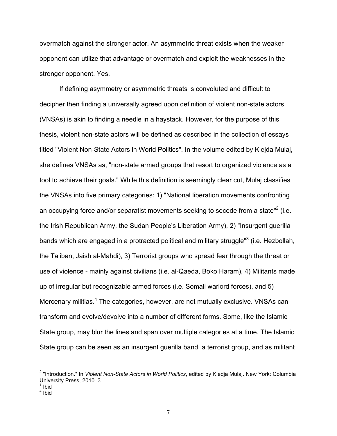overmatch against the stronger actor. An asymmetric threat exists when the weaker opponent can utilize that advantage or overmatch and exploit the weaknesses in the stronger opponent. Yes.

If defining asymmetry or asymmetric threats is convoluted and difficult to decipher then finding a universally agreed upon definition of violent non-state actors (VNSAs) is akin to finding a needle in a haystack. However, for the purpose of this thesis, violent non-state actors will be defined as described in the collection of essays titled "Violent Non-State Actors in World Politics". In the volume edited by Klejda Mulaj, she defines VNSAs as, "non-state armed groups that resort to organized violence as a tool to achieve their goals." While this definition is seemingly clear cut, Mulaj classifies the VNSAs into five primary categories: 1) "National liberation movements confronting an occupying force and/or separatist movements seeking to secede from a state $n^2$  (i.e. the Irish Republican Army, the Sudan People's Liberation Army), 2) "Insurgent guerilla bands which are engaged in a protracted political and military struggle<sup>"3</sup> (i.e. Hezbollah, the Taliban, Jaish al-Mahdi), 3) Terrorist groups who spread fear through the threat or use of violence - mainly against civilians (i.e. al-Qaeda, Boko Haram), 4) Militants made up of irregular but recognizable armed forces (i.e. Somali warlord forces), and 5) Mercenary militias.<sup>4</sup> The categories, however, are not mutually exclusive. VNSAs can transform and evolve/devolve into a number of different forms. Some, like the Islamic State group, may blur the lines and span over multiple categories at a time. The Islamic State group can be seen as an insurgent guerilla band, a terrorist group, and as militant

<sup>2</sup> "Introduction." In *Violent Non-State Actors in World Politics*, edited by Kledja Mulaj. New York: Columbia University Press, 2010. 3.

 $3$  Ibid

 $4$  Ibid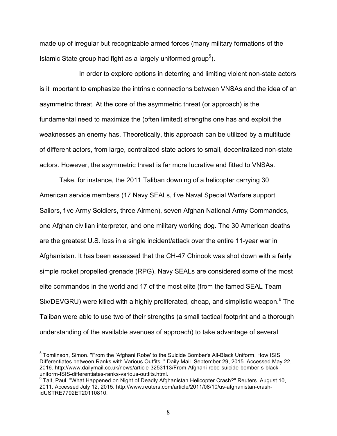made up of irregular but recognizable armed forces (many military formations of the Islamic State group had fight as a largely uniformed group<sup>5</sup>).

In order to explore options in deterring and limiting violent non-state actors is it important to emphasize the intrinsic connections between VNSAs and the idea of an asymmetric threat. At the core of the asymmetric threat (or approach) is the fundamental need to maximize the (often limited) strengths one has and exploit the weaknesses an enemy has. Theoretically, this approach can be utilized by a multitude of different actors, from large, centralized state actors to small, decentralized non-state actors. However, the asymmetric threat is far more lucrative and fitted to VNSAs.

Take, for instance, the 2011 Taliban downing of a helicopter carrying 30 American service members (17 Navy SEALs, five Naval Special Warfare support Sailors, five Army Soldiers, three Airmen), seven Afghan National Army Commandos, one Afghan civilian interpreter, and one military working dog. The 30 American deaths are the greatest U.S. loss in a single incident/attack over the entire 11-year war in Afghanistan. It has been assessed that the CH-47 Chinook was shot down with a fairly simple rocket propelled grenade (RPG). Navy SEALs are considered some of the most elite commandos in the world and 17 of the most elite (from the famed SEAL Team Six/DEVGRU) were killed with a highly proliferated, cheap, and simplistic weapon.<sup>6</sup> The Taliban were able to use two of their strengths (a small tactical footprint and a thorough understanding of the available avenues of approach) to take advantage of several

<sup>5</sup> Tomlinson, Simon. "From the 'Afghani Robe' to the Suicide Bomber's All-Black Uniform, How ISIS Differentiates between Ranks with Various Outfits ." Daily Mail. September 29, 2015. Accessed May 22, 2016. http://www.dailymail.co.uk/news/article-3253113/From-Afghani-robe-suicide-bomber-s-blackuniform-ISIS-differentiates-ranks-various-outfits.html.

 $^6$  Tait, Paul. "What Happened on Night of Deadly Afghanistan Helicopter Crash?" Reuters. August 10, 2011. Accessed July 12, 2015. http://www.reuters.com/article/2011/08/10/us-afghanistan-crashidUSTRE7792ET20110810.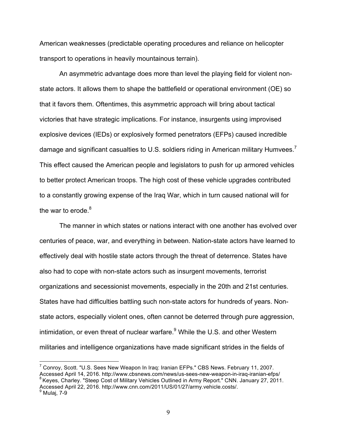American weaknesses (predictable operating procedures and reliance on helicopter transport to operations in heavily mountainous terrain).

An asymmetric advantage does more than level the playing field for violent nonstate actors. It allows them to shape the battlefield or operational environment (OE) so that it favors them. Oftentimes, this asymmetric approach will bring about tactical victories that have strategic implications. For instance, insurgents using improvised explosive devices (IEDs) or explosively formed penetrators (EFPs) caused incredible damage and significant casualties to U.S. soldiers riding in American military Humvees.<sup>7</sup> This effect caused the American people and legislators to push for up armored vehicles to better protect American troops. The high cost of these vehicle upgrades contributed to a constantly growing expense of the Iraq War, which in turn caused national will for the war to erode. $8$ 

The manner in which states or nations interact with one another has evolved over centuries of peace, war, and everything in between. Nation-state actors have learned to effectively deal with hostile state actors through the threat of deterrence. States have also had to cope with non-state actors such as insurgent movements, terrorist organizations and secessionist movements, especially in the 20th and 21st centuries. States have had difficulties battling such non-state actors for hundreds of years. Nonstate actors, especially violent ones, often cannot be deterred through pure aggression, intimidation, or even threat of nuclear warfare.<sup>9</sup> While the U.S. and other Western militaries and intelligence organizations have made significant strides in the fields of

<sup>7</sup> Conroy, Scott. "U.S. Sees New Weapon In Iraq: Iranian EFPs." CBS News. February 11, 2007. Accessed April 14, 2016. http://www.cbsnews.com/news/us-sees-new-weapon-in-iraq-iranian-efps/<br><sup>8</sup> Keyes, Charley. "Steep Cost of Military Vehicles Outlined in Army Report." CNN. January 27, 2011. Accessed April 22, 2016. http://www.cnn.com/2011/US/01/27/army.vehicle.costs/. 9<br>Mulaj, 7-9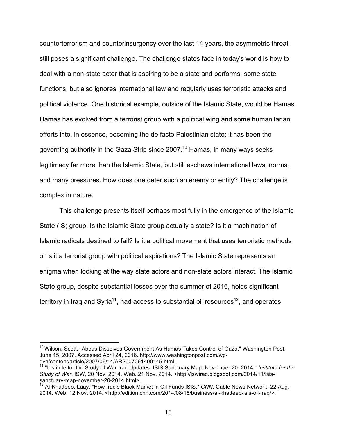counterterrorism and counterinsurgency over the last 14 years, the asymmetric threat still poses a significant challenge. The challenge states face in today's world is how to deal with a non-state actor that is aspiring to be a state and performs some state functions, but also ignores international law and regularly uses terroristic attacks and political violence. One historical example, outside of the Islamic State, would be Hamas. Hamas has evolved from a terrorist group with a political wing and some humanitarian efforts into, in essence, becoming the de facto Palestinian state; it has been the governing authority in the Gaza Strip since 2007.<sup>10</sup> Hamas, in many ways seeks legitimacy far more than the Islamic State, but still eschews international laws, norms, and many pressures. How does one deter such an enemy or entity? The challenge is complex in nature.

This challenge presents itself perhaps most fully in the emergence of the Islamic State (IS) group. Is the Islamic State group actually a state? Is it a machination of Islamic radicals destined to fail? Is it a political movement that uses terroristic methods or is it a terrorist group with political aspirations? The Islamic State represents an enigma when looking at the way state actors and non-state actors interact. The Islamic State group, despite substantial losses over the summer of 2016, holds significant territory in Iraq and Syria<sup>11</sup>, had access to substantial oil resources<sup>12</sup>, and operates

 $10$  Wilson. Scott. "Abbas Dissolves Government As Hamas Takes Control of Gaza." Washington Post. June 15, 2007. Accessed April 24, 2016. http://www.washingtonpost.com/wpdyn/content/article/2007/06/14/AR2007061400145.html.

<sup>11</sup> "Institute for the Study of War Iraq Updates: ISIS Sanctuary Map: November 20, 2014." *Institute for the Study of War*. ISW, 20 Nov. 2014. Web. 21 Nov. 2014. <http://iswiraq.blogspot.com/2014/11/isissanctuary-map-november-20-2014.html>.

<sup>&</sup>lt;sup>12</sup> Al-Khatteeb, Luay. "How Iraq's Black Market in Oil Funds ISIS." *CNN*. Cable News Network, 22 Aug. 2014. Web. 12 Nov. 2014. <http://edition.cnn.com/2014/08/18/business/al-khatteeb-isis-oil-iraq/>.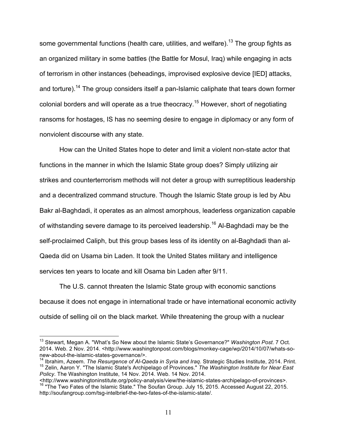some governmental functions (health care, utilities, and welfare).<sup>13</sup> The group fights as an organized military in some battles (the Battle for Mosul, Iraq) while engaging in acts of terrorism in other instances (beheadings, improvised explosive device [IED] attacks, and torture).<sup>14</sup> The group considers itself a pan-Islamic caliphate that tears down former colonial borders and will operate as a true theocracy.<sup>15</sup> However, short of negotiating ransoms for hostages, IS has no seeming desire to engage in diplomacy or any form of nonviolent discourse with any state.

How can the United States hope to deter and limit a violent non-state actor that functions in the manner in which the Islamic State group does? Simply utilizing air strikes and counterterrorism methods will not deter a group with surreptitious leadership and a decentralized command structure. Though the Islamic State group is led by Abu Bakr al-Baghdadi, it operates as an almost amorphous, leaderless organization capable of withstanding severe damage to its perceived leadership.<sup>16</sup> Al-Baghdadi may be the self-proclaimed Caliph, but this group bases less of its identity on al-Baghdadi than al-Qaeda did on Usama bin Laden. It took the United States military and intelligence services ten years to locate and kill Osama bin Laden after 9/11.

The U.S. cannot threaten the Islamic State group with economic sanctions because it does not engage in international trade or have international economic activity outside of selling oil on the black market. While threatening the group with a nuclear

<sup>13</sup> Stewart, Megan A. "What's So New about the Islamic State's Governance?" *Washington Post*. 7 Oct. 2014. Web. 2 Nov. 2014. <http://www.washingtonpost.com/blogs/monkey-cage/wp/2014/10/07/whats-so-new-about-the-islamic-states-governance/>.

Ibrahim, Azeem. *The Resurgence of Al-Qaeda in Syria and Iraq.* Strategic Studies Institute, 2014. Print. <sup>15</sup> Zelin, Aaron Y. "The Islamic State's Archipelago of Provinces." *The Washington Institute for Near East Policy*. The Washington Institute, 14 Nov. 2014. Web. 14 Nov. 2014.

<sup>&</sup>lt;sup>16</sup> "The Two Fates of the Islamic State." The Soufan Group. July 15, 2015. Accessed August 22, 2015. http://soufangroup.com/tsg-intelbrief-the-two-fates-of-the-islamic-state/.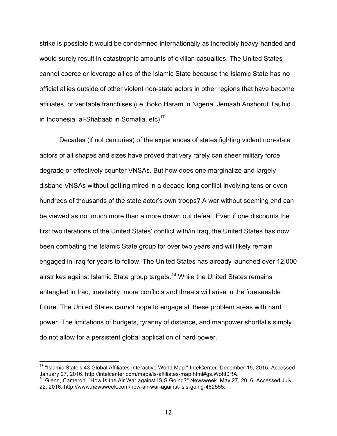strike is possible it would be condemned internationally as incredibly heavy-handed and would surely result in catastrophic amounts of civilian casualties. The United States cannot coerce or leverage allies of the Islamic State because the Islamic State has no official allies outside of other violent non-state actors in other regions that have become affiliates, or veritable franchises (i.e. Boko Haram in Nigeria, Jemaah Anshorut Tauhid in Indonesia, al-Shabaab in Somalia,  $etc$ )<sup>17</sup>

Decades (if not centuries) of the experiences of states fighting violent non-state actors of all shapes and sizes have proved that very rarely can sheer military force degrade or effectively counter VNSAs. But how does one marginalize and largely disband VNSAs without getting mired in a decade-long conflict involving tens or even hundreds of thousands of the state actor's own troops? A war without seeming end can be viewed as not much more than a more drawn out defeat. Even if one discounts the first two iterations of the United States' conflict with/in Iraq, the United States has now been combating the Islamic State group for over two years and will likely remain engaged in Iraq for years to follow. The United States has already launched over 12,000 airstrikes against Islamic State group targets.<sup>18</sup> While the United States remains entangled in Iraq, inevitably, more conflicts and threats will arise in the foreseeable future. The United States cannot hope to engage all these problem areas with hard power. The limitations of budgets, tyranny of distance, and manpower shortfalls simply do not allow for a persistent global application of hard power.

<sup>17</sup> "Islamic State's 43 Global Affiliates Interactive World Map." IntelCenter. December 15, 2015. Accessed January 27, 2016. http://intelcenter.com/maps/is-affiliates-map.html#gs.Woht0RA.<br><sup>18</sup> Glenn, Cameron. "How Is the Air War against ISIS Going?" Newsweek. May 27, 2016. Accessed July

<sup>22, 2016.</sup> http://www.newsweek.com/how-air-war-against-isis-going-462555.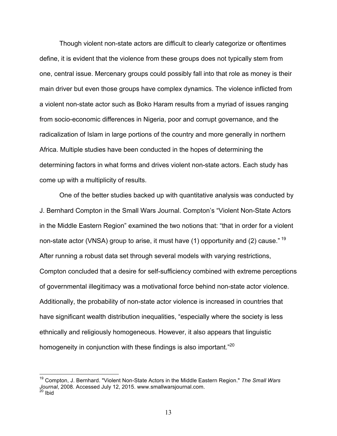Though violent non-state actors are difficult to clearly categorize or oftentimes define, it is evident that the violence from these groups does not typically stem from one, central issue. Mercenary groups could possibly fall into that role as money is their main driver but even those groups have complex dynamics. The violence inflicted from a violent non-state actor such as Boko Haram results from a myriad of issues ranging from socio-economic differences in Nigeria, poor and corrupt governance, and the radicalization of Islam in large portions of the country and more generally in northern Africa. Multiple studies have been conducted in the hopes of determining the determining factors in what forms and drives violent non-state actors. Each study has come up with a multiplicity of results.

One of the better studies backed up with quantitative analysis was conducted by J. Bernhard Compton in the Small Wars Journal. Compton's "Violent Non-State Actors in the Middle Eastern Region" examined the two notions that: "that in order for a violent non-state actor (VNSA) group to arise, it must have (1) opportunity and (2) cause."<sup>19</sup> After running a robust data set through several models with varying restrictions, Compton concluded that a desire for self-sufficiency combined with extreme perceptions of governmental illegitimacy was a motivational force behind non-state actor violence. Additionally, the probability of non-state actor violence is increased in countries that have significant wealth distribution inequalities, "especially where the society is less ethnically and religiously homogeneous. However, it also appears that linguistic homogeneity in conjunction with these findings is also important."<sup>20</sup>

<sup>19</sup> Compton, J. Bernhard. "Violent Non-State Actors in the Middle Eastern Region." *The Small Wars Journal*, 2008. Accessed July 12, 2015. www.smallwarsjournal.com. <sup>20</sup> Ibid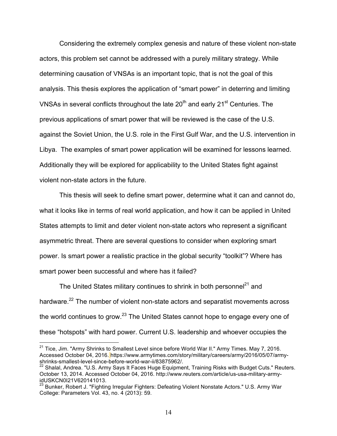Considering the extremely complex genesis and nature of these violent non-state actors, this problem set cannot be addressed with a purely military strategy. While determining causation of VNSAs is an important topic, that is not the goal of this analysis. This thesis explores the application of "smart power" in deterring and limiting VNSAs in several conflicts throughout the late  $20<sup>th</sup>$  and early  $21<sup>st</sup>$  Centuries. The previous applications of smart power that will be reviewed is the case of the U.S. against the Soviet Union, the U.S. role in the First Gulf War, and the U.S. intervention in Libya. The examples of smart power application will be examined for lessons learned. Additionally they will be explored for applicability to the United States fight against violent non-state actors in the future.

This thesis will seek to define smart power, determine what it can and cannot do, what it looks like in terms of real world application, and how it can be applied in United States attempts to limit and deter violent non-state actors who represent a significant asymmetric threat. There are several questions to consider when exploring smart power. Is smart power a realistic practice in the global security "toolkit"? Where has smart power been successful and where has it failed?

The United States military continues to shrink in both personnel<sup>21</sup> and hardware.<sup>22</sup> The number of violent non-state actors and separatist movements across the world continues to grow. $^{23}$  The United States cannot hope to engage every one of these "hotspots" with hard power. Current U.S. leadership and whoever occupies the

 $21$  Tice, Jim. "Army Shrinks to Smallest Level since before World War II." Army Times. May 7, 2016. Accessed October 04, 2016. https://www.armytimes.com/story/military/careers/army/2016/05/07/armyshrinks-smallest-level-since-before-world-war-ii/83875962/.

 $^{22}$  Shalal, Andrea. "U.S. Army Says It Faces Huge Equipment, Training Risks with Budget Cuts." Reuters. October 13, 2014. Accessed October 04, 2016. http://www.reuters.com/article/us-usa-military-armyidUSKCN0I21V620141013.

<sup>&</sup>lt;sup>23</sup> Bunker, Robert J. "Fighting Irregular Fighters: Defeating Violent Nonstate Actors." U.S. Army War College: Parameters Vol. 43, no. 4 (2013): 59.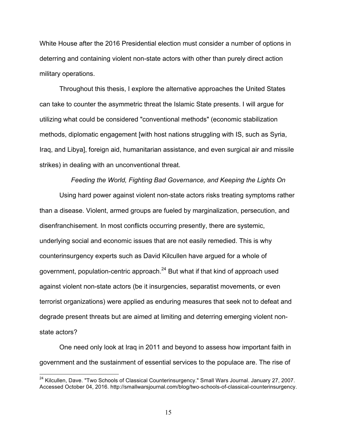White House after the 2016 Presidential election must consider a number of options in deterring and containing violent non-state actors with other than purely direct action military operations.

Throughout this thesis, I explore the alternative approaches the United States can take to counter the asymmetric threat the Islamic State presents. I will argue for utilizing what could be considered "conventional methods" (economic stabilization methods, diplomatic engagement [with host nations struggling with IS, such as Syria, Iraq, and Libya], foreign aid, humanitarian assistance, and even surgical air and missile strikes) in dealing with an unconventional threat.

#### *Feeding the World, Fighting Bad Governance, and Keeping the Lights On*

Using hard power against violent non-state actors risks treating symptoms rather than a disease. Violent, armed groups are fueled by marginalization, persecution, and disenfranchisement. In most conflicts occurring presently, there are systemic, underlying social and economic issues that are not easily remedied. This is why counterinsurgency experts such as David Kilcullen have argued for a whole of government, population-centric approach. $^{24}$  But what if that kind of approach used against violent non-state actors (be it insurgencies, separatist movements, or even terrorist organizations) were applied as enduring measures that seek not to defeat and degrade present threats but are aimed at limiting and deterring emerging violent nonstate actors?

One need only look at Iraq in 2011 and beyond to assess how important faith in government and the sustainment of essential services to the populace are. The rise of

<sup>&</sup>lt;sup>24</sup> Kilcullen, Dave. "Two Schools of Classical Counterinsurgency." Small Wars Journal. January 27, 2007. Accessed October 04, 2016. http://smallwarsjournal.com/blog/two-schools-of-classical-counterinsurgency.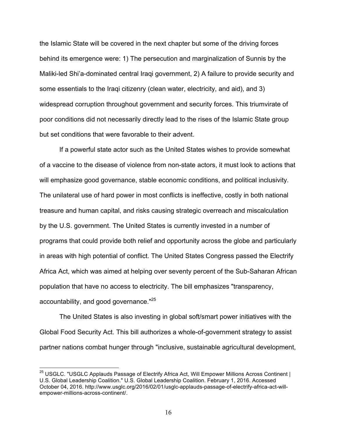the Islamic State will be covered in the next chapter but some of the driving forces behind its emergence were: 1) The persecution and marginalization of Sunnis by the Maliki-led Shi'a-dominated central Iraqi government, 2) A failure to provide security and some essentials to the Iraqi citizenry (clean water, electricity, and aid), and 3) widespread corruption throughout government and security forces. This triumvirate of poor conditions did not necessarily directly lead to the rises of the Islamic State group but set conditions that were favorable to their advent.

If a powerful state actor such as the United States wishes to provide somewhat of a vaccine to the disease of violence from non-state actors, it must look to actions that will emphasize good governance, stable economic conditions, and political inclusivity. The unilateral use of hard power in most conflicts is ineffective, costly in both national treasure and human capital, and risks causing strategic overreach and miscalculation by the U.S. government. The United States is currently invested in a number of programs that could provide both relief and opportunity across the globe and particularly in areas with high potential of conflict. The United States Congress passed the Electrify Africa Act, which was aimed at helping over seventy percent of the Sub-Saharan African population that have no access to electricity. The bill emphasizes "transparency, accountability, and good governance."<sup>25</sup>

The United States is also investing in global soft/smart power initiatives with the Global Food Security Act. This bill authorizes a whole-of-government strategy to assist partner nations combat hunger through "inclusive, sustainable agricultural development,

<sup>&</sup>lt;sup>25</sup> USGLC. "USGLC Applauds Passage of Electrify Africa Act, Will Empower Millions Across Continent | U.S. Global Leadership Coalition." U.S. Global Leadership Coalition. February 1, 2016. Accessed October 04, 2016. http://www.usglc.org/2016/02/01/usglc-applauds-passage-of-electrify-africa-act-willempower-millions-across-continent/.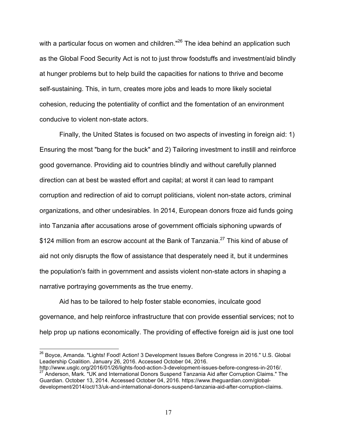with a particular focus on women and children."<sup>26</sup> The idea behind an application such as the Global Food Security Act is not to just throw foodstuffs and investment/aid blindly at hunger problems but to help build the capacities for nations to thrive and become self-sustaining. This, in turn, creates more jobs and leads to more likely societal cohesion, reducing the potentiality of conflict and the fomentation of an environment conducive to violent non-state actors.

Finally, the United States is focused on two aspects of investing in foreign aid: 1) Ensuring the most "bang for the buck" and 2) Tailoring investment to instill and reinforce good governance. Providing aid to countries blindly and without carefully planned direction can at best be wasted effort and capital; at worst it can lead to rampant corruption and redirection of aid to corrupt politicians, violent non-state actors, criminal organizations, and other undesirables. In 2014, European donors froze aid funds going into Tanzania after accusations arose of government officials siphoning upwards of \$124 million from an escrow account at the Bank of Tanzania.<sup>27</sup> This kind of abuse of aid not only disrupts the flow of assistance that desperately need it, but it undermines the population's faith in government and assists violent non-state actors in shaping a narrative portraying governments as the true enemy.

Aid has to be tailored to help foster stable economies, inculcate good governance, and help reinforce infrastructure that con provide essential services; not to help prop up nations economically. The providing of effective foreign aid is just one tool

<sup>&</sup>lt;sup>26</sup> Boyce, Amanda. "Lights! Food! Action! 3 Development Issues Before Congress in 2016." U.S. Global Leadership Coalition. January 26, 2016. Accessed October 04, 2016.

http://www.usglc.org/2016/01/26/lights-food-action-3-development-issues-before-congress-in-2016/. <sup>27</sup> Anderson, Mark. "UK and International Donors Suspend Tanzania Aid after Corruption Claims." The Guardian. October 13, 2014. Accessed October 04, 2016. https://www.theguardian.com/globaldevelopment/2014/oct/13/uk-and-international-donors-suspend-tanzania-aid-after-corruption-claims.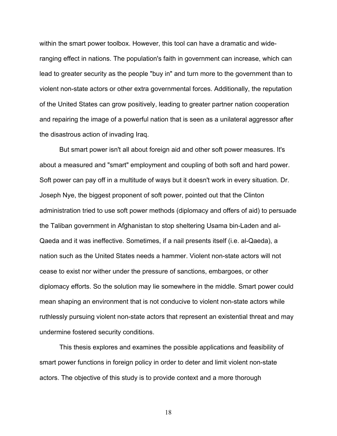within the smart power toolbox. However, this tool can have a dramatic and wideranging effect in nations. The population's faith in government can increase, which can lead to greater security as the people "buy in" and turn more to the government than to violent non-state actors or other extra governmental forces. Additionally, the reputation of the United States can grow positively, leading to greater partner nation cooperation and repairing the image of a powerful nation that is seen as a unilateral aggressor after the disastrous action of invading Iraq.

But smart power isn't all about foreign aid and other soft power measures. It's about a measured and "smart" employment and coupling of both soft and hard power. Soft power can pay off in a multitude of ways but it doesn't work in every situation. Dr. Joseph Nye, the biggest proponent of soft power, pointed out that the Clinton administration tried to use soft power methods (diplomacy and offers of aid) to persuade the Taliban government in Afghanistan to stop sheltering Usama bin-Laden and al-Qaeda and it was ineffective. Sometimes, if a nail presents itself (i.e. al-Qaeda), a nation such as the United States needs a hammer. Violent non-state actors will not cease to exist nor wither under the pressure of sanctions, embargoes, or other diplomacy efforts. So the solution may lie somewhere in the middle. Smart power could mean shaping an environment that is not conducive to violent non-state actors while ruthlessly pursuing violent non-state actors that represent an existential threat and may undermine fostered security conditions.

This thesis explores and examines the possible applications and feasibility of smart power functions in foreign policy in order to deter and limit violent non-state actors. The objective of this study is to provide context and a more thorough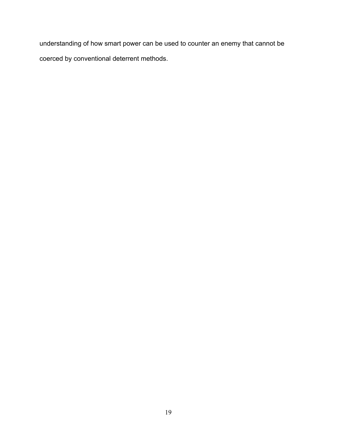understanding of how smart power can be used to counter an enemy that cannot be coerced by conventional deterrent methods.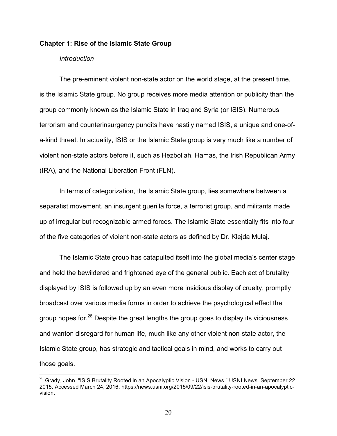#### **Chapter 1: Rise of the Islamic State Group**

#### *Introduction*

The pre-eminent violent non-state actor on the world stage, at the present time, is the Islamic State group. No group receives more media attention or publicity than the group commonly known as the Islamic State in Iraq and Syria (or ISIS). Numerous terrorism and counterinsurgency pundits have hastily named ISIS, a unique and one-ofa-kind threat. In actuality, ISIS or the Islamic State group is very much like a number of violent non-state actors before it, such as Hezbollah, Hamas, the Irish Republican Army (IRA), and the National Liberation Front (FLN).

In terms of categorization, the Islamic State group, lies somewhere between a separatist movement, an insurgent guerilla force, a terrorist group, and militants made up of irregular but recognizable armed forces. The Islamic State essentially fits into four of the five categories of violent non-state actors as defined by Dr. Klejda Mulaj.

The Islamic State group has catapulted itself into the global media's center stage and held the bewildered and frightened eye of the general public. Each act of brutality displayed by ISIS is followed up by an even more insidious display of cruelty, promptly broadcast over various media forms in order to achieve the psychological effect the group hopes for.28 Despite the great lengths the group goes to display its viciousness and wanton disregard for human life, much like any other violent non-state actor, the Islamic State group, has strategic and tactical goals in mind, and works to carry out those goals.

<sup>&</sup>lt;sup>28</sup> Grady, John. "ISIS Brutality Rooted in an Apocalyptic Vision - USNI News." USNI News. September 22, 2015. Accessed March 24, 2016. https://news.usni.org/2015/09/22/isis-brutality-rooted-in-an-apocalypticvision.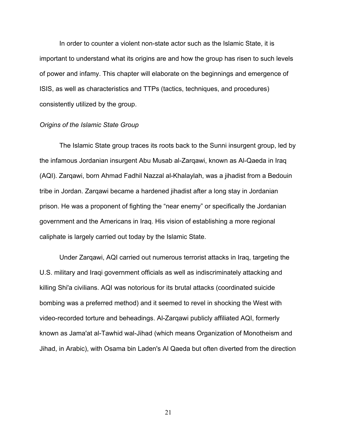In order to counter a violent non-state actor such as the Islamic State, it is important to understand what its origins are and how the group has risen to such levels of power and infamy. This chapter will elaborate on the beginnings and emergence of ISIS, as well as characteristics and TTPs (tactics, techniques, and procedures) consistently utilized by the group.

#### *Origins of the Islamic State Group*

The Islamic State group traces its roots back to the Sunni insurgent group, led by the infamous Jordanian insurgent Abu Musab al-Zarqawi, known as Al-Qaeda in Iraq (AQI). Zarqawi, born Ahmad Fadhil Nazzal al-Khalaylah, was a jihadist from a Bedouin tribe in Jordan. Zarqawi became a hardened jihadist after a long stay in Jordanian prison. He was a proponent of fighting the "near enemy" or specifically the Jordanian government and the Americans in Iraq. His vision of establishing a more regional caliphate is largely carried out today by the Islamic State.

Under Zarqawi, AQI carried out numerous terrorist attacks in Iraq, targeting the U.S. military and Iraqi government officials as well as indiscriminately attacking and killing Shi'a civilians. AQI was notorious for its brutal attacks (coordinated suicide bombing was a preferred method) and it seemed to revel in shocking the West with video-recorded torture and beheadings. Al-Zarqawi publicly affiliated AQI, formerly known as Jama'at al-Tawhid wal-Jihad (which means Organization of Monotheism and Jihad, in Arabic), with Osama bin Laden's Al Qaeda but often diverted from the direction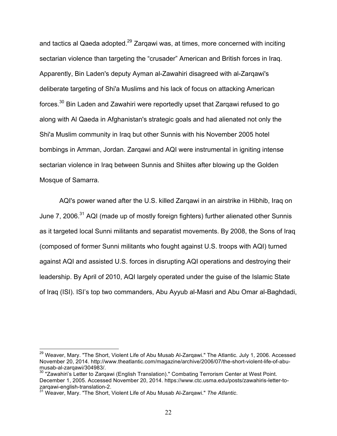and tactics al Qaeda adopted.<sup>29</sup> Zargawi was, at times, more concerned with inciting sectarian violence than targeting the "crusader" American and British forces in Iraq. Apparently, Bin Laden's deputy Ayman al-Zawahiri disagreed with al-Zarqawi's deliberate targeting of Shi'a Muslims and his lack of focus on attacking American forces.30 Bin Laden and Zawahiri were reportedly upset that Zarqawi refused to go along with Al Qaeda in Afghanistan's strategic goals and had alienated not only the Shi'a Muslim community in Iraq but other Sunnis with his November 2005 hotel bombings in Amman, Jordan. Zarqawi and AQI were instrumental in igniting intense sectarian violence in Iraq between Sunnis and Shiites after blowing up the Golden Mosque of Samarra.

AQI's power waned after the U.S. killed Zarqawi in an airstrike in Hibhib, Iraq on June 7, 2006.<sup>31</sup> AQI (made up of mostly foreign fighters) further alienated other Sunnis as it targeted local Sunni militants and separatist movements. By 2008, the Sons of Iraq (composed of former Sunni militants who fought against U.S. troops with AQI) turned against AQI and assisted U.S. forces in disrupting AQI operations and destroying their leadership. By April of 2010, AQI largely operated under the guise of the Islamic State of Iraq (ISI). ISI's top two commanders, Abu Ayyub al-Masri and Abu Omar al-Baghdadi,

<sup>&</sup>lt;sup>29</sup> Weaver, Mary. "The Short, Violent Life of Abu Musab Al-Zarqawi." The Atlantic. July 1, 2006. Accessed November 20, 2014. http://www.theatlantic.com/magazine/archive/2006/07/the-short-violent-life-of-abu-

al-zara-al-zarqami (2013). The al-zarqawi (English Translation)." Combating Terrorism Center at West Point. December 1, 2005. Accessed November 20, 2014. https://www.ctc.usma.edu/posts/zawahiris-letter-tozarqawi-english-translation-2.

<sup>31</sup> Weaver, Mary. "The Short, Violent Life of Abu Musab Al-Zarqawi." *The Atlantic*.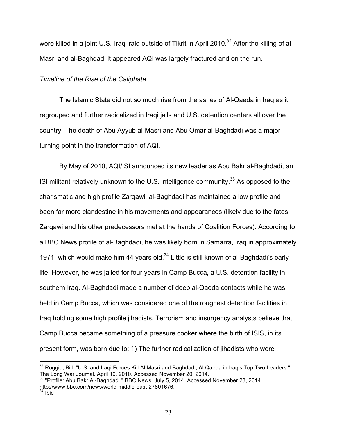were killed in a joint U.S.-Iragi raid outside of Tikrit in April 2010.<sup>32</sup> After the killing of al-Masri and al-Baghdadi it appeared AQI was largely fractured and on the run.

## *Timeline of the Rise of the Caliphate*

The Islamic State did not so much rise from the ashes of Al-Qaeda in Iraq as it regrouped and further radicalized in Iraqi jails and U.S. detention centers all over the country. The death of Abu Ayyub al-Masri and Abu Omar al-Baghdadi was a major turning point in the transformation of AQI.

By May of 2010, AQI/ISI announced its new leader as Abu Bakr al-Baghdadi, an ISI militant relatively unknown to the U.S. intelligence community.<sup>33</sup> As opposed to the charismatic and high profile Zarqawi, al-Baghdadi has maintained a low profile and been far more clandestine in his movements and appearances (likely due to the fates Zarqawi and his other predecessors met at the hands of Coalition Forces). According to a BBC News profile of al-Baghdadi, he was likely born in Samarra, Iraq in approximately 1971, which would make him 44 years old. $34$  Little is still known of al-Baghdadi's early life. However, he was jailed for four years in Camp Bucca, a U.S. detention facility in southern Iraq. Al-Baghdadi made a number of deep al-Qaeda contacts while he was held in Camp Bucca, which was considered one of the roughest detention facilities in Iraq holding some high profile jihadists. Terrorism and insurgency analysts believe that Camp Bucca became something of a pressure cooker where the birth of ISIS, in its present form, was born due to: 1) The further radicalization of jihadists who were

<sup>&</sup>lt;sup>32</sup> Roggio, Bill. "U.S. and Iraqi Forces Kill Al Masri and Baghdadi, Al Qaeda in Iraq's Top Two Leaders." The Long War Journal. April 19, 2010. Accessed November 20, 2014.

 $33$  "Profile: Abu Bakr Al-Baghdadi." BBC News. July 5, 2014. Accessed November 23, 2014. http://www.bbc.com/news/world-middle-east-27801676.

 $34$  ibid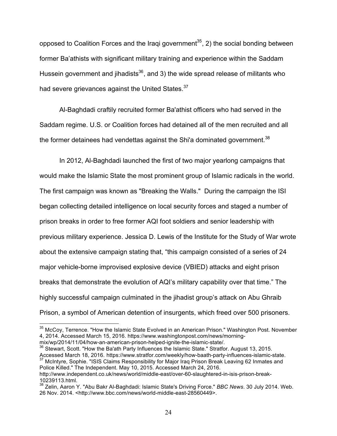opposed to Coalition Forces and the Iragi government<sup>35</sup>, 2) the social bonding between former Ba'athists with significant military training and experience within the Saddam Hussein government and jihadists $36$ , and 3) the wide spread release of militants who had severe grievances against the United States.<sup>37</sup>

Al-Baghdadi craftily recruited former Ba'athist officers who had served in the Saddam regime. U.S. or Coalition forces had detained all of the men recruited and all the former detainees had vendettas against the Shi'a dominated government.<sup>38</sup>

In 2012, Al-Baghdadi launched the first of two major yearlong campaigns that would make the Islamic State the most prominent group of Islamic radicals in the world. The first campaign was known as "Breaking the Walls." During the campaign the ISI began collecting detailed intelligence on local security forces and staged a number of prison breaks in order to free former AQI foot soldiers and senior leadership with previous military experience. Jessica D. Lewis of the Institute for the Study of War wrote about the extensive campaign stating that, "this campaign consisted of a series of 24 major vehicle-borne improvised explosive device (VBIED) attacks and eight prison breaks that demonstrate the evolution of AQI's military capability over that time." The highly successful campaign culminated in the jihadist group's attack on Abu Ghraib Prison, a symbol of American detention of insurgents, which freed over 500 prisoners.

<sup>36</sup> Stewart. Scott. "How the Ba'ath Party Influences the Islamic State." Stratfor. August 13, 2015.

Police Killed." The Independent. May 10, 2015. Accessed March 24, 2016.

<sup>&</sup>lt;sup>35</sup> McCov. Terrence. "How the Islamic State Evolved in an American Prison." Washington Post. November 4, 2014. Accessed March 15, 2016. https://www.washingtonpost.com/news/morningmix/wp/2014/11/04/how-an-american-prison-helped-ignite-the-islamic-state/.

Accessed March 18, 2016. https://www.stratfor.com/weekly/how-baath-party-influences-islamic-state. <sup>37</sup> McIntyre, Sophie. "ISIS Claims Responsibility for Major Iraq Prison Break Leaving 62 Inmates and

http://www.independent.co.uk/news/world/middle-east/over-60-slaughtered-in-isis-prison-break-10239113.html.

<sup>38</sup> Zelin, Aaron Y. "Abu Bakr Al-Baghdadi: Islamic State's Driving Force." *BBC News*. 30 July 2014. Web. 26 Nov. 2014. <http://www.bbc.com/news/world-middle-east-28560449>.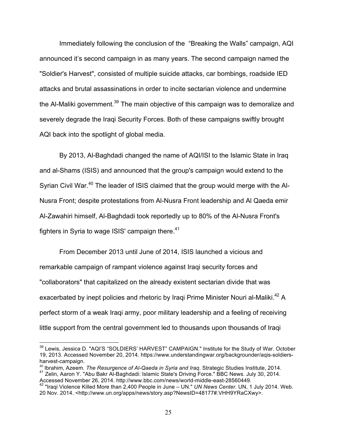Immediately following the conclusion of the "Breaking the Walls" campaign, AQI announced it's second campaign in as many years. The second campaign named the "Soldier's Harvest", consisted of multiple suicide attacks, car bombings, roadside IED attacks and brutal assassinations in order to incite sectarian violence and undermine the Al-Maliki government.<sup>39</sup> The main objective of this campaign was to demoralize and severely degrade the Iraqi Security Forces. Both of these campaigns swiftly brought AQI back into the spotlight of global media.

By 2013, Al-Baghdadi changed the name of AQI/ISI to the Islamic State in Iraq and al-Shams (ISIS) and announced that the group's campaign would extend to the Syrian Civil War.<sup>40</sup> The leader of ISIS claimed that the group would merge with the Al-Nusra Front; despite protestations from Al-Nusra Front leadership and Al Qaeda emir Al-Zawahiri himself, Al-Baghdadi took reportedly up to 80% of the Al-Nusra Front's fighters in Syria to wage ISIS' campaign there. $41$ 

From December 2013 until June of 2014, ISIS launched a vicious and remarkable campaign of rampant violence against Iraqi security forces and "collaborators" that capitalized on the already existent sectarian divide that was exacerbated by inept policies and rhetoric by Iraqi Prime Minister Nouri al-Maliki.<sup>42</sup> A perfect storm of a weak Iraqi army, poor military leadership and a feeling of receiving little support from the central government led to thousands upon thousands of Iraqi

<sup>&</sup>lt;sup>39</sup> Lewis, Jessica D. "AQI'S "SOLDIERS' HARVEST" CAMPAIGN." Institute for the Study of War. October 19, 2013. Accessed November 20, 2014. https://www.understandingwar.org/backgrounder/aqis-soldiersharvest-campaign.<br><sup>40</sup> Ibrahim, Azeem. The Resurgence of Al-Qaeda in Syria and Iraq. Strategic Studies Institute, 2014.

<sup>40</sup> Ibrahim, Azeem. *The Resurgence of Al-Qaeda in Syria and Iraq*. Strategic Studies Institute, 2014. 41 Zelin, Aaron Y. "Abu Bakr Al-Baghdadi: Islamic State's Driving Force." BBC News. July 30, 2014.

Accessed November 26, 2014. http://www.bbc.com/news/world-middle-east-28560449.

<sup>42</sup> "Iraqi Violence Killed More than 2,400 People in June – UN." *UN News Center*. UN, 1 July 2014. Web. 20 Nov. 2014. <http://www.un.org/apps/news/story.asp?NewsID=48177#.VHH9YRaCXwy>.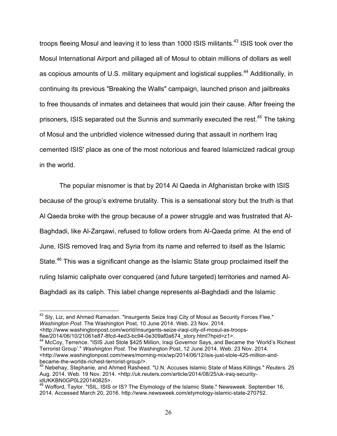troops fleeing Mosul and leaving it to less than 1000 ISIS militants.<sup>43</sup> ISIS took over the Mosul International Airport and pillaged all of Mosul to obtain millions of dollars as well as copious amounts of U.S. military equipment and logistical supplies.<sup>44</sup> Additionally, in continuing its previous "Breaking the Walls" campaign, launched prison and jailbreaks to free thousands of inmates and detainees that would join their cause. After freeing the prisoners, ISIS separated out the Sunnis and summarily executed the rest.<sup>45</sup> The taking of Mosul and the unbridled violence witnessed during that assault in northern Iraq cemented ISIS' place as one of the most notorious and feared Islamicized radical group in the world.

The popular misnomer is that by 2014 Al Qaeda in Afghanistan broke with ISIS because of the group's extreme brutality. This is a sensational story but the truth is that Al Qaeda broke with the group because of a power struggle and was frustrated that Al-Baghdadi, like Al-Zarqawi, refused to follow orders from Al-Qaeda prime. At the end of June, ISIS removed Iraq and Syria from its name and referred to itself as the Islamic State.<sup>46</sup> This was a significant change as the Islamic State group proclaimed itself the ruling Islamic caliphate over conquered (and future targeted) territories and named Al-Baghdadi as its caliph. This label change represents al-Baghdadi and the Islamic

<sup>&</sup>lt;sup>43</sup> Sly, Liz, and Ahmed Ramadan. "Insurgents Seize Iraqi City of Mosul as Security Forces Flee." *Washington Post*. The Washington Post, 10 June 2014. Web. 23 Nov. 2014. <http://www.washingtonpost.com/world/insurgents-seize-iraqi-city-of-mosul-as-troops-

flee/2014/06/10/21061e87-8fcd-4ed3-bc94-0e309af0a674\_story.html?hpid=z1>.<br><sup>44</sup> McCoy, Terrence. "ISIS Just Stole \$425 Million, Iraqi Governor Says, and Became the 'World's Richest Terrorist Group'." *Washington Post*. The Washington Post, 12 June 2014. Web. 23 Nov. 2014. <http://www.washingtonpost.com/news/morning-mix/wp/2014/06/12/isis-just-stole-425-million-and-

<sup>&</sup>lt;sup>45</sup> Nebehav. Stephanie. and Ahmed Rasheed. "U.N. Accuses Islamic State of Mass Killings." *Reuters*. 25 Aug. 2014. Web. 19 Nov. 2014. <http://uk.reuters.com/article/2014/08/25/uk-iraq-securityidUKKBN0GP0L220140825>.

<sup>&</sup>lt;sup>46</sup> Wofford, Taylor. "ISIL, ISIS or IS? The Etymology of the Islamic State." Newsweek. September 16, 2014. Accessed March 20, 2016. http://www.newsweek.com/etymology-islamic-state-270752.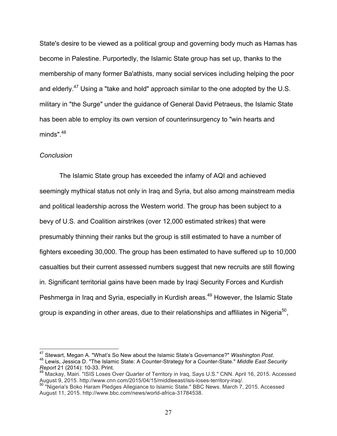State's desire to be viewed as a political group and governing body much as Hamas has become in Palestine. Purportedly, the Islamic State group has set up, thanks to the membership of many former Ba'athists, many social services including helping the poor and elderly.<sup>47</sup> Using a "take and hold" approach similar to the one adopted by the U.S. military in "the Surge" under the guidance of General David Petraeus, the Islamic State has been able to employ its own version of counterinsurgency to "win hearts and minds" $48$ 

#### *Conclusion*

The Islamic State group has exceeded the infamy of AQI and achieved seemingly mythical status not only in Iraq and Syria, but also among mainstream media and political leadership across the Western world. The group has been subject to a bevy of U.S. and Coalition airstrikes (over 12,000 estimated strikes) that were presumably thinning their ranks but the group is still estimated to have a number of fighters exceeding 30,000. The group has been estimated to have suffered up to 10,000 casualties but their current assessed numbers suggest that new recruits are still flowing in. Significant territorial gains have been made by Iraqi Security Forces and Kurdish Peshmerga in Iraq and Syria, especially in Kurdish areas.<sup>49</sup> However, the Islamic State group is expanding in other areas, due to their relationships and affiliates in Nigeria<sup>50</sup>,

<sup>&</sup>lt;sup>47</sup> Stewart, Megan A. "What's So New about the Islamic State's Governance?" *Washington Post.*<br><sup>48</sup> Lewis, Jessica D. "The Islamic State: A Counter-Strategy for a Counter-State." *Middle East Security Report* 21 (2014): 10-33. Print.

<sup>49</sup> Mackay, Mairi. "ISIS Loses Over Quarter of Territory in Iraq, Says U.S." CNN. April 16, 2015. Accessed August 9, 2015. http://www.cnn.com/2015/04/15/middleeast/isis-loses-territory-iraq/.<br>50 "Nigeria's Boko Haram Pledges Allegiance to Islamic State." BBC News. March 7, 2015. Accessed

August 11, 2015. http://www.bbc.com/news/world-africa-31784538.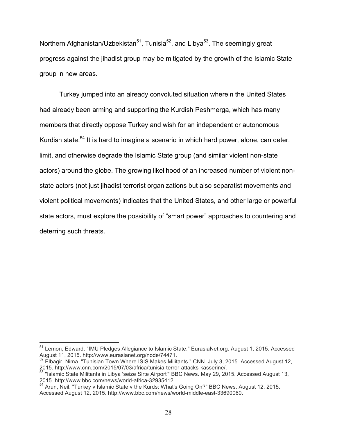Northern Afghanistan/Uzbekistan<sup>51</sup>, Tunisia<sup>52</sup>, and Libya<sup>53</sup>. The seemingly great progress against the jihadist group may be mitigated by the growth of the Islamic State group in new areas.

Turkey jumped into an already convoluted situation wherein the United States had already been arming and supporting the Kurdish Peshmerga, which has many members that directly oppose Turkey and wish for an independent or autonomous Kurdish state.<sup>54</sup> It is hard to imagine a scenario in which hard power, alone, can deter, limit, and otherwise degrade the Islamic State group (and similar violent non-state actors) around the globe. The growing likelihood of an increased number of violent nonstate actors (not just jihadist terrorist organizations but also separatist movements and violent political movements) indicates that the United States, and other large or powerful state actors, must explore the possibility of "smart power" approaches to countering and deterring such threats.

<sup>51</sup> Lemon, Edward. "IMU Pledges Allegiance to Islamic State." EurasiaNet.org. August 1, 2015. Accessed August 11, 2015. http://www.eurasianet.org/node/74471.

 $52$  Elbagir, Nima. "Tunisian Town Where ISIS Makes Militants." CNN. July 3, 2015. Accessed August 12, 2015. http://www.cnn.com/2015/07/03/africa/tunisia-terror-attacks-kasserine/.

<sup>53</sup> "Islamic State Militants in Libya 'seize Sirte Airport'" BBC News. May 29, 2015. Accessed August 13, 2015. http://www.bbc.com/news/world-africa-32935412.

<sup>&</sup>lt;sup>54</sup> Arun, Neil. "Turkey v Islamic State v the Kurds: What's Going On?" BBC News. August 12, 2015. Accessed August 12, 2015. http://www.bbc.com/news/world-middle-east-33690060.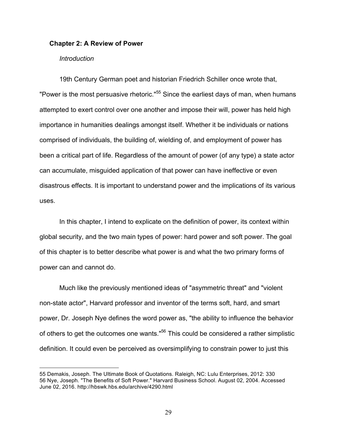#### **Chapter 2: A Review of Power**

#### *Introduction*

 $\overline{a}$ 

19th Century German poet and historian Friedrich Schiller once wrote that, "Power is the most persuasive rhetoric."<sup>55</sup> Since the earliest days of man, when humans attempted to exert control over one another and impose their will, power has held high importance in humanities dealings amongst itself. Whether it be individuals or nations comprised of individuals, the building of, wielding of, and employment of power has been a critical part of life. Regardless of the amount of power (of any type) a state actor can accumulate, misguided application of that power can have ineffective or even disastrous effects. It is important to understand power and the implications of its various uses.

In this chapter, I intend to explicate on the definition of power, its context within global security, and the two main types of power: hard power and soft power. The goal of this chapter is to better describe what power is and what the two primary forms of power can and cannot do.

Much like the previously mentioned ideas of "asymmetric threat" and "violent non-state actor", Harvard professor and inventor of the terms soft, hard, and smart power, Dr. Joseph Nye defines the word power as, "the ability to influence the behavior of others to get the outcomes one wants."<sup>56</sup> This could be considered a rather simplistic definition. It could even be perceived as oversimplifying to constrain power to just this

<sup>55</sup> Demakis, Joseph. The Ultimate Book of Quotations. Raleigh, NC: Lulu Enterprises, 2012: 330 56 Nye, Joseph. "The Benefits of Soft Power." Harvard Business School. August 02, 2004. Accessed June 02, 2016. http://hbswk.hbs.edu/archive/4290.html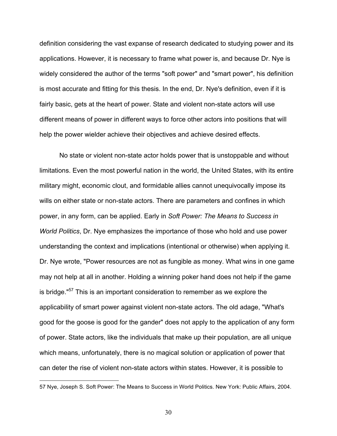definition considering the vast expanse of research dedicated to studying power and its applications. However, it is necessary to frame what power is, and because Dr. Nye is widely considered the author of the terms "soft power" and "smart power", his definition is most accurate and fitting for this thesis. In the end, Dr. Nye's definition, even if it is fairly basic, gets at the heart of power. State and violent non-state actors will use different means of power in different ways to force other actors into positions that will help the power wielder achieve their objectives and achieve desired effects.

No state or violent non-state actor holds power that is unstoppable and without limitations. Even the most powerful nation in the world, the United States, with its entire military might, economic clout, and formidable allies cannot unequivocally impose its wills on either state or non-state actors. There are parameters and confines in which power, in any form, can be applied. Early in *Soft Power: The Means to Success in World Politics*, Dr. Nye emphasizes the importance of those who hold and use power understanding the context and implications (intentional or otherwise) when applying it. Dr. Nye wrote, "Power resources are not as fungible as money. What wins in one game may not help at all in another. Holding a winning poker hand does not help if the game is bridge."<sup>57</sup> This is an important consideration to remember as we explore the applicability of smart power against violent non-state actors. The old adage, "What's good for the goose is good for the gander" does not apply to the application of any form of power. State actors, like the individuals that make up their population, are all unique which means, unfortunately, there is no magical solution or application of power that can deter the rise of violent non-state actors within states. However, it is possible to

 $\overline{a}$ 

<sup>57</sup> Nye, Joseph S. Soft Power: The Means to Success in World Politics. New York: Public Affairs, 2004.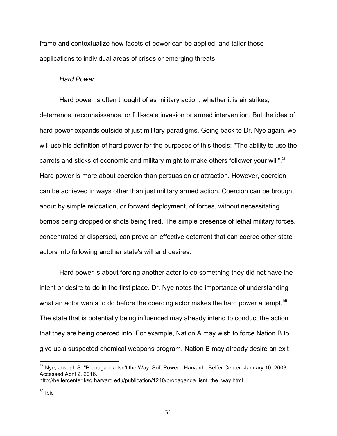frame and contextualize how facets of power can be applied, and tailor those applications to individual areas of crises or emerging threats.

#### *Hard Power*

Hard power is often thought of as military action; whether it is air strikes, deterrence, reconnaissance, or full-scale invasion or armed intervention. But the idea of hard power expands outside of just military paradigms. Going back to Dr. Nye again, we will use his definition of hard power for the purposes of this thesis: "The ability to use the carrots and sticks of economic and military might to make others follower your will".<sup>58</sup> Hard power is more about coercion than persuasion or attraction. However, coercion can be achieved in ways other than just military armed action. Coercion can be brought about by simple relocation, or forward deployment, of forces, without necessitating bombs being dropped or shots being fired. The simple presence of lethal military forces, concentrated or dispersed, can prove an effective deterrent that can coerce other state actors into following another state's will and desires.

Hard power is about forcing another actor to do something they did not have the intent or desire to do in the first place. Dr. Nye notes the importance of understanding what an actor wants to do before the coercing actor makes the hard power attempt.<sup>59</sup> The state that is potentially being influenced may already intend to conduct the action that they are being coerced into. For example, Nation A may wish to force Nation B to give up a suspected chemical weapons program. Nation B may already desire an exit

<sup>58</sup> Nye, Joseph S. "Propaganda Isn't the Way: Soft Power." Harvard - Belfer Center. January 10, 2003. Accessed April 2, 2016.

http://belfercenter.ksg.harvard.edu/publication/1240/propaganda\_isnt\_the\_way.html.

<sup>59</sup> Ibid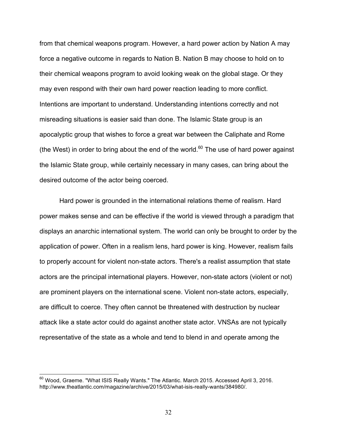from that chemical weapons program. However, a hard power action by Nation A may force a negative outcome in regards to Nation B. Nation B may choose to hold on to their chemical weapons program to avoid looking weak on the global stage. Or they may even respond with their own hard power reaction leading to more conflict. Intentions are important to understand. Understanding intentions correctly and not misreading situations is easier said than done. The Islamic State group is an apocalyptic group that wishes to force a great war between the Caliphate and Rome (the West) in order to bring about the end of the world.<sup>60</sup> The use of hard power against the Islamic State group, while certainly necessary in many cases, can bring about the desired outcome of the actor being coerced.

Hard power is grounded in the international relations theme of realism. Hard power makes sense and can be effective if the world is viewed through a paradigm that displays an anarchic international system. The world can only be brought to order by the application of power. Often in a realism lens, hard power is king. However, realism fails to properly account for violent non-state actors. There's a realist assumption that state actors are the principal international players. However, non-state actors (violent or not) are prominent players on the international scene. Violent non-state actors, especially, are difficult to coerce. They often cannot be threatened with destruction by nuclear attack like a state actor could do against another state actor. VNSAs are not typically representative of the state as a whole and tend to blend in and operate among the

 $^{60}$  Wood, Graeme. "What ISIS Really Wants." The Atlantic. March 2015. Accessed April 3, 2016. http://www.theatlantic.com/magazine/archive/2015/03/what-isis-really-wants/384980/.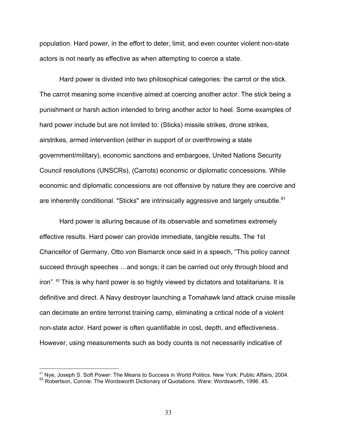population. Hard power, in the effort to deter, limit, and even counter violent non-state actors is not nearly as effective as when attempting to coerce a state.

Hard power is divided into two philosophical categories: the carrot or the stick. The carrot meaning some incentive aimed at coercing another actor. The stick being a punishment or harsh action intended to bring another actor to heel. Some examples of hard power include but are not limited to: (Sticks) missile strikes, drone strikes, airstrikes, armed intervention (either in support of or overthrowing a state government/military), economic sanctions and embargoes, United Nations Security Council resolutions (UNSCRs), (Carrots) economic or diplomatic concessions. While economic and diplomatic concessions are not offensive by nature they are coercive and are inherently conditional. "Sticks" are intrinsically aggressive and largely unsubtle.<sup>61</sup>

Hard power is alluring because of its observable and sometimes extremely effective results. Hard power can provide immediate, tangible results. The 1st Chancellor of Germany, Otto von Bismarck once said in a speech, "This policy cannot succeed through speeches …and songs; it can be carried out only through blood and iron". 62 This is why hard power is so highly viewed by dictators and totalitarians. It is definitive and direct. A Navy destroyer launching a Tomahawk land attack cruise missile can decimate an entire terrorist training camp, eliminating a critical node of a violent non-state actor. Hard power is often quantifiable in cost, depth, and effectiveness. However, using measurements such as body counts is not necessarily indicative of

 $61$  Nye, Joseph S. Soft Power: The Means to Success in World Politics. New York: Public Affairs, 2004. <sup>62</sup> Robertson, Connie. The Wordsworth Dictionary of Quotations. Ware: Wordsworth, 1996. 45.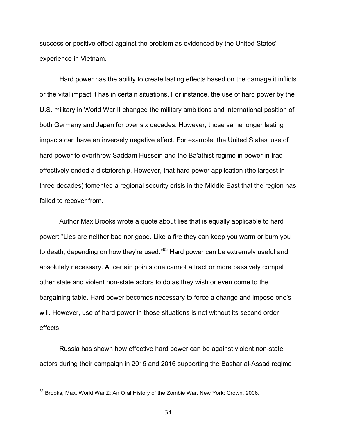success or positive effect against the problem as evidenced by the United States' experience in Vietnam.

Hard power has the ability to create lasting effects based on the damage it inflicts or the vital impact it has in certain situations. For instance, the use of hard power by the U.S. military in World War II changed the military ambitions and international position of both Germany and Japan for over six decades. However, those same longer lasting impacts can have an inversely negative effect. For example, the United States' use of hard power to overthrow Saddam Hussein and the Ba'athist regime in power in Iraq effectively ended a dictatorship. However, that hard power application (the largest in three decades) fomented a regional security crisis in the Middle East that the region has failed to recover from.

Author Max Brooks wrote a quote about lies that is equally applicable to hard power: "Lies are neither bad nor good. Like a fire they can keep you warm or burn you to death, depending on how they're used."<sup>63</sup> Hard power can be extremely useful and absolutely necessary. At certain points one cannot attract or more passively compel other state and violent non-state actors to do as they wish or even come to the bargaining table. Hard power becomes necessary to force a change and impose one's will. However, use of hard power in those situations is not without its second order effects.

Russia has shown how effective hard power can be against violent non-state actors during their campaign in 2015 and 2016 supporting the Bashar al-Assad regime

<sup>&</sup>lt;sup>63</sup> Brooks, Max. World War Z: An Oral History of the Zombie War. New York: Crown, 2006.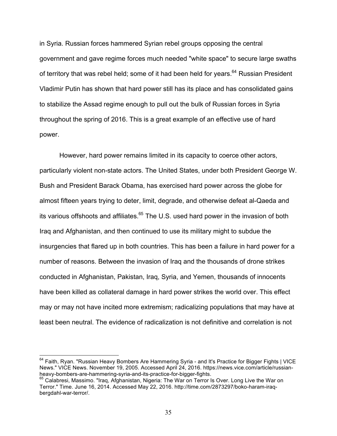in Syria. Russian forces hammered Syrian rebel groups opposing the central government and gave regime forces much needed "white space" to secure large swaths of territory that was rebel held; some of it had been held for years.<sup>64</sup> Russian President Vladimir Putin has shown that hard power still has its place and has consolidated gains to stabilize the Assad regime enough to pull out the bulk of Russian forces in Syria throughout the spring of 2016. This is a great example of an effective use of hard power.

However, hard power remains limited in its capacity to coerce other actors, particularly violent non-state actors. The United States, under both President George W. Bush and President Barack Obama, has exercised hard power across the globe for almost fifteen years trying to deter, limit, degrade, and otherwise defeat al-Qaeda and its various offshoots and affiliates.<sup>65</sup> The U.S. used hard power in the invasion of both Iraq and Afghanistan, and then continued to use its military might to subdue the insurgencies that flared up in both countries. This has been a failure in hard power for a number of reasons. Between the invasion of Iraq and the thousands of drone strikes conducted in Afghanistan, Pakistan, Iraq, Syria, and Yemen, thousands of innocents have been killed as collateral damage in hard power strikes the world over. This effect may or may not have incited more extremism; radicalizing populations that may have at least been neutral. The evidence of radicalization is not definitive and correlation is not

<sup>&</sup>lt;sup>64</sup> Faith, Ryan. "Russian Heavy Bombers Are Hammering Syria - and It's Practice for Bigger Fights | VICE News." VICE News. November 19, 2005. Accessed April 24, 2016. https://news.vice.com/article/russianheavy-bombers-are-hammering-syria-and-its-practice-for-bigger-fights.<br><sup>65</sup> Calabresi, Massimo. "Iraq, Afghanistan, Nigeria: The War on Terror Is Over. Long Live the War on

Terror." Time. June 16, 2014. Accessed May 22, 2016. http://time.com/2873297/boko-haram-iraqbergdahl-war-terror/.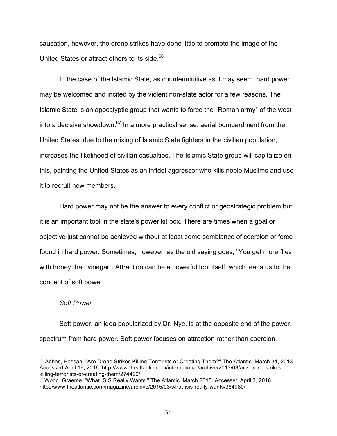causation, however, the drone strikes have done little to promote the image of the United States or attract others to its side.<sup>66</sup>

In the case of the Islamic State, as counterintuitive as it may seem, hard power may be welcomed and incited by the violent non-state actor for a few reasons. The Islamic State is an apocalyptic group that wants to force the "Roman army" of the west into a decisive showdown.<sup>67</sup> In a more practical sense, aerial bombardment from the United States, due to the mixing of Islamic State fighters in the civilian population, increases the likelihood of civilian casualties. The Islamic State group will capitalize on this, painting the United States as an infidel aggressor who kills noble Muslims and use it to recruit new members.

Hard power may not be the answer to every conflict or geostrategic problem but it is an important tool in the state's power kit box. There are times when a goal or objective just cannot be achieved without at least some semblance of coercion or force found in hard power. Sometimes, however, as the old saying goes, "You get more flies with honey than vinegar". Attraction can be a powerful tool itself, which leads us to the concept of soft power.

## *Soft Power*

Soft power, an idea popularized by Dr. Nye, is at the opposite end of the power spectrum from hard power. Soft power focuses on attraction rather than coercion.

<sup>&</sup>lt;sup>66</sup> Abbas, Hassan. "Are Drone Strikes Killing Terrorists or Creating Them?" The Atlantic. March 31, 2013. Accessed April 19, 2016. http://www.theatlantic.com/international/archive/2013/03/are-drone-strikeskilling-terrorists-or-creating-them/274499/.

 $67$  Wood, Graeme. "What ISIS Really Wants." The Atlantic. March 2015. Accessed April 3, 2016. http://www.theatlantic.com/magazine/archive/2015/03/what-isis-really-wants/384980/.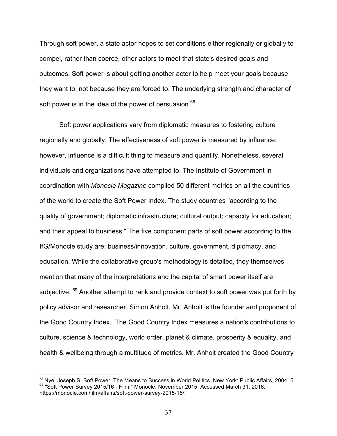Through soft power, a state actor hopes to set conditions either regionally or globally to compel, rather than coerce, other actors to meet that state's desired goals and outcomes. Soft power is about getting another actor to help meet your goals because they want to, not because they are forced to. The underlying strength and character of soft power is in the idea of the power of persuasion.<sup>68</sup>

Soft power applications vary from diplomatic measures to fostering culture regionally and globally. The effectiveness of soft power is measured by influence; however, influence is a difficult thing to measure and quantify. Nonetheless, several individuals and organizations have attempted to. The Institute of Government in coordination with *Monocle Magazine* compiled 50 different metrics on all the countries of the world to create the Soft Power Index. The study countries "according to the quality of government; diplomatic infrastructure; cultural output; capacity for education; and their appeal to business." The five component parts of soft power according to the IfG/Monocle study are: business/innovation, culture, government, diplomacy, and education. While the collaborative group's methodology is detailed, they themselves mention that many of the interpretations and the capital of smart power itself are subiective. <sup>69</sup> Another attempt to rank and provide context to soft power was put forth by policy advisor and researcher, Simon Anholt. Mr. Anholt is the founder and proponent of the Good Country Index. The Good Country Index measures a nation's contributions to culture, science & technology, world order, planet & climate, prosperity & equality, and health & wellbeing through a multitude of metrics. Mr. Anholt created the Good Country

 <sup>68</sup> Nye, Joseph S. Soft Power: The Means to Success in World Politics. New York: Public Affairs, 2004. 5. <sup>69</sup> "Soft Power Survey 2015/16 - Film." Monocle. November 2015. Accessed March 31, 2016. https://monocle.com/film/affairs/soft-power-survey-2015-16/.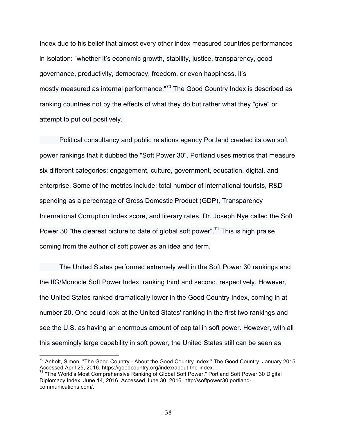Index due to his belief that almost every other index measured countries performances in isolation: "whether it's economic growth, stability, justice, transparency, good governance, productivity, democracy, freedom, or even happiness, it's mostly measured as internal performance."<sup>70</sup> The Good Country Index is described as ranking countries not by the effects of what they do but rather what they "give" or attempt to put out positively.

Political consultancy and public relations agency Portland created its own soft power rankings that it dubbed the "Soft Power 30". Portland uses metrics that measure six different categories: engagement, culture, government, education, digital, and enterprise. Some of the metrics include: total number of international tourists, R&D spending as a percentage of Gross Domestic Product (GDP), Transparency International Corruption Index score, and literary rates. Dr. Joseph Nye called the Soft Power 30 "the clearest picture to date of global soft power".<sup>71</sup> This is high praise coming from the author of soft power as an idea and term.

The United States performed extremely well in the Soft Power 30 rankings and the IfG/Monocle Soft Power Index, ranking third and second, respectively. However, the United States ranked dramatically lower in the Good Country Index, coming in at number 20. One could look at the United States' ranking in the first two rankings and see the U.S. as having an enormous amount of capital in soft power. However, with all this seemingly large capability in soft power, the United States still can be seen as

 $70$  Anholt, Simon. "The Good Country - About the Good Country Index." The Good Country. January 2015. Accessed April 25, 2016. https://goodcountry.org/index/about-the-index.

<sup>71</sup> "The World's Most Comprehensive Ranking of Global Soft Power." Portland Soft Power 30 Digital Diplomacy Index. June 14, 2016. Accessed June 30, 2016. http://softpower30.portlandcommunications.com/.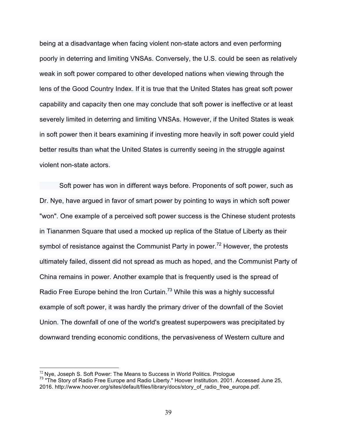being at a disadvantage when facing violent non-state actors and even performing poorly in deterring and limiting VNSAs. Conversely, the U.S. could be seen as relatively weak in soft power compared to other developed nations when viewing through the lens of the Good Country Index. If it is true that the United States has great soft power capability and capacity then one may conclude that soft power is ineffective or at least severely limited in deterring and limiting VNSAs. However, if the United States is weak in soft power then it bears examining if investing more heavily in soft power could yield better results than what the United States is currently seeing in the struggle against violent non-state actors.

Soft power has won in different ways before. Proponents of soft power, such as Dr. Nye, have argued in favor of smart power by pointing to ways in which soft power "won". One example of a perceived soft power success is the Chinese student protests in Tiananmen Square that used a mocked up replica of the Statue of Liberty as their symbol of resistance against the Communist Party in power.<sup>72</sup> However, the protests ultimately failed, dissent did not spread as much as hoped, and the Communist Party of China remains in power. Another example that is frequently used is the spread of Radio Free Europe behind the Iron Curtain.<sup>73</sup> While this was a highly successful example of soft power, it was hardly the primary driver of the downfall of the Soviet Union. The downfall of one of the world's greatest superpowers was precipitated by downward trending economic conditions, the pervasiveness of Western culture and

<sup>&</sup>lt;sup>72</sup> Nye, Joseph S. Soft Power: The Means to Success in World Politics. Prologue<br><sup>73</sup> "The Story of Radio Free Europe and Radio Liberty." Hoover Institution. 2001. Accessed June 25, 2016. http://www.hoover.org/sites/default/files/library/docs/story\_of\_radio\_free\_europe.pdf.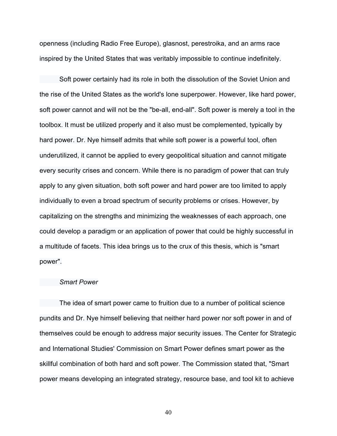openness (including Radio Free Europe), glasnost, perestroika, and an arms race inspired by the United States that was veritably impossible to continue indefinitely.

Soft power certainly had its role in both the dissolution of the Soviet Union and the rise of the United States as the world's lone superpower. However, like hard power, soft power cannot and will not be the "be-all, end-all". Soft power is merely a tool in the toolbox. It must be utilized properly and it also must be complemented, typically by hard power. Dr. Nye himself admits that while soft power is a powerful tool, often underutilized, it cannot be applied to every geopolitical situation and cannot mitigate every security crises and concern. While there is no paradigm of power that can truly apply to any given situation, both soft power and hard power are too limited to apply individually to even a broad spectrum of security problems or crises. However, by capitalizing on the strengths and minimizing the weaknesses of each approach, one could develop a paradigm or an application of power that could be highly successful in a multitude of facets. This idea brings us to the crux of this thesis, which is "smart power".

### *Smart Power*

The idea of smart power came to fruition due to a number of political science pundits and Dr. Nye himself believing that neither hard power nor soft power in and of themselves could be enough to address major security issues. The Center for Strategic and International Studies' Commission on Smart Power defines smart power as the skillful combination of both hard and soft power. The Commission stated that, "Smart power means developing an integrated strategy, resource base, and tool kit to achieve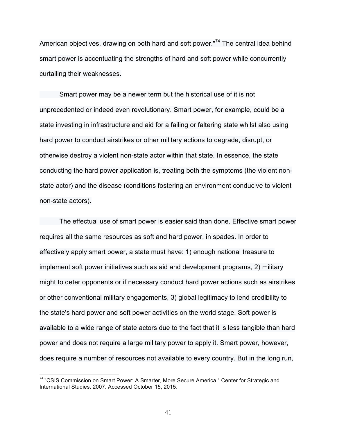American objectives, drawing on both hard and soft power."<sup>74</sup> The central idea behind smart power is accentuating the strengths of hard and soft power while concurrently curtailing their weaknesses.

Smart power may be a newer term but the historical use of it is not unprecedented or indeed even revolutionary. Smart power, for example, could be a state investing in infrastructure and aid for a failing or faltering state whilst also using hard power to conduct airstrikes or other military actions to degrade, disrupt, or otherwise destroy a violent non-state actor within that state. In essence, the state conducting the hard power application is, treating both the symptoms (the violent nonstate actor) and the disease (conditions fostering an environment conducive to violent non-state actors).

The effectual use of smart power is easier said than done. Effective smart power requires all the same resources as soft and hard power, in spades. In order to effectively apply smart power, a state must have: 1) enough national treasure to implement soft power initiatives such as aid and development programs, 2) military might to deter opponents or if necessary conduct hard power actions such as airstrikes or other conventional military engagements, 3) global legitimacy to lend credibility to the state's hard power and soft power activities on the world stage. Soft power is available to a wide range of state actors due to the fact that it is less tangible than hard power and does not require a large military power to apply it. Smart power, however, does require a number of resources not available to every country. But in the long run,

<sup>&</sup>lt;sup>74</sup> "CSIS Commission on Smart Power: A Smarter, More Secure America." Center for Strategic and International Studies. 2007. Accessed October 15, 2015.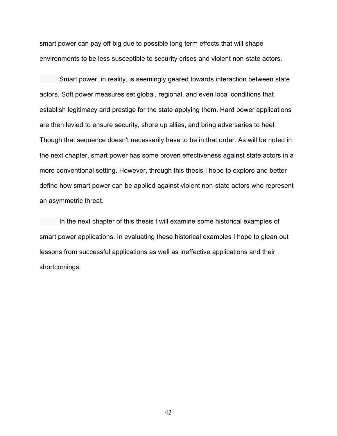smart power can pay off big due to possible long term effects that will shape environments to be less susceptible to security crises and violent non-state actors.

Smart power, in reality, is seemingly geared towards interaction between state actors. Soft power measures set global, regional, and even local conditions that establish legitimacy and prestige for the state applying them. Hard power applications are then levied to ensure security, shore up allies, and bring adversaries to heel. Though that sequence doesn't necessarily have to be in that order. As will be noted in the next chapter, smart power has some proven effectiveness against state actors in a more conventional setting. However, through this thesis I hope to explore and better define how smart power can be applied against violent non-state actors who represent an asymmetric threat.

In the next chapter of this thesis I will examine some historical examples of smart power applications. In evaluating these historical examples I hope to glean out lessons from successful applications as well as ineffective applications and their shortcomings.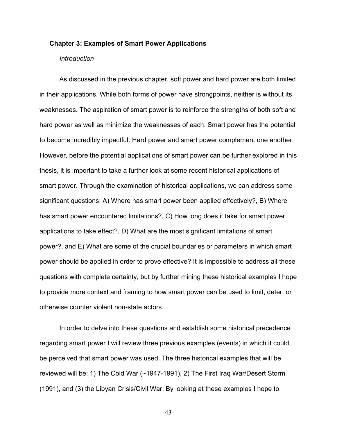#### **Chapter 3: Examples of Smart Power Applications**

### *Introduction*

As discussed in the previous chapter, soft power and hard power are both limited in their applications. While both forms of power have strongpoints, neither is without its weaknesses. The aspiration of smart power is to reinforce the strengths of both soft and hard power as well as minimize the weaknesses of each. Smart power has the potential to become incredibly impactful. Hard power and smart power complement one another. However, before the potential applications of smart power can be further explored in this thesis, it is important to take a further look at some recent historical applications of smart power. Through the examination of historical applications, we can address some significant questions: A) Where has smart power been applied effectively?, B) Where has smart power encountered limitations?, C) How long does it take for smart power applications to take effect?, D) What are the most significant limitations of smart power?, and E) What are some of the crucial boundaries or parameters in which smart power should be applied in order to prove effective? It is impossible to address all these questions with complete certainty, but by further mining these historical examples I hope to provide more context and framing to how smart power can be used to limit, deter, or otherwise counter violent non-state actors.

In order to delve into these questions and establish some historical precedence regarding smart power I will review three previous examples (events) in which it could be perceived that smart power was used. The three historical examples that will be reviewed will be: 1) The Cold War (~1947-1991), 2) The First Iraq War/Desert Storm (1991), and (3) the Libyan Crisis/Civil War. By looking at these examples I hope to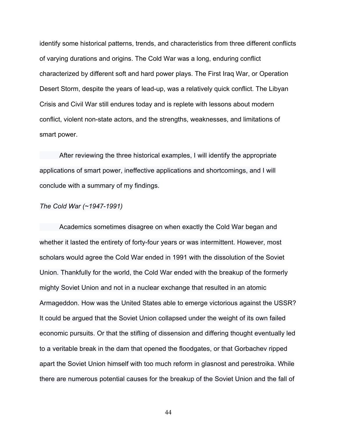identify some historical patterns, trends, and characteristics from three different conflicts of varying durations and origins. The Cold War was a long, enduring conflict characterized by different soft and hard power plays. The First Iraq War, or Operation Desert Storm, despite the years of lead-up, was a relatively quick conflict. The Libyan Crisis and Civil War still endures today and is replete with lessons about modern conflict, violent non-state actors, and the strengths, weaknesses, and limitations of smart power.

After reviewing the three historical examples, I will identify the appropriate applications of smart power, ineffective applications and shortcomings, and I will conclude with a summary of my findings.

### *The Cold War (~1947-1991)*

Academics sometimes disagree on when exactly the Cold War began and whether it lasted the entirety of forty-four years or was intermittent. However, most scholars would agree the Cold War ended in 1991 with the dissolution of the Soviet Union. Thankfully for the world, the Cold War ended with the breakup of the formerly mighty Soviet Union and not in a nuclear exchange that resulted in an atomic Armageddon. How was the United States able to emerge victorious against the USSR? It could be argued that the Soviet Union collapsed under the weight of its own failed economic pursuits. Or that the stifling of dissension and differing thought eventually led to a veritable break in the dam that opened the floodgates, or that Gorbachev ripped apart the Soviet Union himself with too much reform in glasnost and perestroika. While there are numerous potential causes for the breakup of the Soviet Union and the fall of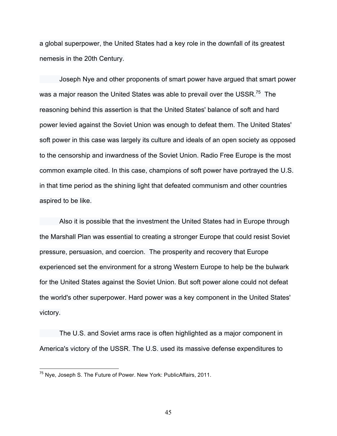a global superpower, the United States had a key role in the downfall of its greatest nemesis in the 20th Century.

Joseph Nye and other proponents of smart power have argued that smart power was a major reason the United States was able to prevail over the USSR.<sup>75</sup> The reasoning behind this assertion is that the United States' balance of soft and hard power levied against the Soviet Union was enough to defeat them. The United States' soft power in this case was largely its culture and ideals of an open society as opposed to the censorship and inwardness of the Soviet Union. Radio Free Europe is the most common example cited. In this case, champions of soft power have portrayed the U.S. in that time period as the shining light that defeated communism and other countries aspired to be like.

Also it is possible that the investment the United States had in Europe through the Marshall Plan was essential to creating a stronger Europe that could resist Soviet pressure, persuasion, and coercion. The prosperity and recovery that Europe experienced set the environment for a strong Western Europe to help be the bulwark for the United States against the Soviet Union. But soft power alone could not defeat the world's other superpower. Hard power was a key component in the United States' victory.

The U.S. and Soviet arms race is often highlighted as a major component in America's victory of the USSR. The U.S. used its massive defense expenditures to

<sup>75</sup> Nye, Joseph S. The Future of Power. New York: PublicAffairs, 2011.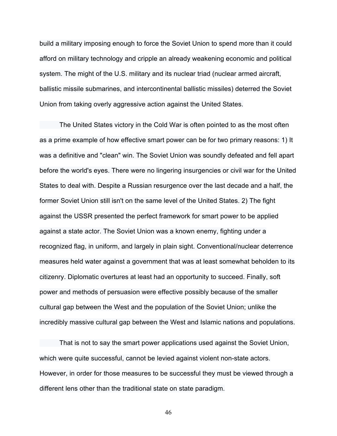build a military imposing enough to force the Soviet Union to spend more than it could afford on military technology and cripple an already weakening economic and political system. The might of the U.S. military and its nuclear triad (nuclear armed aircraft, ballistic missile submarines, and intercontinental ballistic missiles) deterred the Soviet Union from taking overly aggressive action against the United States.

The United States victory in the Cold War is often pointed to as the most often as a prime example of how effective smart power can be for two primary reasons: 1) It was a definitive and "clean" win. The Soviet Union was soundly defeated and fell apart before the world's eyes. There were no lingering insurgencies or civil war for the United States to deal with. Despite a Russian resurgence over the last decade and a half, the former Soviet Union still isn't on the same level of the United States. 2) The fight against the USSR presented the perfect framework for smart power to be applied against a state actor. The Soviet Union was a known enemy, fighting under a recognized flag, in uniform, and largely in plain sight. Conventional/nuclear deterrence measures held water against a government that was at least somewhat beholden to its citizenry. Diplomatic overtures at least had an opportunity to succeed. Finally, soft power and methods of persuasion were effective possibly because of the smaller cultural gap between the West and the population of the Soviet Union; unlike the incredibly massive cultural gap between the West and Islamic nations and populations.

That is not to say the smart power applications used against the Soviet Union, which were quite successful, cannot be levied against violent non-state actors. However, in order for those measures to be successful they must be viewed through a different lens other than the traditional state on state paradigm.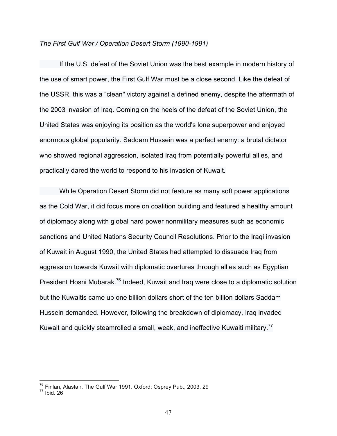#### *The First Gulf War / Operation Desert Storm (1990-1991)*

If the U.S. defeat of the Soviet Union was the best example in modern history of the use of smart power, the First Gulf War must be a close second. Like the defeat of the USSR, this was a "clean" victory against a defined enemy, despite the aftermath of the 2003 invasion of Iraq. Coming on the heels of the defeat of the Soviet Union, the United States was enjoying its position as the world's lone superpower and enjoyed enormous global popularity. Saddam Hussein was a perfect enemy: a brutal dictator who showed regional aggression, isolated Iraq from potentially powerful allies, and practically dared the world to respond to his invasion of Kuwait.

While Operation Desert Storm did not feature as many soft power applications as the Cold War, it did focus more on coalition building and featured a healthy amount of diplomacy along with global hard power nonmilitary measures such as economic sanctions and United Nations Security Council Resolutions. Prior to the Iraqi invasion of Kuwait in August 1990, the United States had attempted to dissuade Iraq from aggression towards Kuwait with diplomatic overtures through allies such as Egyptian President Hosni Mubarak.<sup>76</sup> Indeed, Kuwait and Iraq were close to a diplomatic solution but the Kuwaitis came up one billion dollars short of the ten billion dollars Saddam Hussein demanded. However, following the breakdown of diplomacy, Iraq invaded Kuwait and quickly steamrolled a small, weak, and ineffective Kuwaiti military.<sup>77</sup>

 $^{76}$  Finlan, Alastair. The Gulf War 1991. Oxford: Osprey Pub., 2003. 29<br> $^{77}$  Ibid. 26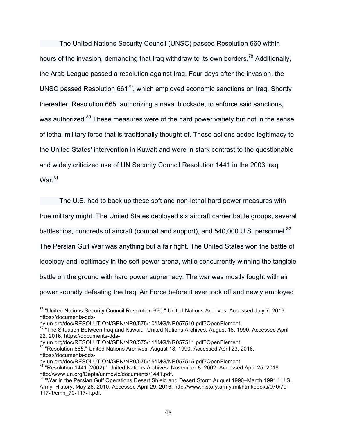The United Nations Security Council (UNSC) passed Resolution 660 within hours of the invasion, demanding that Iraq withdraw to its own borders.<sup>78</sup> Additionally, the Arab League passed a resolution against Iraq. Four days after the invasion, the UNSC passed Resolution  $661^{79}$ , which employed economic sanctions on Iraq. Shortly thereafter, Resolution 665, authorizing a naval blockade, to enforce said sanctions, was authorized.<sup>80</sup> These measures were of the hard power variety but not in the sense of lethal military force that is traditionally thought of. These actions added legitimacy to the United States' intervention in Kuwait and were in stark contrast to the questionable and widely criticized use of UN Security Council Resolution 1441 in the 2003 Iraq War.<sup>81</sup>

The U.S. had to back up these soft and non-lethal hard power measures with

true military might. The United States deployed six aircraft carrier battle groups, several

battleships, hundreds of aircraft (combat and support), and 540,000 U.S. personnel.<sup>82</sup>

The Persian Gulf War was anything but a fair fight. The United States won the battle of

ideology and legitimacy in the soft power arena, while concurrently winning the tangible

battle on the ground with hard power supremacy. The war was mostly fought with air

power soundly defeating the Iraqi Air Force before it ever took off and newly employed

<sup>&</sup>lt;sup>78</sup> "United Nations Security Council Resolution 660." United Nations Archives. Accessed July 7, 2016. https://documents-dds-

ny.un.org/doc/RESOLUTION/GEN/NR0/575/10/IMG/NR057510.pdf?OpenElement.

<sup>&</sup>lt;sup>79</sup> "The Situation Between Iraq and Kuwait." United Nations Archives. August 18, 1990. Accessed April 22, 2016. https://documents-dds-

ny.un.org/doc/RESOLUTION/GEN/NR0/575/11/IMG/NR057511.pdf?OpenElement.

<sup>80 &</sup>quot;Resolution 665." United Nations Archives. August 18, 1990. Accessed April 23, 2016. https://documents-dds-

ny.un.org/doc/RESOLUTION/GEN/NR0/575/15/IMG/NR057515.pdf?OpenElement.

<sup>&</sup>lt;sup>1</sup> "Resolution 1441 (2002)." United Nations Archives. November 8, 2002. Accessed April 25, 2016. http://www.un.org/Depts/unmovic/documents/1441.pdf.

<sup>82 &</sup>quot;War in the Persian Gulf Operations Desert Shield and Desert Storm August 1990–March 1991." U.S. Army: History. May 28, 2010. Accessed April 29, 2016. http://www.history.army.mil/html/books/070/70- 117-1/cmh\_70-117-1.pdf.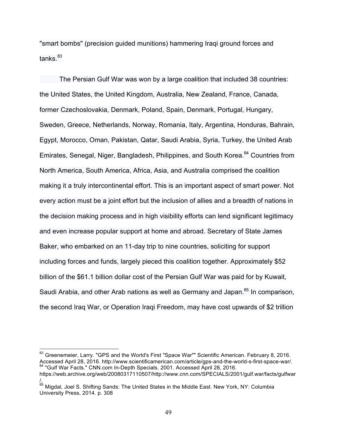"smart bombs" (precision guided munitions) hammering Iraqi ground forces and tanks $^{83}$ 

The Persian Gulf War was won by a large coalition that included 38 countries: the United States, the United Kingdom, Australia, New Zealand, France, Canada, former Czechoslovakia, Denmark, Poland, Spain, Denmark, Portugal, Hungary, Sweden, Greece, Netherlands, Norway, Romania, Italy, Argentina, Honduras, Bahrain, Egypt, Morocco, Oman, Pakistan, Qatar, Saudi Arabia, Syria, Turkey, the United Arab Emirates, Senegal, Niger, Bangladesh, Philippines, and South Korea.<sup>84</sup> Countries from North America, South America, Africa, Asia, and Australia comprised the coalition making it a truly intercontinental effort. This is an important aspect of smart power. Not every action must be a joint effort but the inclusion of allies and a breadth of nations in the decision making process and in high visibility efforts can lend significant legitimacy and even increase popular support at home and abroad. Secretary of State James Baker, who embarked on an 11-day trip to nine countries, soliciting for support including forces and funds, largely pieced this coalition together. Approximately \$52 billion of the \$61.1 billion dollar cost of the Persian Gulf War was paid for by Kuwait, Saudi Arabia, and other Arab nations as well as Germany and Japan.<sup>85</sup> In comparison, the second Iraq War, or Operation Iraqi Freedom, may have cost upwards of \$2 trillion

<sup>83</sup> Greenemeier, Larry. "GPS and the World's First "Space War"" Scientific American. February 8, 2016. Accessed April 28, 2016. http://www.scientificamerican.com/article/gps-and-the-world-s-first-space-war/. <sup>84</sup> "Gulf War Facts." CNN.com In-Depth Specials. 2001. Accessed April 28, 2016.

https://web.archive.org/web/20080317110507/http://www.cnn.com/SPECIALS/2001/gulf.war/facts/gulfwar /.

<sup>&</sup>lt;sup>85</sup> Migdal, Joel S. Shifting Sands: The United States in the Middle East. New York, NY: Columbia University Press, 2014. p. 308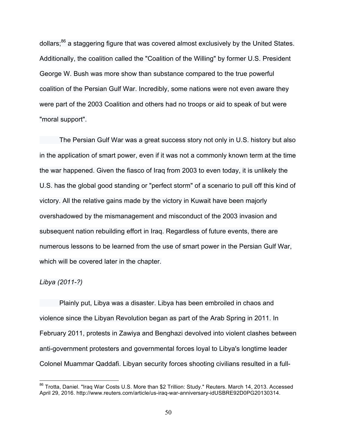dollars;<sup>86</sup> a staggering figure that was covered almost exclusively by the United States. Additionally, the coalition called the "Coalition of the Willing" by former U.S. President George W. Bush was more show than substance compared to the true powerful coalition of the Persian Gulf War. Incredibly, some nations were not even aware they were part of the 2003 Coalition and others had no troops or aid to speak of but were "moral support".

The Persian Gulf War was a great success story not only in U.S. history but also in the application of smart power, even if it was not a commonly known term at the time the war happened. Given the fiasco of Iraq from 2003 to even today, it is unlikely the U.S. has the global good standing or "perfect storm" of a scenario to pull off this kind of victory. All the relative gains made by the victory in Kuwait have been majorly overshadowed by the mismanagement and misconduct of the 2003 invasion and subsequent nation rebuilding effort in Iraq. Regardless of future events, there are numerous lessons to be learned from the use of smart power in the Persian Gulf War, which will be covered later in the chapter.

# *Libya (2011-?)*

Plainly put, Libya was a disaster. Libya has been embroiled in chaos and violence since the Libyan Revolution began as part of the Arab Spring in 2011. In February 2011, protests in Zawiya and Benghazi devolved into violent clashes between anti-government protesters and governmental forces loyal to Libya's longtime leader Colonel Muammar Qaddafi. Libyan security forces shooting civilians resulted in a full-

<sup>86</sup> Trotta, Daniel. "Iraq War Costs U.S. More than \$2 Trillion: Study." Reuters. March 14, 2013. Accessed April 29, 2016. http://www.reuters.com/article/us-iraq-war-anniversary-idUSBRE92D0PG20130314.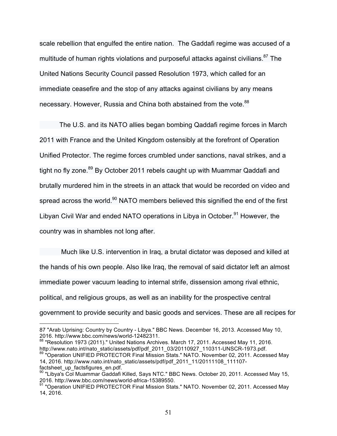scale rebellion that engulfed the entire nation. The Gaddafi regime was accused of a multitude of human rights violations and purposeful attacks against civilians.<sup>87</sup> The United Nations Security Council passed Resolution 1973, which called for an immediate ceasefire and the stop of any attacks against civilians by any means necessary. However, Russia and China both abstained from the vote.<sup>88</sup>

The U.S. and its NATO allies began bombing Qaddafi regime forces in March 2011 with France and the United Kingdom ostensibly at the forefront of Operation Unified Protector. The regime forces crumbled under sanctions, naval strikes, and a tight no fly zone.<sup>89</sup> By October 2011 rebels caught up with Muammar Qaddafi and brutally murdered him in the streets in an attack that would be recorded on video and spread across the world.<sup>90</sup> NATO members believed this signified the end of the first Libyan Civil War and ended NATO operations in Libya in October.<sup>91</sup> However, the country was in shambles not long after.

Much like U.S. intervention in Iraq, a brutal dictator was deposed and killed at the hands of his own people. Also like Iraq, the removal of said dictator left an almost immediate power vacuum leading to internal strife, dissension among rival ethnic, political, and religious groups, as well as an inability for the prospective central government to provide security and basic goods and services. These are all recipes for

 $\overline{a}$ 87 "Arab Uprising: Country by Country - Libya." BBC News. December 16, 2013. Accessed May 10, 2016. http://www.bbc.com/news/world-12482311.

<sup>88 &</sup>quot;Resolution 1973 (2011)." United Nations Archives. March 17, 2011. Accessed May 11, 2016. http://www.nato.int/nato\_static/assets/pdf/pdf\_2011\_03/20110927\_110311-UNSCR-1973.pdf.<br><sup>89</sup> "Operation UNIFIED PROTECTOR Final Mission Stats." NATO. November 02, 2011. Accessed May

<sup>14, 2016.</sup> http://www.nato.int/nato\_static/assets/pdf/pdf\_2011\_11/20111108\_111107 factsheet up factsfigures en.pdf.

<sup>90 &</sup>quot;Libya's Col Muammar Gaddafi Killed, Says NTC." BBC News. October 20, 2011. Accessed May 15, 2016. http://www.bbc.com/news/world-africa-15389550.

<sup>&</sup>lt;sup>91</sup> "Operation UNIFIED PROTECTOR Final Mission Stats." NATO. November 02, 2011. Accessed May 14, 2016.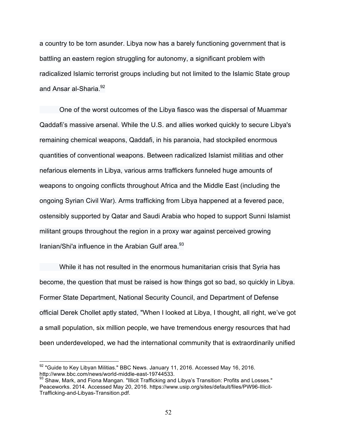a country to be torn asunder. Libya now has a barely functioning government that is battling an eastern region struggling for autonomy, a significant problem with radicalized Islamic terrorist groups including but not limited to the Islamic State group and Ansar al-Sharia.<sup>92</sup>

One of the worst outcomes of the Libya fiasco was the dispersal of Muammar Qaddafi's massive arsenal. While the U.S. and allies worked quickly to secure Libya's remaining chemical weapons, Qaddafi, in his paranoia, had stockpiled enormous quantities of conventional weapons. Between radicalized Islamist militias and other nefarious elements in Libya, various arms traffickers funneled huge amounts of weapons to ongoing conflicts throughout Africa and the Middle East (including the ongoing Syrian Civil War). Arms trafficking from Libya happened at a fevered pace, ostensibly supported by Qatar and Saudi Arabia who hoped to support Sunni Islamist militant groups throughout the region in a proxy war against perceived growing Iranian/Shi'a influence in the Arabian Gulf area.<sup>93</sup>

While it has not resulted in the enormous humanitarian crisis that Syria has become, the question that must be raised is how things got so bad, so quickly in Libya. Former State Department, National Security Council, and Department of Defense official Derek Chollet aptly stated, "When I looked at Libya, I thought, all right, we've got a small population, six million people, we have tremendous energy resources that had been underdeveloped, we had the international community that is extraordinarily unified

<sup>92 &</sup>quot;Guide to Key Libyan Militias." BBC News. January 11, 2016. Accessed May 16, 2016. http://www.bbc.com/news/world-middle-east-19744533.

 $93$  Shaw, Mark, and Fiona Mangan. "Illicit Trafficking and Libya's Transition: Profits and Losses." Peaceworks. 2014. Accessed May 20, 2016. https://www.usip.org/sites/default/files/PW96-Illicit-Trafficking-and-Libyas-Transition.pdf.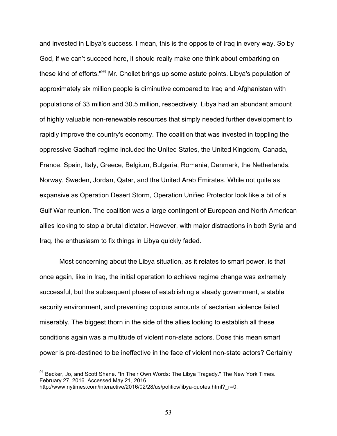and invested in Libya's success. I mean, this is the opposite of Iraq in every way. So by God, if we can't succeed here, it should really make one think about embarking on these kind of efforts."<sup>94</sup> Mr. Chollet brings up some astute points. Libya's population of approximately six million people is diminutive compared to Iraq and Afghanistan with populations of 33 million and 30.5 million, respectively. Libya had an abundant amount of highly valuable non-renewable resources that simply needed further development to rapidly improve the country's economy. The coalition that was invested in toppling the oppressive Gadhafi regime included the United States, the United Kingdom, Canada, France, Spain, Italy, Greece, Belgium, Bulgaria, Romania, Denmark, the Netherlands, Norway, Sweden, Jordan, Qatar, and the United Arab Emirates. While not quite as expansive as Operation Desert Storm, Operation Unified Protector look like a bit of a Gulf War reunion. The coalition was a large contingent of European and North American allies looking to stop a brutal dictator. However, with major distractions in both Syria and Iraq, the enthusiasm to fix things in Libya quickly faded.

Most concerning about the Libya situation, as it relates to smart power, is that once again, like in Iraq, the initial operation to achieve regime change was extremely successful, but the subsequent phase of establishing a steady government, a stable security environment, and preventing copious amounts of sectarian violence failed miserably. The biggest thorn in the side of the allies looking to establish all these conditions again was a multitude of violent non-state actors. Does this mean smart power is pre-destined to be ineffective in the face of violent non-state actors? Certainly

<sup>94</sup> Becker, Jo, and Scott Shane. "In Their Own Words: The Libya Tragedy." The New York Times. February 27, 2016. Accessed May 21, 2016.

http://www.nytimes.com/interactive/2016/02/28/us/politics/libya-quotes.html? r=0.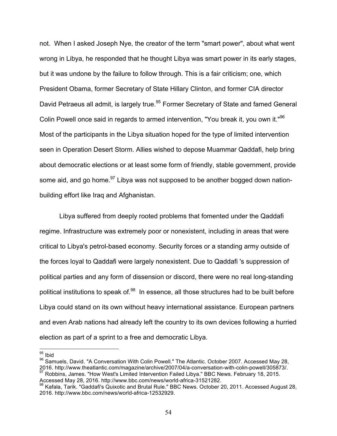not. When I asked Joseph Nye, the creator of the term "smart power", about what went wrong in Libya, he responded that he thought Libya was smart power in its early stages, but it was undone by the failure to follow through. This is a fair criticism; one, which President Obama, former Secretary of State Hillary Clinton, and former CIA director David Petraeus all admit, is largely true.<sup>95</sup> Former Secretary of State and famed General Colin Powell once said in regards to armed intervention, "You break it, you own it."<sup>96</sup> Most of the participants in the Libya situation hoped for the type of limited intervention seen in Operation Desert Storm. Allies wished to depose Muammar Qaddafi, help bring about democratic elections or at least some form of friendly, stable government, provide some aid, and go home. $97$  Libya was not supposed to be another bogged down nationbuilding effort like Iraq and Afghanistan.

Libya suffered from deeply rooted problems that fomented under the Qaddafi regime. Infrastructure was extremely poor or nonexistent, including in areas that were critical to Libya's petrol-based economy. Security forces or a standing army outside of the forces loyal to Qaddafi were largely nonexistent. Due to Qaddafi 's suppression of political parties and any form of dissension or discord, there were no real long-standing political institutions to speak of.<sup>98</sup> In essence, all those structures had to be built before Libya could stand on its own without heavy international assistance. European partners and even Arab nations had already left the country to its own devices following a hurried election as part of a sprint to a free and democratic Libya.

<sup>95</sup> Ibid

96 Samuels, David. "A Conversation With Colin Powell." The Atlantic. October 2007. Accessed May 28,<br>2016. http://www.theatlantic.com/magazine/archive/2007/04/a-conversation-with-colin-powell/305873/. <sup>97</sup> Robbins, James. "How West's Limited Intervention Failed Libya." BBC News. February 18, 2015.

Accessed May 28, 2016. http://www.bbc.com/news/world-africa-31521282.

<sup>98</sup> Kafala, Tarik. "Gaddafi's Quixotic and Brutal Rule." BBC News. October 20, 2011. Accessed August 28, 2016. http://www.bbc.com/news/world-africa-12532929.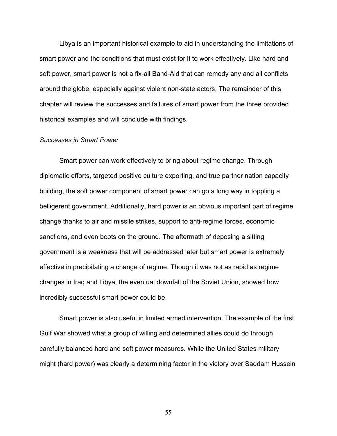Libya is an important historical example to aid in understanding the limitations of smart power and the conditions that must exist for it to work effectively. Like hard and soft power, smart power is not a fix-all Band-Aid that can remedy any and all conflicts around the globe, especially against violent non-state actors. The remainder of this chapter will review the successes and failures of smart power from the three provided historical examples and will conclude with findings.

#### *Successes in Smart Power*

Smart power can work effectively to bring about regime change. Through diplomatic efforts, targeted positive culture exporting, and true partner nation capacity building, the soft power component of smart power can go a long way in toppling a belligerent government. Additionally, hard power is an obvious important part of regime change thanks to air and missile strikes, support to anti-regime forces, economic sanctions, and even boots on the ground. The aftermath of deposing a sitting government is a weakness that will be addressed later but smart power is extremely effective in precipitating a change of regime. Though it was not as rapid as regime changes in Iraq and Libya, the eventual downfall of the Soviet Union, showed how incredibly successful smart power could be.

Smart power is also useful in limited armed intervention. The example of the first Gulf War showed what a group of willing and determined allies could do through carefully balanced hard and soft power measures. While the United States military might (hard power) was clearly a determining factor in the victory over Saddam Hussein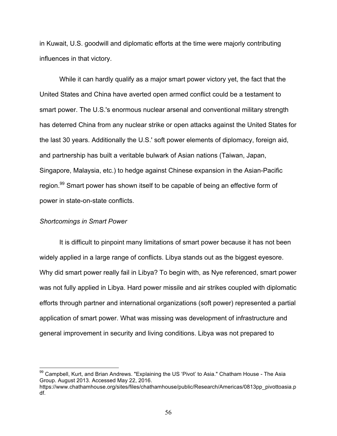in Kuwait, U.S. goodwill and diplomatic efforts at the time were majorly contributing influences in that victory.

While it can hardly qualify as a major smart power victory yet, the fact that the United States and China have averted open armed conflict could be a testament to smart power. The U.S.'s enormous nuclear arsenal and conventional military strength has deterred China from any nuclear strike or open attacks against the United States for the last 30 years. Additionally the U.S.' soft power elements of diplomacy, foreign aid, and partnership has built a veritable bulwark of Asian nations (Taiwan, Japan, Singapore, Malaysia, etc.) to hedge against Chinese expansion in the Asian-Pacific region.<sup>99</sup> Smart power has shown itself to be capable of being an effective form of power in state-on-state conflicts.

## *Shortcomings in Smart Power*

It is difficult to pinpoint many limitations of smart power because it has not been widely applied in a large range of conflicts. Libya stands out as the biggest eyesore. Why did smart power really fail in Libya? To begin with, as Nye referenced, smart power was not fully applied in Libya. Hard power missile and air strikes coupled with diplomatic efforts through partner and international organizations (soft power) represented a partial application of smart power. What was missing was development of infrastructure and general improvement in security and living conditions. Libya was not prepared to

<sup>99</sup> Campbell, Kurt, and Brian Andrews. "Explaining the US 'Pivot' to Asia." Chatham House - The Asia Group. August 2013. Accessed May 22, 2016.

https://www.chathamhouse.org/sites/files/chathamhouse/public/Research/Americas/0813pp\_pivottoasia.p df.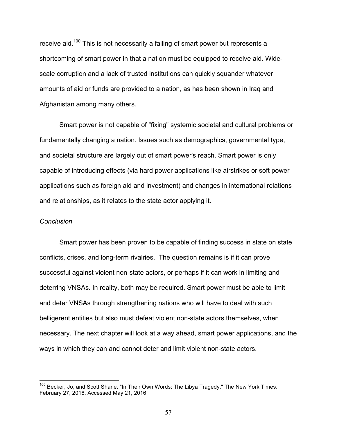receive aid.<sup>100</sup> This is not necessarily a failing of smart power but represents a shortcoming of smart power in that a nation must be equipped to receive aid. Widescale corruption and a lack of trusted institutions can quickly squander whatever amounts of aid or funds are provided to a nation, as has been shown in Iraq and Afghanistan among many others.

Smart power is not capable of "fixing" systemic societal and cultural problems or fundamentally changing a nation. Issues such as demographics, governmental type, and societal structure are largely out of smart power's reach. Smart power is only capable of introducing effects (via hard power applications like airstrikes or soft power applications such as foreign aid and investment) and changes in international relations and relationships, as it relates to the state actor applying it.

### *Conclusion*

Smart power has been proven to be capable of finding success in state on state conflicts, crises, and long-term rivalries. The question remains is if it can prove successful against violent non-state actors, or perhaps if it can work in limiting and deterring VNSAs. In reality, both may be required. Smart power must be able to limit and deter VNSAs through strengthening nations who will have to deal with such belligerent entities but also must defeat violent non-state actors themselves, when necessary. The next chapter will look at a way ahead, smart power applications, and the ways in which they can and cannot deter and limit violent non-state actors.

<sup>&</sup>lt;sup>100</sup> Becker, Jo, and Scott Shane. "In Their Own Words: The Libya Tragedy." The New York Times. February 27, 2016. Accessed May 21, 2016.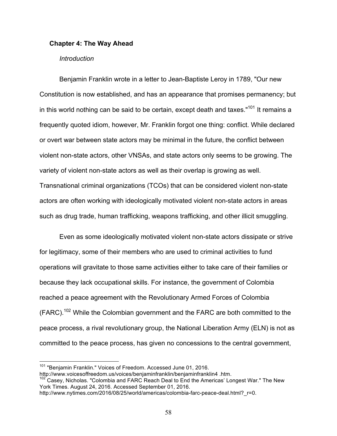### **Chapter 4: The Way Ahead**

#### *Introduction*

Benjamin Franklin wrote in a letter to Jean-Baptiste Leroy in 1789, "Our new Constitution is now established, and has an appearance that promises permanency; but in this world nothing can be said to be certain, except death and taxes." $101$  It remains a frequently quoted idiom, however, Mr. Franklin forgot one thing: conflict. While declared or overt war between state actors may be minimal in the future, the conflict between violent non-state actors, other VNSAs, and state actors only seems to be growing. The variety of violent non-state actors as well as their overlap is growing as well. Transnational criminal organizations (TCOs) that can be considered violent non-state actors are often working with ideologically motivated violent non-state actors in areas such as drug trade, human trafficking, weapons trafficking, and other illicit smuggling.

Even as some ideologically motivated violent non-state actors dissipate or strive for legitimacy, some of their members who are used to criminal activities to fund operations will gravitate to those same activities either to take care of their families or because they lack occupational skills. For instance, the government of Colombia reached a peace agreement with the Revolutionary Armed Forces of Colombia  $(FARC).<sup>102</sup>$  While the Colombian government and the FARC are both committed to the peace process, a rival revolutionary group, the National Liberation Army (ELN) is not as committed to the peace process, has given no concessions to the central government,

<sup>101</sup> "Benjamin Franklin." Voices of Freedom. Accessed June 01, 2016.

http://www.voicesoffreedom.us/voices/benjaminfranklin/benjaminfranklin4 .htm.

 $102$  Casey, Nicholas. "Colombia and FARC Reach Deal to End the Americas' Longest War." The New York Times. August 24, 2016. Accessed September 01, 2016.

http://www.nytimes.com/2016/08/25/world/americas/colombia-farc-peace-deal.html?\_r=0.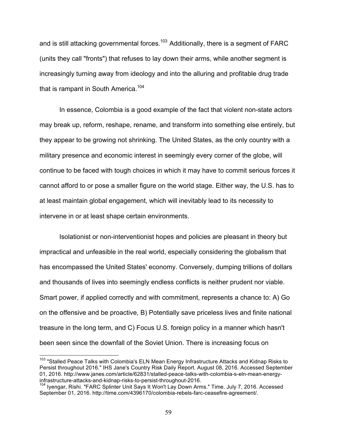and is still attacking governmental forces.<sup>103</sup> Additionally, there is a segment of FARC (units they call "fronts") that refuses to lay down their arms, while another segment is increasingly turning away from ideology and into the alluring and profitable drug trade that is rampant in South America.<sup>104</sup>

In essence, Colombia is a good example of the fact that violent non-state actors may break up, reform, reshape, rename, and transform into something else entirely, but they appear to be growing not shrinking. The United States, as the only country with a military presence and economic interest in seemingly every corner of the globe, will continue to be faced with tough choices in which it may have to commit serious forces it cannot afford to or pose a smaller figure on the world stage. Either way, the U.S. has to at least maintain global engagement, which will inevitably lead to its necessity to intervene in or at least shape certain environments.

Isolationist or non-interventionist hopes and policies are pleasant in theory but impractical and unfeasible in the real world, especially considering the globalism that has encompassed the United States' economy. Conversely, dumping trillions of dollars and thousands of lives into seemingly endless conflicts is neither prudent nor viable. Smart power, if applied correctly and with commitment, represents a chance to: A) Go on the offensive and be proactive, B) Potentially save priceless lives and finite national treasure in the long term, and C) Focus U.S. foreign policy in a manner which hasn't been seen since the downfall of the Soviet Union. There is increasing focus on

<sup>&</sup>lt;sup>103</sup> "Stalled Peace Talks with Colombia's ELN Mean Energy Infrastructure Attacks and Kidnap Risks to Persist throughout 2016." IHS Jane's Country Risk Daily Report. August 08, 2016. Accessed September 01, 2016. http://www.janes.com/article/62831/stalled-peace-talks-with-colombia-s-eln-mean-energyinfrastructure-attacks-and-kidnap-risks-to-persist-throughout-2016.

<sup>104</sup> Iyengar, Rishi. "FARC Splinter Unit Says It Won't Lay Down Arms." Time. July 7, 2016. Accessed September 01, 2016. http://time.com/4396170/colombia-rebels-farc-ceasefire-agreement/.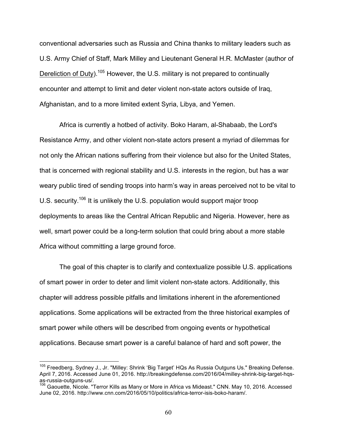conventional adversaries such as Russia and China thanks to military leaders such as U.S. Army Chief of Staff, Mark Milley and Lieutenant General H.R. McMaster (author of Dereliction of Duty).<sup>105</sup> However, the U.S. military is not prepared to continually encounter and attempt to limit and deter violent non-state actors outside of Iraq, Afghanistan, and to a more limited extent Syria, Libya, and Yemen.

Africa is currently a hotbed of activity. Boko Haram, al-Shabaab, the Lord's Resistance Army, and other violent non-state actors present a myriad of dilemmas for not only the African nations suffering from their violence but also for the United States, that is concerned with regional stability and U.S. interests in the region, but has a war weary public tired of sending troops into harm's way in areas perceived not to be vital to U.S. security.<sup>106</sup> It is unlikely the U.S. population would support major troop deployments to areas like the Central African Republic and Nigeria. However, here as well, smart power could be a long-term solution that could bring about a more stable Africa without committing a large ground force.

The goal of this chapter is to clarify and contextualize possible U.S. applications of smart power in order to deter and limit violent non-state actors. Additionally, this chapter will address possible pitfalls and limitations inherent in the aforementioned applications. Some applications will be extracted from the three historical examples of smart power while others will be described from ongoing events or hypothetical applications. Because smart power is a careful balance of hard and soft power, the

<sup>&</sup>lt;sup>105</sup> Freedberg, Sydney J., Jr. "Milley: Shrink 'Big Target' HQs As Russia Outguns Us." Breaking Defense. April 7, 2016. Accessed June 01, 2016. http://breakingdefense.com/2016/04/milley-shrink-big-target-hqsas-russia-outguns-us/.

<sup>106</sup> Gaouette. Nicole. "Terror Kills as Many or More in Africa vs Mideast." CNN. May 10, 2016. Accessed June 02, 2016. http://www.cnn.com/2016/05/10/politics/africa-terror-isis-boko-haram/.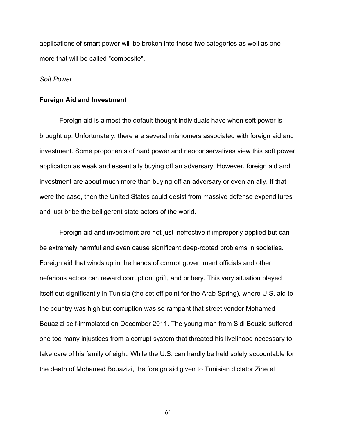applications of smart power will be broken into those two categories as well as one more that will be called "composite".

#### *Soft Power*

### **Foreign Aid and Investment**

Foreign aid is almost the default thought individuals have when soft power is brought up. Unfortunately, there are several misnomers associated with foreign aid and investment. Some proponents of hard power and neoconservatives view this soft power application as weak and essentially buying off an adversary. However, foreign aid and investment are about much more than buying off an adversary or even an ally. If that were the case, then the United States could desist from massive defense expenditures and just bribe the belligerent state actors of the world.

Foreign aid and investment are not just ineffective if improperly applied but can be extremely harmful and even cause significant deep-rooted problems in societies. Foreign aid that winds up in the hands of corrupt government officials and other nefarious actors can reward corruption, grift, and bribery. This very situation played itself out significantly in Tunisia (the set off point for the Arab Spring), where U.S. aid to the country was high but corruption was so rampant that street vendor Mohamed Bouazizi self-immolated on December 2011. The young man from Sidi Bouzid suffered one too many injustices from a corrupt system that threated his livelihood necessary to take care of his family of eight. While the U.S. can hardly be held solely accountable for the death of Mohamed Bouazizi, the foreign aid given to Tunisian dictator Zine el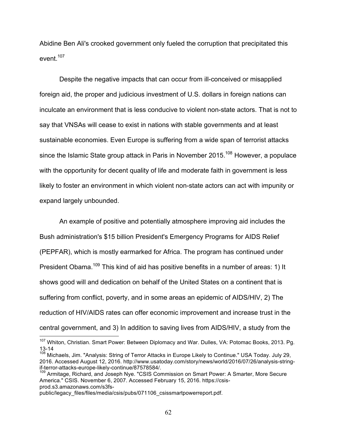Abidine Ben Ali's crooked government only fueled the corruption that precipitated this event $107$ 

Despite the negative impacts that can occur from ill-conceived or misapplied foreign aid, the proper and judicious investment of U.S. dollars in foreign nations can inculcate an environment that is less conducive to violent non-state actors. That is not to say that VNSAs will cease to exist in nations with stable governments and at least sustainable economies. Even Europe is suffering from a wide span of terrorist attacks since the Islamic State group attack in Paris in November 2015.<sup>108</sup> However, a populace with the opportunity for decent quality of life and moderate faith in government is less likely to foster an environment in which violent non-state actors can act with impunity or expand largely unbounded.

An example of positive and potentially atmosphere improving aid includes the Bush administration's \$15 billion President's Emergency Programs for AIDS Relief (PEPFAR), which is mostly earmarked for Africa. The program has continued under President Obama.<sup>109</sup> This kind of aid has positive benefits in a number of areas: 1) It shows good will and dedication on behalf of the United States on a continent that is suffering from conflict, poverty, and in some areas an epidemic of AIDS/HIV, 2) The reduction of HIV/AIDS rates can offer economic improvement and increase trust in the central government, and 3) In addition to saving lives from AIDS/HIV, a study from the

<sup>&</sup>lt;sup>107</sup> Whiton, Christian. Smart Power: Between Diplomacy and War. Dulles, VA: Potomac Books, 2013. Pg. 13-14

<sup>&</sup>lt;sup>108</sup> Michaels, Jim. "Analysis: String of Terror Attacks in Europe Likely to Continue." USA Today. July 29, 2016. Accessed August 12, 2016. http://www.usatoday.com/story/news/world/2016/07/26/analysis-stringif-terror-attacks-europe-likely-continue/87578584/.

<sup>&</sup>lt;sup>109</sup> Armitage, Richard, and Joseph Nye. "CSIS Commission on Smart Power: A Smarter, More Secure America." CSIS. November 6, 2007. Accessed February 15, 2016. https://csisprod.s3.amazonaws.com/s3fs-

public/legacy\_files/files/media/csis/pubs/071106\_csissmartpowerreport.pdf.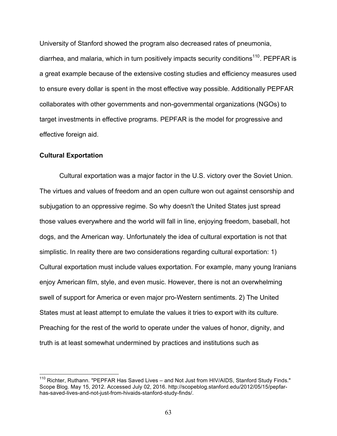University of Stanford showed the program also decreased rates of pneumonia, diarrhea, and malaria, which in turn positively impacts security conditions<sup>110</sup>. PEPFAR is a great example because of the extensive costing studies and efficiency measures used to ensure every dollar is spent in the most effective way possible. Additionally PEPFAR collaborates with other governments and non-governmental organizations (NGOs) to target investments in effective programs. PEPFAR is the model for progressive and effective foreign aid.

## **Cultural Exportation**

Cultural exportation was a major factor in the U.S. victory over the Soviet Union. The virtues and values of freedom and an open culture won out against censorship and subjugation to an oppressive regime. So why doesn't the United States just spread those values everywhere and the world will fall in line, enjoying freedom, baseball, hot dogs, and the American way. Unfortunately the idea of cultural exportation is not that simplistic. In reality there are two considerations regarding cultural exportation: 1) Cultural exportation must include values exportation. For example, many young Iranians enjoy American film, style, and even music. However, there is not an overwhelming swell of support for America or even major pro-Western sentiments. 2) The United States must at least attempt to emulate the values it tries to export with its culture. Preaching for the rest of the world to operate under the values of honor, dignity, and truth is at least somewhat undermined by practices and institutions such as

<sup>&</sup>lt;sup>110</sup> Richter, Ruthann. "PEPFAR Has Saved Lives – and Not Just from HIV/AIDS, Stanford Study Finds." Scope Blog. May 15, 2012. Accessed July 02, 2016. http://scopeblog.stanford.edu/2012/05/15/pepfarhas-saved-lives-and-not-just-from-hivaids-stanford-study-finds/.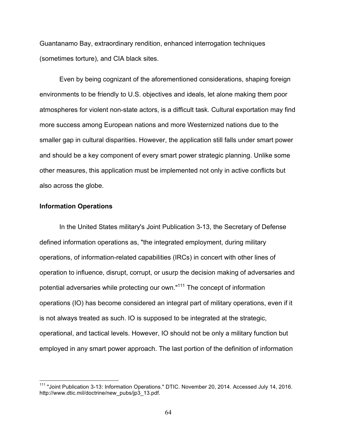Guantanamo Bay, extraordinary rendition, enhanced interrogation techniques (sometimes torture), and CIA black sites.

Even by being cognizant of the aforementioned considerations, shaping foreign environments to be friendly to U.S. objectives and ideals, let alone making them poor atmospheres for violent non-state actors, is a difficult task. Cultural exportation may find more success among European nations and more Westernized nations due to the smaller gap in cultural disparities. However, the application still falls under smart power and should be a key component of every smart power strategic planning. Unlike some other measures, this application must be implemented not only in active conflicts but also across the globe.

## **Information Operations**

In the United States military's Joint Publication 3-13, the Secretary of Defense defined information operations as, "the integrated employment, during military operations, of information-related capabilities (IRCs) in concert with other lines of operation to influence, disrupt, corrupt, or usurp the decision making of adversaries and potential adversaries while protecting our own."111 The concept of information operations (IO) has become considered an integral part of military operations, even if it is not always treated as such. IO is supposed to be integrated at the strategic, operational, and tactical levels. However, IO should not be only a military function but employed in any smart power approach. The last portion of the definition of information

<sup>111</sup> "Joint Publication 3-13: Information Operations." DTIC. November 20, 2014. Accessed July 14, 2016. http://www.dtic.mil/doctrine/new\_pubs/jp3\_13.pdf.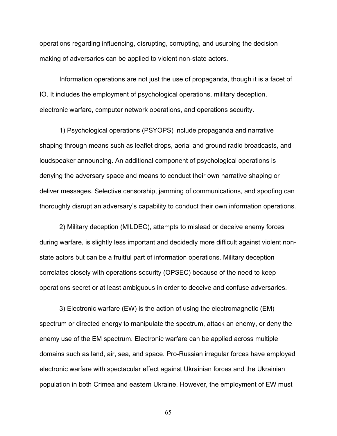operations regarding influencing, disrupting, corrupting, and usurping the decision making of adversaries can be applied to violent non-state actors.

Information operations are not just the use of propaganda, though it is a facet of IO. It includes the employment of psychological operations, military deception, electronic warfare, computer network operations, and operations security.

1) Psychological operations (PSYOPS) include propaganda and narrative shaping through means such as leaflet drops, aerial and ground radio broadcasts, and loudspeaker announcing. An additional component of psychological operations is denying the adversary space and means to conduct their own narrative shaping or deliver messages. Selective censorship, jamming of communications, and spoofing can thoroughly disrupt an adversary's capability to conduct their own information operations.

2) Military deception (MILDEC), attempts to mislead or deceive enemy forces during warfare, is slightly less important and decidedly more difficult against violent nonstate actors but can be a fruitful part of information operations. Military deception correlates closely with operations security (OPSEC) because of the need to keep operations secret or at least ambiguous in order to deceive and confuse adversaries.

3) Electronic warfare (EW) is the action of using the electromagnetic (EM) spectrum or directed energy to manipulate the spectrum, attack an enemy, or deny the enemy use of the EM spectrum. Electronic warfare can be applied across multiple domains such as land, air, sea, and space. Pro-Russian irregular forces have employed electronic warfare with spectacular effect against Ukrainian forces and the Ukrainian population in both Crimea and eastern Ukraine. However, the employment of EW must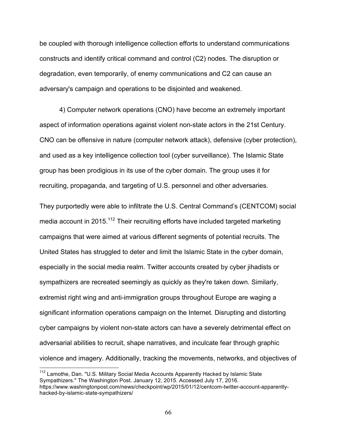be coupled with thorough intelligence collection efforts to understand communications constructs and identify critical command and control (C2) nodes. The disruption or degradation, even temporarily, of enemy communications and C2 can cause an adversary's campaign and operations to be disjointed and weakened.

4) Computer network operations (CNO) have become an extremely important aspect of information operations against violent non-state actors in the 21st Century. CNO can be offensive in nature (computer network attack), defensive (cyber protection), and used as a key intelligence collection tool (cyber surveillance). The Islamic State group has been prodigious in its use of the cyber domain. The group uses it for recruiting, propaganda, and targeting of U.S. personnel and other adversaries.

They purportedly were able to infiltrate the U.S. Central Command's (CENTCOM) social media account in 2015.<sup>112</sup> Their recruiting efforts have included targeted marketing campaigns that were aimed at various different segments of potential recruits. The United States has struggled to deter and limit the Islamic State in the cyber domain, especially in the social media realm. Twitter accounts created by cyber jihadists or sympathizers are recreated seemingly as quickly as they're taken down. Similarly, extremist right wing and anti-immigration groups throughout Europe are waging a significant information operations campaign on the Internet. Disrupting and distorting cyber campaigns by violent non-state actors can have a severely detrimental effect on adversarial abilities to recruit, shape narratives, and inculcate fear through graphic violence and imagery. Additionally, tracking the movements, networks, and objectives of

<sup>&</sup>lt;sup>112</sup> Lamothe, Dan. "U.S. Military Social Media Accounts Apparently Hacked by Islamic State Sympathizers." The Washington Post. January 12, 2015. Accessed July 17, 2016. https://www.washingtonpost.com/news/checkpoint/wp/2015/01/12/centcom-twitter-account-apparentlyhacked-by-islamic-state-sympathizers/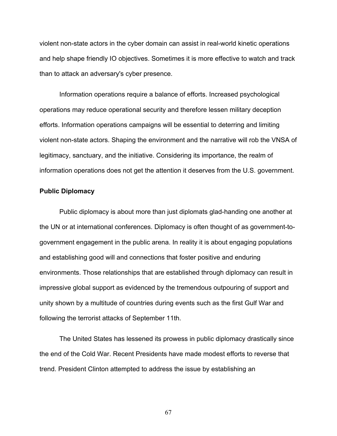violent non-state actors in the cyber domain can assist in real-world kinetic operations and help shape friendly IO objectives. Sometimes it is more effective to watch and track than to attack an adversary's cyber presence.

Information operations require a balance of efforts. Increased psychological operations may reduce operational security and therefore lessen military deception efforts. Information operations campaigns will be essential to deterring and limiting violent non-state actors. Shaping the environment and the narrative will rob the VNSA of legitimacy, sanctuary, and the initiative. Considering its importance, the realm of information operations does not get the attention it deserves from the U.S. government.

## **Public Diplomacy**

Public diplomacy is about more than just diplomats glad-handing one another at the UN or at international conferences. Diplomacy is often thought of as government-togovernment engagement in the public arena. In reality it is about engaging populations and establishing good will and connections that foster positive and enduring environments. Those relationships that are established through diplomacy can result in impressive global support as evidenced by the tremendous outpouring of support and unity shown by a multitude of countries during events such as the first Gulf War and following the terrorist attacks of September 11th.

The United States has lessened its prowess in public diplomacy drastically since the end of the Cold War. Recent Presidents have made modest efforts to reverse that trend. President Clinton attempted to address the issue by establishing an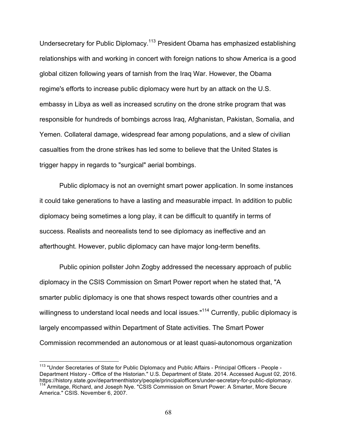Undersecretary for Public Diplomacy.113 President Obama has emphasized establishing relationships with and working in concert with foreign nations to show America is a good global citizen following years of tarnish from the Iraq War. However, the Obama regime's efforts to increase public diplomacy were hurt by an attack on the U.S. embassy in Libya as well as increased scrutiny on the drone strike program that was responsible for hundreds of bombings across Iraq, Afghanistan, Pakistan, Somalia, and Yemen. Collateral damage, widespread fear among populations, and a slew of civilian casualties from the drone strikes has led some to believe that the United States is trigger happy in regards to "surgical" aerial bombings.

Public diplomacy is not an overnight smart power application. In some instances it could take generations to have a lasting and measurable impact. In addition to public diplomacy being sometimes a long play, it can be difficult to quantify in terms of success. Realists and neorealists tend to see diplomacy as ineffective and an afterthought. However, public diplomacy can have major long-term benefits.

Public opinion pollster John Zogby addressed the necessary approach of public diplomacy in the CSIS Commission on Smart Power report when he stated that, "A smarter public diplomacy is one that shows respect towards other countries and a willingness to understand local needs and local issues."<sup>114</sup> Currently, public diplomacy is largely encompassed within Department of State activities. The Smart Power Commission recommended an autonomous or at least quasi-autonomous organization

<sup>113</sup> "Under Secretaries of State for Public Diplomacy and Public Affairs - Principal Officers - People - Department History - Office of the Historian." U.S. Department of State. 2014. Accessed August 02, 2016.<br>https://history.state.gov/departmenthistory/people/principalofficers/under-secretary-for-public-diplomacy. <sup>114</sup> Armitage, Richard, and Joseph Nye. "CSIS Commission on Smart Power: A Smarter, More Secure America." CSIS. November 6, 2007.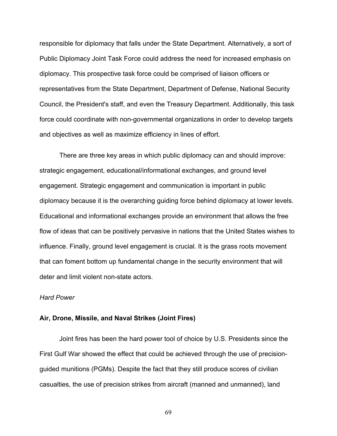responsible for diplomacy that falls under the State Department. Alternatively, a sort of Public Diplomacy Joint Task Force could address the need for increased emphasis on diplomacy. This prospective task force could be comprised of liaison officers or representatives from the State Department, Department of Defense, National Security Council, the President's staff, and even the Treasury Department. Additionally, this task force could coordinate with non-governmental organizations in order to develop targets and objectives as well as maximize efficiency in lines of effort.

There are three key areas in which public diplomacy can and should improve: strategic engagement, educational/informational exchanges, and ground level engagement. Strategic engagement and communication is important in public diplomacy because it is the overarching guiding force behind diplomacy at lower levels. Educational and informational exchanges provide an environment that allows the free flow of ideas that can be positively pervasive in nations that the United States wishes to influence. Finally, ground level engagement is crucial. It is the grass roots movement that can foment bottom up fundamental change in the security environment that will deter and limit violent non-state actors.

#### *Hard Power*

#### **Air, Drone, Missile, and Naval Strikes (Joint Fires)**

Joint fires has been the hard power tool of choice by U.S. Presidents since the First Gulf War showed the effect that could be achieved through the use of precisionguided munitions (PGMs). Despite the fact that they still produce scores of civilian casualties, the use of precision strikes from aircraft (manned and unmanned), land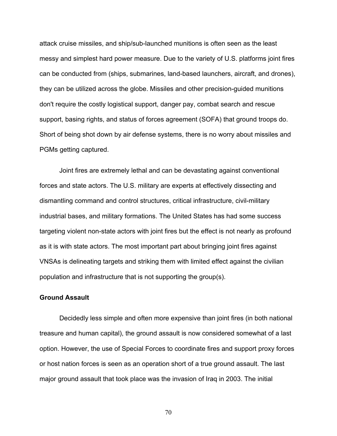attack cruise missiles, and ship/sub-launched munitions is often seen as the least messy and simplest hard power measure. Due to the variety of U.S. platforms joint fires can be conducted from (ships, submarines, land-based launchers, aircraft, and drones), they can be utilized across the globe. Missiles and other precision-guided munitions don't require the costly logistical support, danger pay, combat search and rescue support, basing rights, and status of forces agreement (SOFA) that ground troops do. Short of being shot down by air defense systems, there is no worry about missiles and PGMs getting captured.

Joint fires are extremely lethal and can be devastating against conventional forces and state actors. The U.S. military are experts at effectively dissecting and dismantling command and control structures, critical infrastructure, civil-military industrial bases, and military formations. The United States has had some success targeting violent non-state actors with joint fires but the effect is not nearly as profound as it is with state actors. The most important part about bringing joint fires against VNSAs is delineating targets and striking them with limited effect against the civilian population and infrastructure that is not supporting the group(s).

#### **Ground Assault**

Decidedly less simple and often more expensive than joint fires (in both national treasure and human capital), the ground assault is now considered somewhat of a last option. However, the use of Special Forces to coordinate fires and support proxy forces or host nation forces is seen as an operation short of a true ground assault. The last major ground assault that took place was the invasion of Iraq in 2003. The initial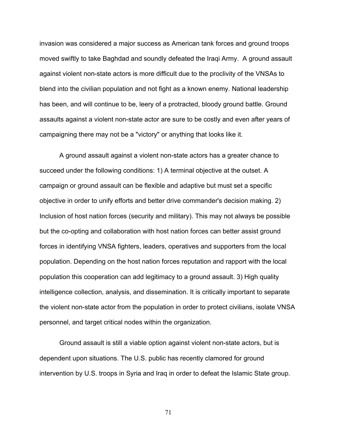invasion was considered a major success as American tank forces and ground troops moved swiftly to take Baghdad and soundly defeated the Iraqi Army. A ground assault against violent non-state actors is more difficult due to the proclivity of the VNSAs to blend into the civilian population and not fight as a known enemy. National leadership has been, and will continue to be, leery of a protracted, bloody ground battle. Ground assaults against a violent non-state actor are sure to be costly and even after years of campaigning there may not be a "victory" or anything that looks like it.

A ground assault against a violent non-state actors has a greater chance to succeed under the following conditions: 1) A terminal objective at the outset. A campaign or ground assault can be flexible and adaptive but must set a specific objective in order to unify efforts and better drive commander's decision making. 2) Inclusion of host nation forces (security and military). This may not always be possible but the co-opting and collaboration with host nation forces can better assist ground forces in identifying VNSA fighters, leaders, operatives and supporters from the local population. Depending on the host nation forces reputation and rapport with the local population this cooperation can add legitimacy to a ground assault. 3) High quality intelligence collection, analysis, and dissemination. It is critically important to separate the violent non-state actor from the population in order to protect civilians, isolate VNSA personnel, and target critical nodes within the organization.

Ground assault is still a viable option against violent non-state actors, but is dependent upon situations. The U.S. public has recently clamored for ground intervention by U.S. troops in Syria and Iraq in order to defeat the Islamic State group.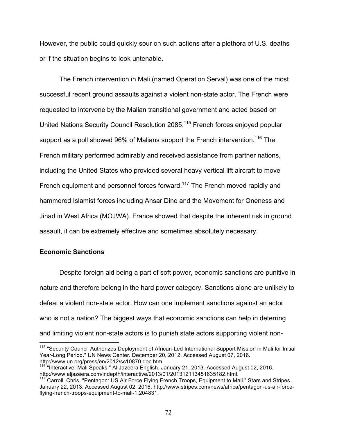However, the public could quickly sour on such actions after a plethora of U.S. deaths or if the situation begins to look untenable.

The French intervention in Mali (named Operation Serval) was one of the most successful recent ground assaults against a violent non-state actor. The French were requested to intervene by the Malian transitional government and acted based on United Nations Security Council Resolution 2085.<sup>115</sup> French forces enjoyed popular support as a poll showed 96% of Malians support the French intervention.<sup>116</sup> The French military performed admirably and received assistance from partner nations, including the United States who provided several heavy vertical lift aircraft to move French equipment and personnel forces forward.<sup>117</sup> The French moved rapidly and hammered Islamist forces including Ansar Dine and the Movement for Oneness and Jihad in West Africa (MOJWA). France showed that despite the inherent risk in ground assault, it can be extremely effective and sometimes absolutely necessary.

## **Economic Sanctions**

Despite foreign aid being a part of soft power, economic sanctions are punitive in nature and therefore belong in the hard power category. Sanctions alone are unlikely to defeat a violent non-state actor. How can one implement sanctions against an actor who is not a nation? The biggest ways that economic sanctions can help in deterring and limiting violent non-state actors is to punish state actors supporting violent non-

<sup>&</sup>lt;sup>115</sup> "Security Council Authorizes Deployment of African-Led International Support Mission in Mali for Initial Year-Long Period." UN News Center. December 20, 2012. Accessed August 07, 2016. http://www.un.org/press/en/2012/sc10870.doc.htm.

<sup>&</sup>lt;sup>3</sup> "Interactive: Mali Speaks." Al Jazeera English. January 21, 2013. Accessed August 02, 2016. http://www.aljazeera.com/indepth/interactive/2013/01/201312113451635182.html.

Carroll, Chris. "Pentagon: US Air Force Flying French Troops, Equipment to Mali." Stars and Stripes. January 22, 2013. Accessed August 02, 2016. http://www.stripes.com/news/africa/pentagon-us-air-forceflying-french-troops-equipment-to-mali-1.204831.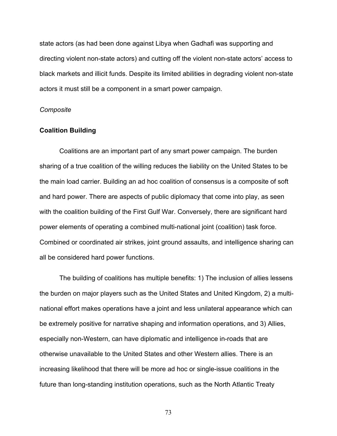state actors (as had been done against Libya when Gadhafi was supporting and directing violent non-state actors) and cutting off the violent non-state actors' access to black markets and illicit funds. Despite its limited abilities in degrading violent non-state actors it must still be a component in a smart power campaign.

#### *Composite*

#### **Coalition Building**

Coalitions are an important part of any smart power campaign. The burden sharing of a true coalition of the willing reduces the liability on the United States to be the main load carrier. Building an ad hoc coalition of consensus is a composite of soft and hard power. There are aspects of public diplomacy that come into play, as seen with the coalition building of the First Gulf War. Conversely, there are significant hard power elements of operating a combined multi-national joint (coalition) task force. Combined or coordinated air strikes, joint ground assaults, and intelligence sharing can all be considered hard power functions.

The building of coalitions has multiple benefits: 1) The inclusion of allies lessens the burden on major players such as the United States and United Kingdom, 2) a multinational effort makes operations have a joint and less unilateral appearance which can be extremely positive for narrative shaping and information operations, and 3) Allies, especially non-Western, can have diplomatic and intelligence in-roads that are otherwise unavailable to the United States and other Western allies. There is an increasing likelihood that there will be more ad hoc or single-issue coalitions in the future than long-standing institution operations, such as the North Atlantic Treaty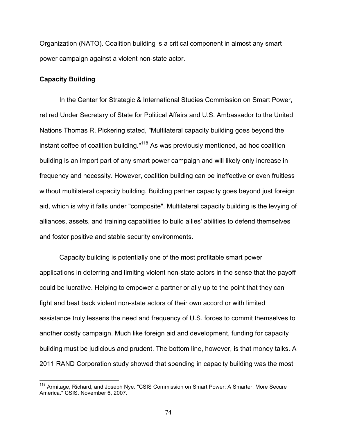Organization (NATO). Coalition building is a critical component in almost any smart power campaign against a violent non-state actor.

### **Capacity Building**

In the Center for Strategic & International Studies Commission on Smart Power, retired Under Secretary of State for Political Affairs and U.S. Ambassador to the United Nations Thomas R. Pickering stated, "Multilateral capacity building goes beyond the instant coffee of coalition building."<sup>118</sup> As was previously mentioned, ad hoc coalition building is an import part of any smart power campaign and will likely only increase in frequency and necessity. However, coalition building can be ineffective or even fruitless without multilateral capacity building. Building partner capacity goes beyond just foreign aid, which is why it falls under "composite". Multilateral capacity building is the levying of alliances, assets, and training capabilities to build allies' abilities to defend themselves and foster positive and stable security environments.

Capacity building is potentially one of the most profitable smart power applications in deterring and limiting violent non-state actors in the sense that the payoff could be lucrative. Helping to empower a partner or ally up to the point that they can fight and beat back violent non-state actors of their own accord or with limited assistance truly lessens the need and frequency of U.S. forces to commit themselves to another costly campaign. Much like foreign aid and development, funding for capacity building must be judicious and prudent. The bottom line, however, is that money talks. A 2011 RAND Corporation study showed that spending in capacity building was the most

<sup>&</sup>lt;sup>118</sup> Armitage, Richard, and Joseph Nye. "CSIS Commission on Smart Power: A Smarter, More Secure America." CSIS. November 6, 2007.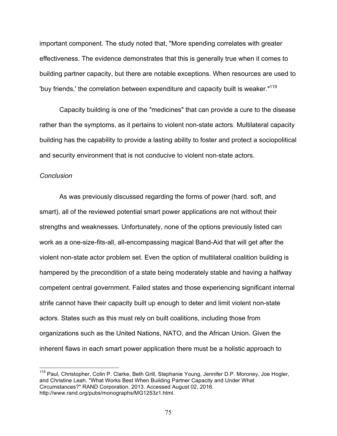important component. The study noted that, "More spending correlates with greater effectiveness. The evidence demonstrates that this is generally true when it comes to building partner capacity, but there are notable exceptions. When resources are used to 'buy friends,' the correlation between expenditure and capacity built is weaker."119

Capacity building is one of the "medicines" that can provide a cure to the disease rather than the symptoms, as it pertains to violent non-state actors. Multilateral capacity building has the capability to provide a lasting ability to foster and protect a sociopolitical and security environment that is not conducive to violent non-state actors.

#### *Conclusion*

As was previously discussed regarding the forms of power (hard. soft, and smart), all of the reviewed potential smart power applications are not without their strengths and weaknesses. Unfortunately, none of the options previously listed can work as a one-size-fits-all, all-encompassing magical Band-Aid that will get after the violent non-state actor problem set. Even the option of multilateral coalition building is hampered by the precondition of a state being moderately stable and having a halfway competent central government. Failed states and those experiencing significant internal strife cannot have their capacity built up enough to deter and limit violent non-state actors. States such as this must rely on built coalitions, including those from organizations such as the United Nations, NATO, and the African Union. Given the inherent flaws in each smart power application there must be a holistic approach to

<sup>&</sup>lt;sup>119</sup> Paul, Christopher, Colin P. Clarke, Beth Grill, Stephanie Young, Jennifer D.P. Moroney, Joe Hogler, and Christine Leah. "What Works Best When Building Partner Capacity and Under What Circumstances?" RAND Corporation. 2013. Accessed August 02, 2016. http://www.rand.org/pubs/monographs/MG1253z1.html.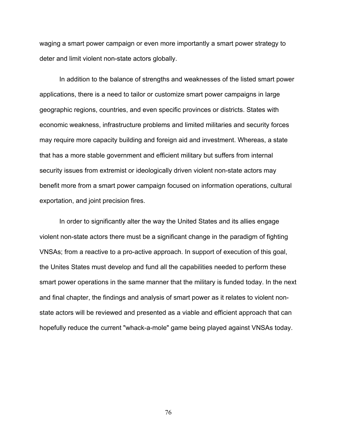waging a smart power campaign or even more importantly a smart power strategy to deter and limit violent non-state actors globally.

In addition to the balance of strengths and weaknesses of the listed smart power applications, there is a need to tailor or customize smart power campaigns in large geographic regions, countries, and even specific provinces or districts. States with economic weakness, infrastructure problems and limited militaries and security forces may require more capacity building and foreign aid and investment. Whereas, a state that has a more stable government and efficient military but suffers from internal security issues from extremist or ideologically driven violent non-state actors may benefit more from a smart power campaign focused on information operations, cultural exportation, and joint precision fires.

In order to significantly alter the way the United States and its allies engage violent non-state actors there must be a significant change in the paradigm of fighting VNSAs; from a reactive to a pro-active approach. In support of execution of this goal, the Unites States must develop and fund all the capabilities needed to perform these smart power operations in the same manner that the military is funded today. In the next and final chapter, the findings and analysis of smart power as it relates to violent nonstate actors will be reviewed and presented as a viable and efficient approach that can hopefully reduce the current "whack-a-mole" game being played against VNSAs today.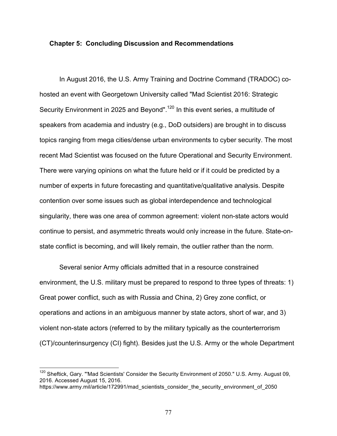#### **Chapter 5: Concluding Discussion and Recommendations**

In August 2016, the U.S. Army Training and Doctrine Command (TRADOC) cohosted an event with Georgetown University called "Mad Scientist 2016: Strategic Security Environment in 2025 and Beyond".<sup>120</sup> In this event series, a multitude of speakers from academia and industry (e.g., DoD outsiders) are brought in to discuss topics ranging from mega cities/dense urban environments to cyber security. The most recent Mad Scientist was focused on the future Operational and Security Environment. There were varying opinions on what the future held or if it could be predicted by a number of experts in future forecasting and quantitative/qualitative analysis. Despite contention over some issues such as global interdependence and technological singularity, there was one area of common agreement: violent non-state actors would continue to persist, and asymmetric threats would only increase in the future. State-onstate conflict is becoming, and will likely remain, the outlier rather than the norm.

Several senior Army officials admitted that in a resource constrained environment, the U.S. military must be prepared to respond to three types of threats: 1) Great power conflict, such as with Russia and China, 2) Grey zone conflict, or operations and actions in an ambiguous manner by state actors, short of war, and 3) violent non-state actors (referred to by the military typically as the counterterrorism (CT)/counterinsurgency (CI) fight). Besides just the U.S. Army or the whole Department

<sup>&</sup>lt;sup>120</sup> Sheftick, Gary. "'Mad Scientists' Consider the Security Environment of 2050." U.S. Army. August 09, 2016. Accessed August 15, 2016.

https://www.army.mil/article/172991/mad\_scientists\_consider\_the\_security\_environment\_of\_2050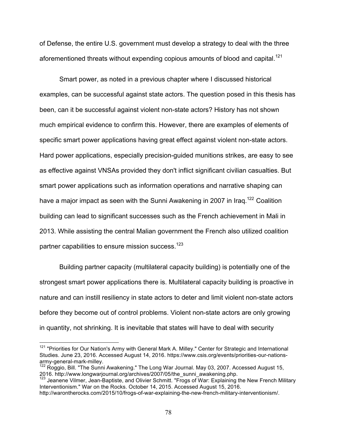of Defense, the entire U.S. government must develop a strategy to deal with the three aforementioned threats without expending copious amounts of blood and capital.<sup>121</sup>

Smart power, as noted in a previous chapter where I discussed historical examples, can be successful against state actors. The question posed in this thesis has been, can it be successful against violent non-state actors? History has not shown much empirical evidence to confirm this. However, there are examples of elements of specific smart power applications having great effect against violent non-state actors. Hard power applications, especially precision-guided munitions strikes, are easy to see as effective against VNSAs provided they don't inflict significant civilian casualties. But smart power applications such as information operations and narrative shaping can have a major impact as seen with the Sunni Awakening in 2007 in Iraq.<sup>122</sup> Coalition building can lead to significant successes such as the French achievement in Mali in 2013. While assisting the central Malian government the French also utilized coalition partner capabilities to ensure mission success.<sup>123</sup>

Building partner capacity (multilateral capacity building) is potentially one of the strongest smart power applications there is. Multilateral capacity building is proactive in nature and can instill resiliency in state actors to deter and limit violent non-state actors before they become out of control problems. Violent non-state actors are only growing in quantity, not shrinking. It is inevitable that states will have to deal with security

<sup>&</sup>lt;sup>121</sup> "Priorities for Our Nation's Army with General Mark A. Milley." Center for Strategic and International Studies. June 23, 2016. Accessed August 14, 2016. https://www.csis.org/events/priorities-our-nationsarmy-general-mark-milley.<br><sup>122</sup> Roggio, Bill. "The Sunni Awakening." The Long War Journal. May 03, 2007. Accessed August 15,

<sup>2016.</sup> http://www.longwarjournal.org/archives/2007/05/the\_sunni\_awakening.php.<br><sup>123</sup> Jeanene Vilmer, Jean-Baptiste, and Olivier Schmitt. "Frogs of War: Explaining the New French Military

Interventionism." War on the Rocks. October 14, 2015. Accessed August 15, 2016.

http://warontherocks.com/2015/10/frogs-of-war-explaining-the-new-french-military-interventionism/.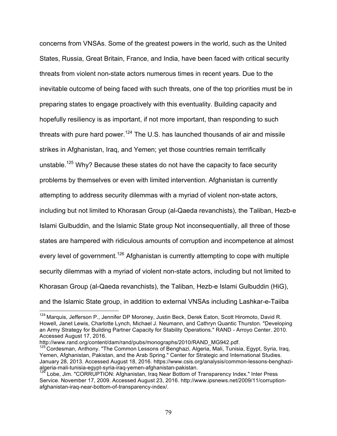concerns from VNSAs. Some of the greatest powers in the world, such as the United States, Russia, Great Britain, France, and India, have been faced with critical security threats from violent non-state actors numerous times in recent years. Due to the inevitable outcome of being faced with such threats, one of the top priorities must be in preparing states to engage proactively with this eventuality. Building capacity and hopefully resiliency is as important, if not more important, than responding to such threats with pure hard power.<sup>124</sup> The U.S. has launched thousands of air and missile strikes in Afghanistan, Iraq, and Yemen; yet those countries remain terrifically unstable.<sup>125</sup> Why? Because these states do not have the capacity to face security problems by themselves or even with limited intervention. Afghanistan is currently attempting to address security dilemmas with a myriad of violent non-state actors, including but not limited to Khorasan Group (al-Qaeda revanchists), the Taliban, Hezb-e Islami Gulbuddin, and the Islamic State group Not inconsequentially, all three of those states are hampered with ridiculous amounts of corruption and incompetence at almost every level of government.<sup>126</sup> Afghanistan is currently attempting to cope with multiple security dilemmas with a myriad of violent non-state actors, including but not limited to Khorasan Group (al-Qaeda revanchists), the Taliban, Hezb-e Islami Gulbuddin (HiG), and the Islamic State group, in addition to external VNSAs including Lashkar-e-Taiiba

<sup>&</sup>lt;sup>124</sup> Marquis, Jefferson P., Jennifer DP Moroney, Justin Beck, Derek Eaton, Scott Hiromoto, David R. Howell, Janet Lewis, Charlotte Lynch, Michael J. Neumann, and Cathryn Quantic Thurston. "Developing an Army Strategy for Building Partner Capacity for Stability Operations." RAND - Arroyo Center. 2010. Accessed August 17, 2016.

http://www.rand.org/content/dam/rand/pubs/monographs/2010/RAND\_MG942.pdf.

<sup>&</sup>lt;sup>125</sup> Cordesman, Anthony. "The Common Lessons of Benghazi, Algeria, Mali, Tunisia, Egypt, Syria, Irag, Yemen, Afghanistan, Pakistan, and the Arab Spring." Center for Strategic and International Studies. January 28, 2013. Accessed August 18, 2016. https://www.csis.org/analysis/common-lessons-benghazialgeria-mali-tunisia-egypt-syria-iraq-yemen-afghanistan-pakistan. <sup>126</sup> Lobe, Jim. "CORRUPTION: Afghanistan, Iraq Near Bottom of Transparency Index." Inter Press

Service. November 17, 2009. Accessed August 23, 2016. http://www.ipsnews.net/2009/11/corruptionafghanistan-iraq-near-bottom-of-transparency-index/.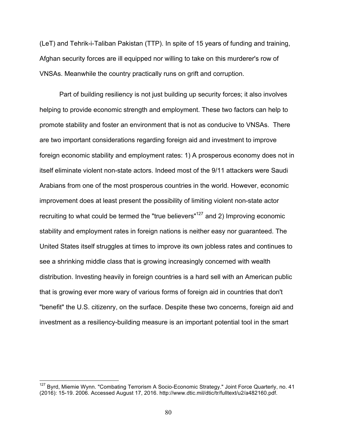(LeT) and Tehrik-i-Taliban Pakistan (TTP). In spite of 15 years of funding and training, Afghan security forces are ill equipped nor willing to take on this murderer's row of VNSAs. Meanwhile the country practically runs on grift and corruption.

Part of building resiliency is not just building up security forces; it also involves helping to provide economic strength and employment. These two factors can help to promote stability and foster an environment that is not as conducive to VNSAs. There are two important considerations regarding foreign aid and investment to improve foreign economic stability and employment rates: 1) A prosperous economy does not in itself eliminate violent non-state actors. Indeed most of the 9/11 attackers were Saudi Arabians from one of the most prosperous countries in the world. However, economic improvement does at least present the possibility of limiting violent non-state actor recruiting to what could be termed the "true believers"127 and 2) Improving economic stability and employment rates in foreign nations is neither easy nor guaranteed. The United States itself struggles at times to improve its own jobless rates and continues to see a shrinking middle class that is growing increasingly concerned with wealth distribution. Investing heavily in foreign countries is a hard sell with an American public that is growing ever more wary of various forms of foreign aid in countries that don't "benefit" the U.S. citizenry, on the surface. Despite these two concerns, foreign aid and investment as a resiliency-building measure is an important potential tool in the smart

<sup>&</sup>lt;sup>127</sup> Byrd, Miemie Wynn. "Combating Terrorism A Socio-Economic Strategy." Joint Force Quarterly, no. 41 (2016): 15-19. 2006. Accessed August 17, 2016. http://www.dtic.mil/dtic/tr/fulltext/u2/a482160.pdf.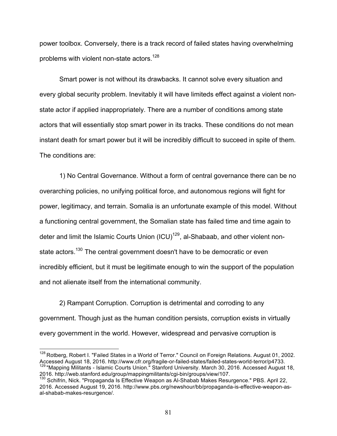power toolbox. Conversely, there is a track record of failed states having overwhelming problems with violent non-state actors.<sup>128</sup>

Smart power is not without its drawbacks. It cannot solve every situation and every global security problem. Inevitably it will have limiteds effect against a violent nonstate actor if applied inappropriately. There are a number of conditions among state actors that will essentially stop smart power in its tracks. These conditions do not mean instant death for smart power but it will be incredibly difficult to succeed in spite of them. The conditions are:

1) No Central Governance. Without a form of central governance there can be no overarching policies, no unifying political force, and autonomous regions will fight for power, legitimacy, and terrain. Somalia is an unfortunate example of this model. Without a functioning central government, the Somalian state has failed time and time again to deter and limit the Islamic Courts Union (ICU)<sup>129</sup>, al-Shabaab, and other violent nonstate actors.<sup>130</sup> The central government doesn't have to be democratic or even incredibly efficient, but it must be legitimate enough to win the support of the population and not alienate itself from the international community.

2) Rampant Corruption. Corruption is detrimental and corroding to any government. Though just as the human condition persists, corruption exists in virtually every government in the world. However, widespread and pervasive corruption is

<sup>&</sup>lt;sup>128</sup> Rotberg, Robert I. "Failed States in a World of Terror." Council on Foreign Relations. August 01, 2002. Accessed August 18, 2016. http://www.cfr.org/fragile-or-failed-states/failed-states-world-terror/p4733.<br><sup>129</sup> "Mapping Militants - Islamic Courts Union." Stanford University. March 30, 2016. Accessed August 18, 2016. http://web.stanford.edu/group/mappingmilitants/cgi-bin/groups/view/107.<br><sup>130</sup> Schifrin, Nick. "Propaganda Is Effective Weapon as Al-Shabab Makes Resurgence." PBS. April 22,

<sup>2016.</sup> Accessed August 19, 2016. http://www.pbs.org/newshour/bb/propaganda-is-effective-weapon-asal-shabab-makes-resurgence/.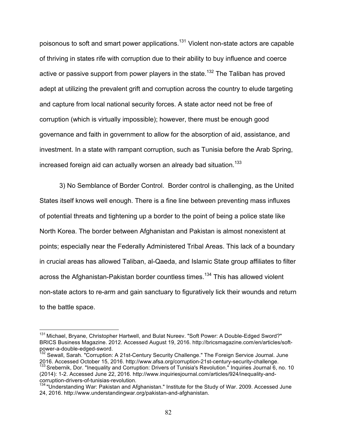poisonous to soft and smart power applications.131 Violent non-state actors are capable of thriving in states rife with corruption due to their ability to buy influence and coerce active or passive support from power players in the state.<sup>132</sup> The Taliban has proved adept at utilizing the prevalent grift and corruption across the country to elude targeting and capture from local national security forces. A state actor need not be free of corruption (which is virtually impossible); however, there must be enough good governance and faith in government to allow for the absorption of aid, assistance, and investment. In a state with rampant corruption, such as Tunisia before the Arab Spring, increased foreign aid can actually worsen an already bad situation.<sup>133</sup>

3) No Semblance of Border Control. Border control is challenging, as the United States itself knows well enough. There is a fine line between preventing mass influxes of potential threats and tightening up a border to the point of being a police state like North Korea. The border between Afghanistan and Pakistan is almost nonexistent at points; especially near the Federally Administered Tribal Areas. This lack of a boundary in crucial areas has allowed Taliban, al-Qaeda, and Islamic State group affiliates to filter across the Afghanistan-Pakistan border countless times.<sup>134</sup> This has allowed violent non-state actors to re-arm and gain sanctuary to figuratively lick their wounds and return to the battle space.

<sup>&</sup>lt;sup>131</sup> Michael, Bryane, Christopher Hartwell, and Bulat Nureev. "Soft Power: A Double-Edged Sword?" BRICS Business Magazine. 2012. Accessed August 19, 2016. http://bricsmagazine.com/en/articles/softpower-a-double-edged-sword.

<sup>&</sup>lt;sup>132</sup> Sewall, Sarah. "Corruption: A 21st-Century Security Challenge." The Foreign Service Journal. June 2016. Accessed October 15, 2016. http://www.afsa.org/corruption-21st-century-security-challenge.<br><sup>133</sup> Srebernik, Dor. "Inequality and Corruption: Drivers of Tunisia's Revolution." Inquiries Journal 6, no. 10

<sup>(2014): 1-2.</sup> Accessed June 22, 2016. http://www.inquiriesjournal.com/articles/924/inequality-andcorruption-drivers-of-tunisias-revolution.

<sup>134 &</sup>quot;Understanding War: Pakistan and Afghanistan." Institute for the Study of War. 2009. Accessed June 24, 2016. http://www.understandingwar.org/pakistan-and-afghanistan.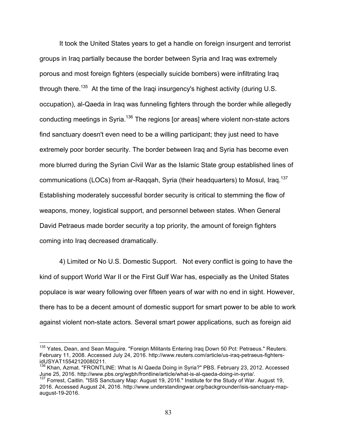It took the United States years to get a handle on foreign insurgent and terrorist groups in Iraq partially because the border between Syria and Iraq was extremely porous and most foreign fighters (especially suicide bombers) were infiltrating Iraq through there.<sup>135</sup> At the time of the Iraqi insurgency's highest activity (during U.S. occupation), al-Qaeda in Iraq was funneling fighters through the border while allegedly conducting meetings in Syria.<sup>136</sup> The regions [or areas] where violent non-state actors find sanctuary doesn't even need to be a willing participant; they just need to have extremely poor border security. The border between Iraq and Syria has become even more blurred during the Syrian Civil War as the Islamic State group established lines of communications (LOCs) from ar-Raqqah, Syria (their headquarters) to Mosul, Iraq.<sup>137</sup> Establishing moderately successful border security is critical to stemming the flow of weapons, money, logistical support, and personnel between states. When General David Petraeus made border security a top priority, the amount of foreign fighters coming into Iraq decreased dramatically.

4) Limited or No U.S. Domestic Support. Not every conflict is going to have the kind of support World War II or the First Gulf War has, especially as the United States populace is war weary following over fifteen years of war with no end in sight. However, there has to be a decent amount of domestic support for smart power to be able to work against violent non-state actors. Several smart power applications, such as foreign aid

<sup>&</sup>lt;sup>135</sup> Yates. Dean, and Sean Maguire. "Foreign Militants Entering Iraq Down 50 Pct: Petraeus." Reuters. February 11, 2008. Accessed July 24, 2016. http://www.reuters.com/article/us-iraq-petraeus-fightersidUSYAT15542120080211.

<sup>&</sup>lt;sup>136</sup> Khan, Azmat. "FRONTLINE: What Is Al Qaeda Doing in Syria?" PBS. February 23, 2012. Accessed June 25, 2016. http://www.pbs.org/wgbh/frontline/article/what-is-al-qaeda-doing-in-syria/.<br><sup>137</sup> Forrest, Caitlin. "ISIS Sanctuary Map: August 19, 2016." Institute for the Study of War. August 19,

<sup>2016.</sup> Accessed August 24, 2016. http://www.understandingwar.org/backgrounder/isis-sanctuary-mapaugust-19-2016.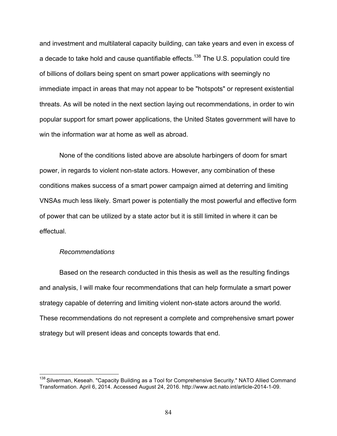and investment and multilateral capacity building, can take years and even in excess of a decade to take hold and cause quantifiable effects.<sup>138</sup> The U.S. population could tire of billions of dollars being spent on smart power applications with seemingly no immediate impact in areas that may not appear to be "hotspots" or represent existential threats. As will be noted in the next section laying out recommendations, in order to win popular support for smart power applications, the United States government will have to win the information war at home as well as abroad.

None of the conditions listed above are absolute harbingers of doom for smart power, in regards to violent non-state actors. However, any combination of these conditions makes success of a smart power campaign aimed at deterring and limiting VNSAs much less likely. Smart power is potentially the most powerful and effective form of power that can be utilized by a state actor but it is still limited in where it can be effectual.

#### *Recommendations*

Based on the research conducted in this thesis as well as the resulting findings and analysis, I will make four recommendations that can help formulate a smart power strategy capable of deterring and limiting violent non-state actors around the world. These recommendations do not represent a complete and comprehensive smart power strategy but will present ideas and concepts towards that end.

<sup>&</sup>lt;sup>138</sup> Silverman, Keseah. "Capacity Building as a Tool for Comprehensive Security." NATO Allied Command Transformation. April 6, 2014. Accessed August 24, 2016. http://www.act.nato.int/article-2014-1-09.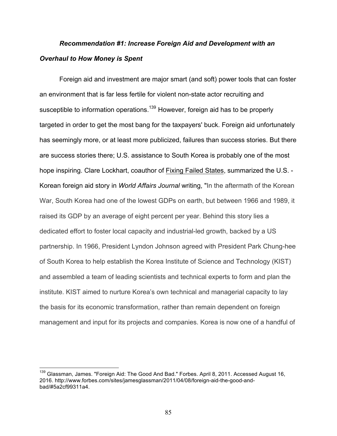## *Recommendation #1: Increase Foreign Aid and Development with an Overhaul to How Money is Spent*

Foreign aid and investment are major smart (and soft) power tools that can foster an environment that is far less fertile for violent non-state actor recruiting and susceptible to information operations.<sup>139</sup> However, foreign aid has to be properly targeted in order to get the most bang for the taxpayers' buck. Foreign aid unfortunately has seemingly more, or at least more publicized, failures than success stories. But there are success stories there; U.S. assistance to South Korea is probably one of the most hope inspiring. Clare Lockhart, coauthor of Fixing Failed States, summarized the U.S. - Korean foreign aid story in *World Affairs Journal* writing, "In the aftermath of the Korean War, South Korea had one of the lowest GDPs on earth, but between 1966 and 1989, it raised its GDP by an average of eight percent per year. Behind this story lies a dedicated effort to foster local capacity and industrial-led growth, backed by a US partnership. In 1966, President Lyndon Johnson agreed with President Park Chung-hee of South Korea to help establish the Korea Institute of Science and Technology (KIST) and assembled a team of leading scientists and technical experts to form and plan the institute. KIST aimed to nurture Korea's own technical and managerial capacity to lay the basis for its economic transformation, rather than remain dependent on foreign management and input for its projects and companies. Korea is now one of a handful of

<sup>&</sup>lt;sup>139</sup> Glassman, James. "Foreign Aid: The Good And Bad." Forbes. April 8, 2011. Accessed August 16, 2016. http://www.forbes.com/sites/jamesglassman/2011/04/08/foreign-aid-the-good-andbad/#5a2cf99311a4.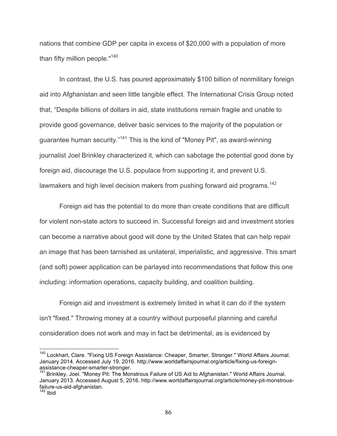nations that combine GDP per capita in excess of \$20,000 with a population of more than fifty million people."<sup>140</sup>

In contrast, the U.S. has poured approximately \$100 billion of nonmilitary foreign aid into Afghanistan and seen little tangible effect. The International Crisis Group noted that, "Despite billions of dollars in aid, state institutions remain fragile and unable to provide good governance, deliver basic services to the majority of the population or guarantee human security."<sup>141</sup> This is the kind of "Money Pit", as award-winning journalist Joel Brinkley characterized it, which can sabotage the potential good done by foreign aid, discourage the U.S. populace from supporting it, and prevent U.S. lawmakers and high level decision makers from pushing forward aid programs.<sup>142</sup>

Foreign aid has the potential to do more than create conditions that are difficult for violent non-state actors to succeed in. Successful foreign aid and investment stories can become a narrative about good will done by the United States that can help repair an image that has been tarnished as unilateral, imperialistic, and aggressive. This smart (and soft) power application can be parlayed into recommendations that follow this one including: information operations, capacity building, and coalition building.

Foreign aid and investment is extremely limited in what it can do if the system isn't "fixed." Throwing money at a country without purposeful planning and careful consideration does not work and may in fact be detrimental, as is evidenced by

<sup>&</sup>lt;sup>140</sup> Lockhart, Clare. "Fixing US Foreign Assistance: Cheaper, Smarter, Stronger." World Affairs Journal. January 2014. Accessed July 19, 2016. http://www.worldaffairsjournal.org/article/fixing-us-foreign-

assistance-cheaper-childrer-cheaper. **Exerciser.** 141 Brinkley, 141 Brinkley, Joel. "Money Pit: The Monstrous Failure of US Aid to Afghanistan." World Affairs Journal. January 2013. Accessed August 5, 2016. http://www.worldaffairsjournal.org/article/money-pit-monstrousfailure-us-aid-afghanistan.<br><sup>142</sup> Ibid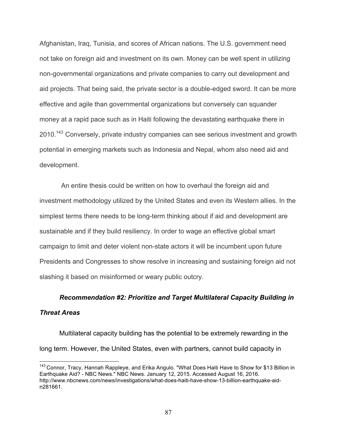Afghanistan, Iraq, Tunisia, and scores of African nations. The U.S. government need not take on foreign aid and investment on its own. Money can be well spent in utilizing non-governmental organizations and private companies to carry out development and aid projects. That being said, the private sector is a double-edged sword. It can be more effective and agile than governmental organizations but conversely can squander money at a rapid pace such as in Haiti following the devastating earthquake there in 2010.<sup>143</sup> Conversely, private industry companies can see serious investment and growth potential in emerging markets such as Indonesia and Nepal, whom also need aid and development.

An entire thesis could be written on how to overhaul the foreign aid and investment methodology utilized by the United States and even its Western allies. In the simplest terms there needs to be long-term thinking about if aid and development are sustainable and if they build resiliency. In order to wage an effective global smart campaign to limit and deter violent non-state actors it will be incumbent upon future Presidents and Congresses to show resolve in increasing and sustaining foreign aid not slashing it based on misinformed or weary public outcry.

## *Recommendation #2: Prioritize and Target Multilateral Capacity Building in*

### *Threat Areas*

Multilateral capacity building has the potential to be extremely rewarding in the long term. However, the United States, even with partners, cannot build capacity in

<sup>&</sup>lt;sup>143</sup> Connor, Tracy, Hannah Rappleye, and Erika Angulo. "What Does Haiti Have to Show for \$13 Billion in Earthquake Aid? - NBC News." NBC News. January 12, 2015. Accessed August 16, 2016. http://www.nbcnews.com/news/investigations/what-does-haiti-have-show-13-billion-earthquake-aidn281661.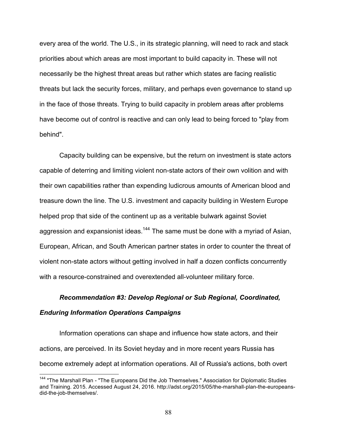every area of the world. The U.S., in its strategic planning, will need to rack and stack priorities about which areas are most important to build capacity in. These will not necessarily be the highest threat areas but rather which states are facing realistic threats but lack the security forces, military, and perhaps even governance to stand up in the face of those threats. Trying to build capacity in problem areas after problems have become out of control is reactive and can only lead to being forced to "play from behind".

Capacity building can be expensive, but the return on investment is state actors capable of deterring and limiting violent non-state actors of their own volition and with their own capabilities rather than expending ludicrous amounts of American blood and treasure down the line. The U.S. investment and capacity building in Western Europe helped prop that side of the continent up as a veritable bulwark against Soviet aggression and expansionist ideas.<sup>144</sup> The same must be done with a myriad of Asian, European, African, and South American partner states in order to counter the threat of violent non-state actors without getting involved in half a dozen conflicts concurrently with a resource-constrained and overextended all-volunteer military force.

# *Recommendation #3: Develop Regional or Sub Regional, Coordinated, Enduring Information Operations Campaigns*

Information operations can shape and influence how state actors, and their actions, are perceived. In its Soviet heyday and in more recent years Russia has become extremely adept at information operations. All of Russia's actions, both overt

<sup>&</sup>lt;sup>144</sup> "The Marshall Plan - "The Europeans Did the Job Themselves." Association for Diplomatic Studies and Training. 2015. Accessed August 24, 2016. http://adst.org/2015/05/the-marshall-plan-the-europeansdid-the-job-themselves/.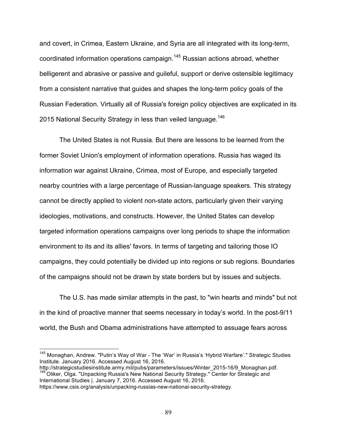and covert, in Crimea, Eastern Ukraine, and Syria are all integrated with its long-term, coordinated information operations campaign.<sup>145</sup> Russian actions abroad, whether belligerent and abrasive or passive and guileful, support or derive ostensible legitimacy from a consistent narrative that guides and shapes the long-term policy goals of the Russian Federation. Virtually all of Russia's foreign policy objectives are explicated in its 2015 National Security Strategy in less than veiled language.<sup>146</sup>

The United States is not Russia. But there are lessons to be learned from the former Soviet Union's employment of information operations. Russia has waged its information war against Ukraine, Crimea, most of Europe, and especially targeted nearby countries with a large percentage of Russian-language speakers. This strategy cannot be directly applied to violent non-state actors, particularly given their varying ideologies, motivations, and constructs. However, the United States can develop targeted information operations campaigns over long periods to shape the information environment to its and its allies' favors. In terms of targeting and tailoring those IO campaigns, they could potentially be divided up into regions or sub regions. Boundaries of the campaigns should not be drawn by state borders but by issues and subjects.

The U.S. has made similar attempts in the past, to "win hearts and minds" but not in the kind of proactive manner that seems necessary in today's world. In the post-9/11 world, the Bush and Obama administrations have attempted to assuage fears across

 $146$  Oliker, Olga. "Unpacking Russia's New National Security Strategy." Center for Strategic and International Studies |. January 7, 2016. Accessed August 16, 2016.

<sup>&</sup>lt;sup>145</sup> Monaghan, Andrew. "Putin's Way of War - The 'War' in Russia's 'Hybrid Warfare'." Strategic Studies Institute. January 2016. Accessed August 16, 2016.<br>http://strategicstudiesinstitute.army.mil/pubs/parameters/issues/Winter 2015-16/9 Monaghan.pdf.

https://www.csis.org/analysis/unpacking-russias-new-national-security-strategy.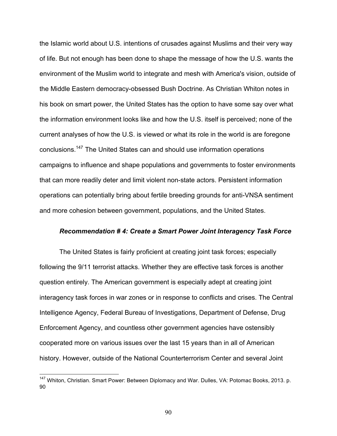the Islamic world about U.S. intentions of crusades against Muslims and their very way of life. But not enough has been done to shape the message of how the U.S. wants the environment of the Muslim world to integrate and mesh with America's vision, outside of the Middle Eastern democracy-obsessed Bush Doctrine. As Christian Whiton notes in his book on smart power, the United States has the option to have some say over what the information environment looks like and how the U.S. itself is perceived; none of the current analyses of how the U.S. is viewed or what its role in the world is are foregone conclusions.147 The United States can and should use information operations campaigns to influence and shape populations and governments to foster environments that can more readily deter and limit violent non-state actors. Persistent information operations can potentially bring about fertile breeding grounds for anti-VNSA sentiment and more cohesion between government, populations, and the United States.

#### *Recommendation # 4: Create a Smart Power Joint Interagency Task Force*

The United States is fairly proficient at creating joint task forces; especially following the 9/11 terrorist attacks. Whether they are effective task forces is another question entirely. The American government is especially adept at creating joint interagency task forces in war zones or in response to conflicts and crises. The Central Intelligence Agency, Federal Bureau of Investigations, Department of Defense, Drug Enforcement Agency, and countless other government agencies have ostensibly cooperated more on various issues over the last 15 years than in all of American history. However, outside of the National Counterterrorism Center and several Joint

<sup>&</sup>lt;sup>147</sup> Whiton, Christian. Smart Power: Between Diplomacy and War. Dulles, VA: Potomac Books, 2013. p. 90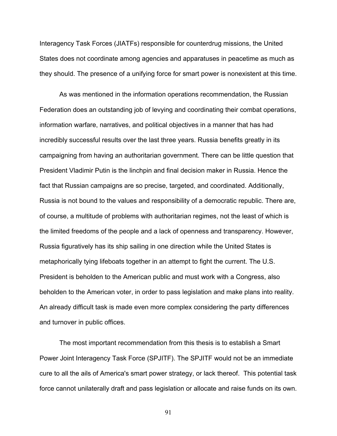Interagency Task Forces (JIATFs) responsible for counterdrug missions, the United States does not coordinate among agencies and apparatuses in peacetime as much as they should. The presence of a unifying force for smart power is nonexistent at this time.

As was mentioned in the information operations recommendation, the Russian Federation does an outstanding job of levying and coordinating their combat operations, information warfare, narratives, and political objectives in a manner that has had incredibly successful results over the last three years. Russia benefits greatly in its campaigning from having an authoritarian government. There can be little question that President Vladimir Putin is the linchpin and final decision maker in Russia. Hence the fact that Russian campaigns are so precise, targeted, and coordinated. Additionally, Russia is not bound to the values and responsibility of a democratic republic. There are, of course, a multitude of problems with authoritarian regimes, not the least of which is the limited freedoms of the people and a lack of openness and transparency. However, Russia figuratively has its ship sailing in one direction while the United States is metaphorically tying lifeboats together in an attempt to fight the current. The U.S. President is beholden to the American public and must work with a Congress, also beholden to the American voter, in order to pass legislation and make plans into reality. An already difficult task is made even more complex considering the party differences and turnover in public offices.

The most important recommendation from this thesis is to establish a Smart Power Joint Interagency Task Force (SPJITF). The SPJITF would not be an immediate cure to all the ails of America's smart power strategy, or lack thereof. This potential task force cannot unilaterally draft and pass legislation or allocate and raise funds on its own.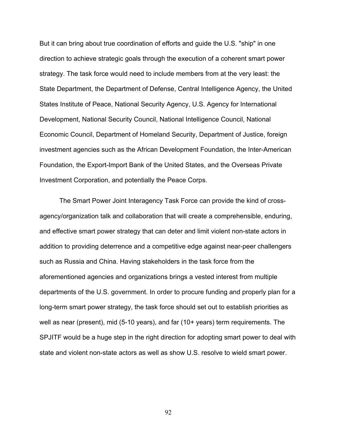But it can bring about true coordination of efforts and guide the U.S. "ship" in one direction to achieve strategic goals through the execution of a coherent smart power strategy. The task force would need to include members from at the very least: the State Department, the Department of Defense, Central Intelligence Agency, the United States Institute of Peace, National Security Agency, U.S. Agency for International Development, National Security Council, National Intelligence Council, National Economic Council, Department of Homeland Security, Department of Justice, foreign investment agencies such as the African Development Foundation, the Inter-American Foundation, the Export-Import Bank of the United States, and the Overseas Private Investment Corporation, and potentially the Peace Corps.

The Smart Power Joint Interagency Task Force can provide the kind of crossagency/organization talk and collaboration that will create a comprehensible, enduring, and effective smart power strategy that can deter and limit violent non-state actors in addition to providing deterrence and a competitive edge against near-peer challengers such as Russia and China. Having stakeholders in the task force from the aforementioned agencies and organizations brings a vested interest from multiple departments of the U.S. government. In order to procure funding and properly plan for a long-term smart power strategy, the task force should set out to establish priorities as well as near (present), mid (5-10 years), and far (10+ years) term requirements. The SPJITF would be a huge step in the right direction for adopting smart power to deal with state and violent non-state actors as well as show U.S. resolve to wield smart power.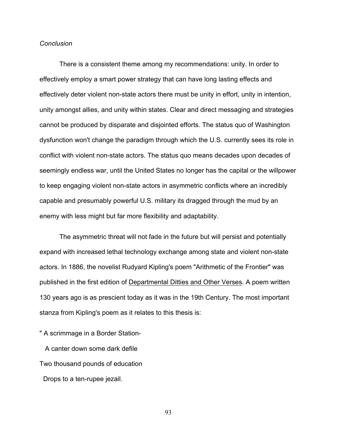#### *Conclusion*

There is a consistent theme among my recommendations: unity. In order to effectively employ a smart power strategy that can have long lasting effects and effectively deter violent non-state actors there must be unity in effort, unity in intention, unity amongst allies, and unity within states. Clear and direct messaging and strategies cannot be produced by disparate and disjointed efforts. The status quo of Washington dysfunction won't change the paradigm through which the U.S. currently sees its role in conflict with violent non-state actors. The status quo means decades upon decades of seemingly endless war, until the United States no longer has the capital or the willpower to keep engaging violent non-state actors in asymmetric conflicts where an incredibly capable and presumably powerful U.S. military its dragged through the mud by an enemy with less might but far more flexibility and adaptability.

The asymmetric threat will not fade in the future but will persist and potentially expand with increased lethal technology exchange among state and violent non-state actors. In 1886, the novelist Rudyard Kipling's poem "Arithmetic of the Frontier" was published in the first edition of Departmental Ditties and Other Verses. A poem written 130 years ago is as prescient today as it was in the 19th Century. The most important stanza from Kipling's poem as it relates to this thesis is:

" A scrimmage in a Border Station-

 A canter down some dark defile Two thousand pounds of education

Drops to a ten-rupee jezail.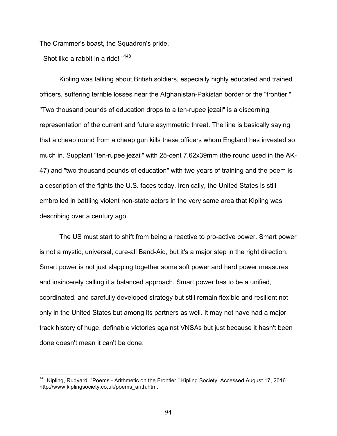The Crammer's boast, the Squadron's pride,

Shot like a rabbit in a ride! "<sup>148</sup>

Kipling was talking about British soldiers, especially highly educated and trained officers, suffering terrible losses near the Afghanistan-Pakistan border or the "frontier." "Two thousand pounds of education drops to a ten-rupee jezail" is a discerning representation of the current and future asymmetric threat. The line is basically saying that a cheap round from a cheap gun kills these officers whom England has invested so much in. Supplant "ten-rupee jezail" with 25-cent 7.62x39mm (the round used in the AK-47) and "two thousand pounds of education" with two years of training and the poem is a description of the fights the U.S. faces today. Ironically, the United States is still embroiled in battling violent non-state actors in the very same area that Kipling was describing over a century ago.

The US must start to shift from being a reactive to pro-active power. Smart power is not a mystic, universal, cure-all Band-Aid, but it's a major step in the right direction. Smart power is not just slapping together some soft power and hard power measures and insincerely calling it a balanced approach. Smart power has to be a unified, coordinated, and carefully developed strategy but still remain flexible and resilient not only in the United States but among its partners as well. It may not have had a major track history of huge, definable victories against VNSAs but just because it hasn't been done doesn't mean it can't be done.

<sup>&</sup>lt;sup>148</sup> Kipling, Rudyard. "Poems - Arithmetic on the Frontier." Kipling Society. Accessed August 17, 2016. http://www.kiplingsociety.co.uk/poems\_arith.htm.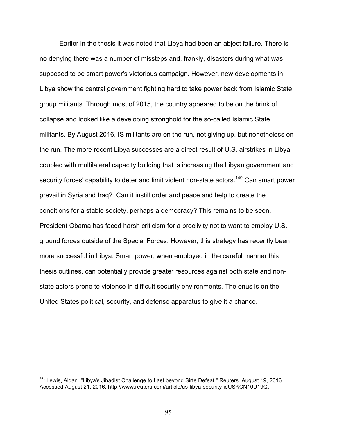Earlier in the thesis it was noted that Libya had been an abject failure. There is no denying there was a number of missteps and, frankly, disasters during what was supposed to be smart power's victorious campaign. However, new developments in Libya show the central government fighting hard to take power back from Islamic State group militants. Through most of 2015, the country appeared to be on the brink of collapse and looked like a developing stronghold for the so-called Islamic State militants. By August 2016, IS militants are on the run, not giving up, but nonetheless on the run. The more recent Libya successes are a direct result of U.S. airstrikes in Libya coupled with multilateral capacity building that is increasing the Libyan government and security forces' capability to deter and limit violent non-state actors.<sup>149</sup> Can smart power prevail in Syria and Iraq? Can it instill order and peace and help to create the conditions for a stable society, perhaps a democracy? This remains to be seen. President Obama has faced harsh criticism for a proclivity not to want to employ U.S. ground forces outside of the Special Forces. However, this strategy has recently been more successful in Libya. Smart power, when employed in the careful manner this thesis outlines, can potentially provide greater resources against both state and nonstate actors prone to violence in difficult security environments. The onus is on the United States political, security, and defense apparatus to give it a chance.

<sup>&</sup>lt;sup>149</sup> Lewis, Aidan. "Libya's Jihadist Challenge to Last beyond Sirte Defeat." Reuters. August 19, 2016. Accessed August 21, 2016. http://www.reuters.com/article/us-libya-security-idUSKCN10U19Q.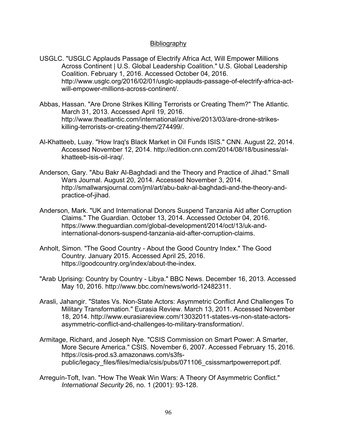## Bibliography

- USGLC. "USGLC Applauds Passage of Electrify Africa Act, Will Empower Millions Across Continent | U.S. Global Leadership Coalition." U.S. Global Leadership Coalition. February 1, 2016. Accessed October 04, 2016. http://www.usglc.org/2016/02/01/usglc-applauds-passage-of-electrify-africa-actwill-empower-millions-across-continent/.
- Abbas, Hassan. "Are Drone Strikes Killing Terrorists or Creating Them?" The Atlantic. March 31, 2013. Accessed April 19, 2016. http://www.theatlantic.com/international/archive/2013/03/are-drone-strikeskilling-terrorists-or-creating-them/274499/.
- Al-Khatteeb, Luay. "How Iraq's Black Market in Oil Funds ISIS." CNN. August 22, 2014. Accessed November 12, 2014. http://edition.cnn.com/2014/08/18/business/alkhatteeb-isis-oil-iraq/.
- Anderson, Gary. "Abu Bakr Al-Baghdadi and the Theory and Practice of Jihad." Small Wars Journal. August 20, 2014. Accessed November 3, 2014. http://smallwarsjournal.com/jrnl/art/abu-bakr-al-baghdadi-and-the-theory-andpractice-of-jihad.
- Anderson, Mark. "UK and International Donors Suspend Tanzania Aid after Corruption Claims." The Guardian. October 13, 2014. Accessed October 04, 2016. https://www.theguardian.com/global-development/2014/oct/13/uk-andinternational-donors-suspend-tanzania-aid-after-corruption-claims.
- Anholt, Simon. "The Good Country About the Good Country Index." The Good Country. January 2015. Accessed April 25, 2016. https://goodcountry.org/index/about-the-index.
- "Arab Uprising: Country by Country Libya." BBC News. December 16, 2013. Accessed May 10, 2016. http://www.bbc.com/news/world-12482311.
- Arasli, Jahangir. "States Vs. Non-State Actors: Asymmetric Conflict And Challenges To Military Transformation." Eurasia Review. March 13, 2011. Accessed November 18, 2014. http://www.eurasiareview.com/13032011-states-vs-non-state-actorsasymmetric-conflict-and-challenges-to-military-transformation/.
- Armitage, Richard, and Joseph Nye. "CSIS Commission on Smart Power: A Smarter, More Secure America." CSIS. November 6, 2007. Accessed February 15, 2016. https://csis-prod.s3.amazonaws.com/s3fspublic/legacy\_files/files/media/csis/pubs/071106\_csissmartpowerreport.pdf.
- Arreguín-Toft, Ivan. "How The Weak Win Wars: A Theory Of Asymmetric Conflict." *International Security* 26, no. 1 (2001): 93-128.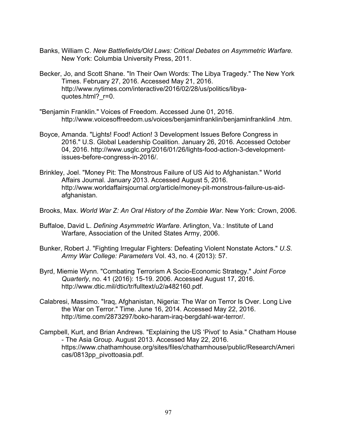- Banks, William C. *New Battlefields/Old Laws: Critical Debates on Asymmetric Warfare.* New York: Columbia University Press, 2011.
- Becker, Jo, and Scott Shane. "In Their Own Words: The Libya Tragedy." The New York Times. February 27, 2016. Accessed May 21, 2016. http://www.nytimes.com/interactive/2016/02/28/us/politics/libyaquotes.html? r=0.
- "Benjamin Franklin." Voices of Freedom. Accessed June 01, 2016. http://www.voicesoffreedom.us/voices/benjaminfranklin/benjaminfranklin4 .htm.
- Boyce, Amanda. "Lights! Food! Action! 3 Development Issues Before Congress in 2016." U.S. Global Leadership Coalition. January 26, 2016. Accessed October 04, 2016. http://www.usglc.org/2016/01/26/lights-food-action-3-developmentissues-before-congress-in-2016/.
- Brinkley, Joel. "Money Pit: The Monstrous Failure of US Aid to Afghanistan." World Affairs Journal. January 2013. Accessed August 5, 2016. http://www.worldaffairsjournal.org/article/money-pit-monstrous-failure-us-aidafghanistan.
- Brooks, Max. *World War Z: An Oral History of the Zombie War*. New York: Crown, 2006.
- Buffaloe, David L. *Defining Asymmetric Warfare*. Arlington, Va.: Institute of Land Warfare, Association of the United States Army, 2006.
- Bunker, Robert J. "Fighting Irregular Fighters: Defeating Violent Nonstate Actors." *U.S. Army War College: Parameters* Vol. 43, no. 4 (2013): 57.
- Byrd, Miemie Wynn. "Combating Terrorism A Socio-Economic Strategy." *Joint Force Quarterly*, no. 41 (2016): 15-19. 2006. Accessed August 17, 2016. http://www.dtic.mil/dtic/tr/fulltext/u2/a482160.pdf.
- Calabresi, Massimo. "Iraq, Afghanistan, Nigeria: The War on Terror Is Over. Long Live the War on Terror." Time. June 16, 2014. Accessed May 22, 2016. http://time.com/2873297/boko-haram-iraq-bergdahl-war-terror/.
- Campbell, Kurt, and Brian Andrews. "Explaining the US 'Pivot' to Asia." Chatham House - The Asia Group. August 2013. Accessed May 22, 2016. https://www.chathamhouse.org/sites/files/chathamhouse/public/Research/Ameri cas/0813pp\_pivottoasia.pdf.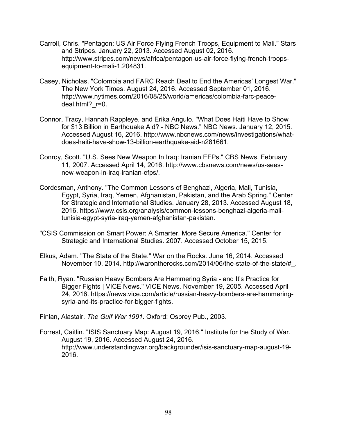- Carroll, Chris. "Pentagon: US Air Force Flying French Troops, Equipment to Mali." Stars and Stripes. January 22, 2013. Accessed August 02, 2016. http://www.stripes.com/news/africa/pentagon-us-air-force-flying-french-troopsequipment-to-mali-1.204831.
- Casey, Nicholas. "Colombia and FARC Reach Deal to End the Americas' Longest War." The New York Times. August 24, 2016. Accessed September 01, 2016. http://www.nytimes.com/2016/08/25/world/americas/colombia-farc-peacedeal.html? r=0.
- Connor, Tracy, Hannah Rappleye, and Erika Angulo. "What Does Haiti Have to Show for \$13 Billion in Earthquake Aid? - NBC News." NBC News. January 12, 2015. Accessed August 16, 2016. http://www.nbcnews.com/news/investigations/whatdoes-haiti-have-show-13-billion-earthquake-aid-n281661.
- Conroy, Scott. "U.S. Sees New Weapon In Iraq: Iranian EFPs." CBS News. February 11, 2007. Accessed April 14, 2016. http://www.cbsnews.com/news/us-seesnew-weapon-in-iraq-iranian-efps/.
- Cordesman, Anthony. "The Common Lessons of Benghazi, Algeria, Mali, Tunisia, Egypt, Syria, Iraq, Yemen, Afghanistan, Pakistan, and the Arab Spring." Center for Strategic and International Studies. January 28, 2013. Accessed August 18, 2016. https://www.csis.org/analysis/common-lessons-benghazi-algeria-malitunisia-egypt-syria-iraq-yemen-afghanistan-pakistan.
- "CSIS Commission on Smart Power: A Smarter, More Secure America." Center for Strategic and International Studies. 2007. Accessed October 15, 2015.
- Elkus, Adam. "The State of the State." War on the Rocks. June 16, 2014. Accessed November 10, 2014. http://warontherocks.com/2014/06/the-state-of-the-state/#\_.
- Faith, Ryan. "Russian Heavy Bombers Are Hammering Syria and It's Practice for Bigger Fights | VICE News." VICE News. November 19, 2005. Accessed April 24, 2016. https://news.vice.com/article/russian-heavy-bombers-are-hammeringsyria-and-its-practice-for-bigger-fights.

Finlan, Alastair. *The Gulf War 1991*. Oxford: Osprey Pub., 2003.

Forrest, Caitlin. "ISIS Sanctuary Map: August 19, 2016." Institute for the Study of War. August 19, 2016. Accessed August 24, 2016. http://www.understandingwar.org/backgrounder/isis-sanctuary-map-august-19- 2016.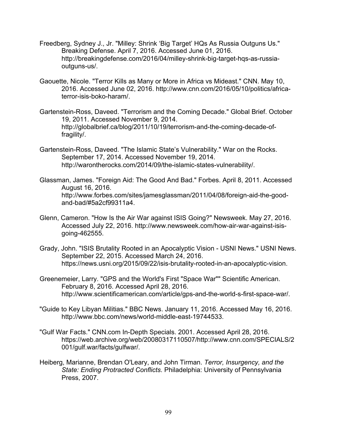- Freedberg, Sydney J., Jr. "Milley: Shrink 'Big Target' HQs As Russia Outguns Us." Breaking Defense. April 7, 2016. Accessed June 01, 2016. http://breakingdefense.com/2016/04/milley-shrink-big-target-hqs-as-russiaoutguns-us/.
- Gaouette, Nicole. "Terror Kills as Many or More in Africa vs Mideast." CNN. May 10, 2016. Accessed June 02, 2016. http://www.cnn.com/2016/05/10/politics/africaterror-isis-boko-haram/.
- Gartenstein-Ross, Daveed. "Terrorism and the Coming Decade." Global Brief. October 19, 2011. Accessed November 9, 2014. http://globalbrief.ca/blog/2011/10/19/terrorism-and-the-coming-decade-offragility/.
- Gartenstein-Ross, Daveed. "The Islamic State's Vulnerability." War on the Rocks. September 17, 2014. Accessed November 19, 2014. http://warontherocks.com/2014/09/the-islamic-states-vulnerability/.
- Glassman, James. "Foreign Aid: The Good And Bad." Forbes. April 8, 2011. Accessed August 16, 2016. http://www.forbes.com/sites/jamesglassman/2011/04/08/foreign-aid-the-goodand-bad/#5a2cf99311a4.
- Glenn, Cameron. "How Is the Air War against ISIS Going?" Newsweek. May 27, 2016. Accessed July 22, 2016. http://www.newsweek.com/how-air-war-against-isisgoing-462555.
- Grady, John. "ISIS Brutality Rooted in an Apocalyptic Vision USNI News." USNI News. September 22, 2015. Accessed March 24, 2016. https://news.usni.org/2015/09/22/isis-brutality-rooted-in-an-apocalyptic-vision.
- Greenemeier, Larry. "GPS and the World's First "Space War"" Scientific American. February 8, 2016. Accessed April 28, 2016. http://www.scientificamerican.com/article/gps-and-the-world-s-first-space-war/.
- "Guide to Key Libyan Militias." BBC News. January 11, 2016. Accessed May 16, 2016. http://www.bbc.com/news/world-middle-east-19744533.
- "Gulf War Facts." CNN.com In-Depth Specials. 2001. Accessed April 28, 2016. https://web.archive.org/web/20080317110507/http://www.cnn.com/SPECIALS/2 001/gulf.war/facts/gulfwar/.
- Heiberg, Marianne, Brendan O'Leary, and John Tirman. *Terror, Insurgency, and the State: Ending Protracted Conflicts*. Philadelphia: University of Pennsylvania Press, 2007.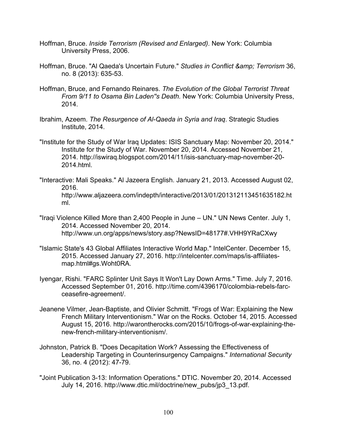- Hoffman, Bruce. *Inside Terrorism (Revised and Enlarged)*. New York: Columbia University Press, 2006.
- Hoffman, Bruce. "Al Qaeda's Uncertain Future." Studies in Conflict & amp; Terrorism 36, no. 8 (2013): 635-53.
- Hoffman, Bruce, and Fernando Reinares. *The Evolution of the Global Terrorist Threat From 9/11 to Osama Bin Laden''s Death.* New York: Columbia University Press, 2014.
- Ibrahim, Azeem. *The Resurgence of Al-Qaeda in Syria and Iraq*. Strategic Studies Institute, 2014.
- "Institute for the Study of War Iraq Updates: ISIS Sanctuary Map: November 20, 2014." Institute for the Study of War. November 20, 2014. Accessed November 21, 2014. http://iswiraq.blogspot.com/2014/11/isis-sanctuary-map-november-20- 2014.html.
- "Interactive: Mali Speaks." Al Jazeera English. January 21, 2013. Accessed August 02, 2016. http://www.aljazeera.com/indepth/interactive/2013/01/201312113451635182.ht ml.
- "Iraqi Violence Killed More than 2,400 People in June UN." UN News Center. July 1, 2014. Accessed November 20, 2014. http://www.un.org/apps/news/story.asp?NewsID=48177#.VHH9YRaCXwy
- "Islamic State's 43 Global Affiliates Interactive World Map." IntelCenter. December 15, 2015. Accessed January 27, 2016. http://intelcenter.com/maps/is-affiliatesmap.html#gs.Woht0RA.
- Iyengar, Rishi. "FARC Splinter Unit Says It Won't Lay Down Arms." Time. July 7, 2016. Accessed September 01, 2016. http://time.com/4396170/colombia-rebels-farcceasefire-agreement/.
- Jeanene Vilmer, Jean-Baptiste, and Olivier Schmitt. "Frogs of War: Explaining the New French Military Interventionism." War on the Rocks. October 14, 2015. Accessed August 15, 2016. http://warontherocks.com/2015/10/frogs-of-war-explaining-thenew-french-military-interventionism/.
- Johnston, Patrick B. "Does Decapitation Work? Assessing the Effectiveness of Leadership Targeting in Counterinsurgency Campaigns." *International Security* 36, no. 4 (2012): 47-79.
- "Joint Publication 3-13: Information Operations." DTIC. November 20, 2014. Accessed July 14, 2016. http://www.dtic.mil/doctrine/new\_pubs/jp3\_13.pdf.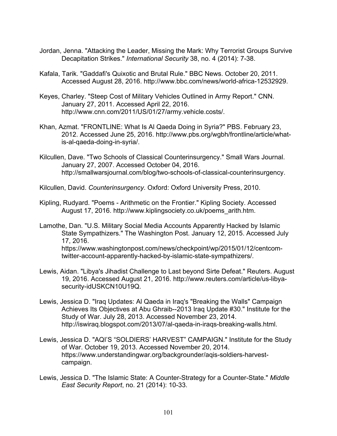- Jordan, Jenna. "Attacking the Leader, Missing the Mark: Why Terrorist Groups Survive Decapitation Strikes." *International Security* 38, no. 4 (2014): 7-38.
- Kafala, Tarik. "Gaddafi's Quixotic and Brutal Rule." BBC News. October 20, 2011. Accessed August 28, 2016. http://www.bbc.com/news/world-africa-12532929.
- Keyes, Charley. "Steep Cost of Military Vehicles Outlined in Army Report." CNN. January 27, 2011. Accessed April 22, 2016. http://www.cnn.com/2011/US/01/27/army.vehicle.costs/.
- Khan, Azmat. "FRONTLINE: What Is Al Qaeda Doing in Syria?" PBS. February 23, 2012. Accessed June 25, 2016. http://www.pbs.org/wgbh/frontline/article/whatis-al-qaeda-doing-in-syria/.
- Kilcullen, Dave. "Two Schools of Classical Counterinsurgency." Small Wars Journal. January 27, 2007. Accessed October 04, 2016. http://smallwarsjournal.com/blog/two-schools-of-classical-counterinsurgency.
- Kilcullen, David. *Counterinsurgency*. Oxford: Oxford University Press, 2010.
- Kipling, Rudyard. "Poems Arithmetic on the Frontier." Kipling Society. Accessed August 17, 2016. http://www.kiplingsociety.co.uk/poems\_arith.htm.

Lamothe, Dan. "U.S. Military Social Media Accounts Apparently Hacked by Islamic State Sympathizers." The Washington Post. January 12, 2015. Accessed July 17, 2016. https://www.washingtonpost.com/news/checkpoint/wp/2015/01/12/centcomtwitter-account-apparently-hacked-by-islamic-state-sympathizers/.

- Lewis, Aidan. "Libya's Jihadist Challenge to Last beyond Sirte Defeat." Reuters. August 19, 2016. Accessed August 21, 2016. http://www.reuters.com/article/us-libyasecurity-idUSKCN10U19Q.
- Lewis, Jessica D. "Iraq Updates: Al Qaeda in Iraq's "Breaking the Walls" Campaign Achieves Its Objectives at Abu Ghraib--2013 Iraq Update #30." Institute for the Study of War. July 28, 2013. Accessed November 23, 2014. http://iswiraq.blogspot.com/2013/07/al-qaeda-in-iraqs-breaking-walls.html.
- Lewis, Jessica D. "AQI'S "SOLDIERS' HARVEST" CAMPAIGN." Institute for the Study of War. October 19, 2013. Accessed November 20, 2014. https://www.understandingwar.org/backgrounder/aqis-soldiers-harvestcampaign.
- Lewis, Jessica D. "The Islamic State: A Counter-Strategy for a Counter-State." *Middle East Security Report*, no. 21 (2014): 10-33.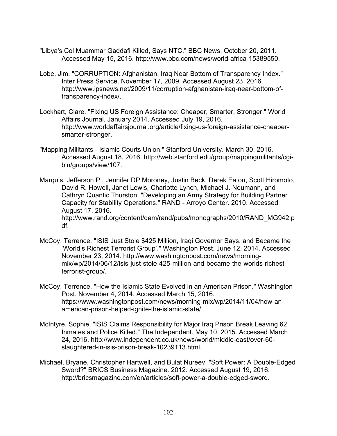- "Libya's Col Muammar Gaddafi Killed, Says NTC." BBC News. October 20, 2011. Accessed May 15, 2016. http://www.bbc.com/news/world-africa-15389550.
- Lobe, Jim. "CORRUPTION: Afghanistan, Iraq Near Bottom of Transparency Index." Inter Press Service. November 17, 2009. Accessed August 23, 2016. http://www.ipsnews.net/2009/11/corruption-afghanistan-iraq-near-bottom-oftransparency-index/.
- Lockhart, Clare. "Fixing US Foreign Assistance: Cheaper, Smarter, Stronger." World Affairs Journal. January 2014. Accessed July 19, 2016. http://www.worldaffairsjournal.org/article/fixing-us-foreign-assistance-cheapersmarter-stronger.
- "Mapping Militants Islamic Courts Union." Stanford University. March 30, 2016. Accessed August 18, 2016. http://web.stanford.edu/group/mappingmilitants/cgibin/groups/view/107.
- Marquis, Jefferson P., Jennifer DP Moroney, Justin Beck, Derek Eaton, Scott Hiromoto, David R. Howell, Janet Lewis, Charlotte Lynch, Michael J. Neumann, and Cathryn Quantic Thurston. "Developing an Army Strategy for Building Partner Capacity for Stability Operations." RAND - Arroyo Center. 2010. Accessed August 17, 2016. http://www.rand.org/content/dam/rand/pubs/monographs/2010/RAND\_MG942.p df.
- McCoy, Terrence. "ISIS Just Stole \$425 Million, Iraqi Governor Says, and Became the 'World's Richest Terrorist Group'." Washington Post. June 12, 2014. Accessed November 23, 2014. http://www.washingtonpost.com/news/morningmix/wp/2014/06/12/isis-just-stole-425-million-and-became-the-worlds-richestterrorist-group/.
- McCoy, Terrence. "How the Islamic State Evolved in an American Prison." Washington Post. November 4, 2014. Accessed March 15, 2016. https://www.washingtonpost.com/news/morning-mix/wp/2014/11/04/how-anamerican-prison-helped-ignite-the-islamic-state/.
- McIntyre, Sophie. "ISIS Claims Responsibility for Major Iraq Prison Break Leaving 62 Inmates and Police Killed." The Independent. May 10, 2015. Accessed March 24, 2016. http://www.independent.co.uk/news/world/middle-east/over-60 slaughtered-in-isis-prison-break-10239113.html.
- Michael, Bryane, Christopher Hartwell, and Bulat Nureev. "Soft Power: A Double-Edged Sword?" BRICS Business Magazine. 2012. Accessed August 19, 2016. http://bricsmagazine.com/en/articles/soft-power-a-double-edged-sword.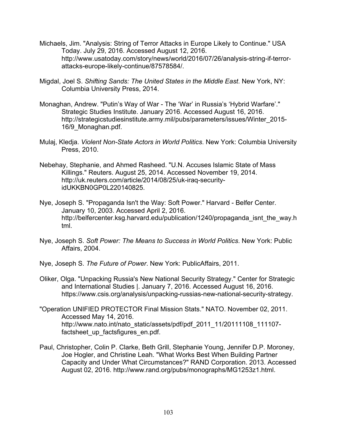- Michaels, Jim. "Analysis: String of Terror Attacks in Europe Likely to Continue." USA Today. July 29, 2016. Accessed August 12, 2016. http://www.usatoday.com/story/news/world/2016/07/26/analysis-string-if-terrorattacks-europe-likely-continue/87578584/.
- Migdal, Joel S. *Shifting Sands: The United States in the Middle East*. New York, NY: Columbia University Press, 2014.
- Monaghan, Andrew. "Putin's Way of War The 'War' in Russia's 'Hybrid Warfare'." Strategic Studies Institute. January 2016. Accessed August 16, 2016. http://strategicstudiesinstitute.army.mil/pubs/parameters/issues/Winter\_2015- 16/9\_Monaghan.pdf.
- Mulaj, Kledja. *Violent Non-State Actors in World Politics*. New York: Columbia University Press, 2010.
- Nebehay, Stephanie, and Ahmed Rasheed. "U.N. Accuses Islamic State of Mass Killings." Reuters. August 25, 2014. Accessed November 19, 2014. http://uk.reuters.com/article/2014/08/25/uk-iraq-securityidUKKBN0GP0L220140825.
- Nye, Joseph S. "Propaganda Isn't the Way: Soft Power." Harvard Belfer Center. January 10, 2003. Accessed April 2, 2016. http://belfercenter.ksg.harvard.edu/publication/1240/propaganda\_isnt\_the\_way.h tml.
- Nye, Joseph S. *Soft Power: The Means to Success in World Politics*. New York: Public Affairs, 2004.
- Nye, Joseph S. *The Future of Power*. New York: PublicAffairs, 2011.
- Oliker, Olga. "Unpacking Russia's New National Security Strategy." Center for Strategic and International Studies |. January 7, 2016. Accessed August 16, 2016. https://www.csis.org/analysis/unpacking-russias-new-national-security-strategy.
- "Operation UNIFIED PROTECTOR Final Mission Stats." NATO. November 02, 2011. Accessed May 14, 2016. http://www.nato.int/nato\_static/assets/pdf/pdf\_2011\_11/20111108\_111107factsheet\_up\_factsfigures\_en.pdf.
- Paul, Christopher, Colin P. Clarke, Beth Grill, Stephanie Young, Jennifer D.P. Moroney, Joe Hogler, and Christine Leah. "What Works Best When Building Partner Capacity and Under What Circumstances?" RAND Corporation. 2013. Accessed August 02, 2016. http://www.rand.org/pubs/monographs/MG1253z1.html.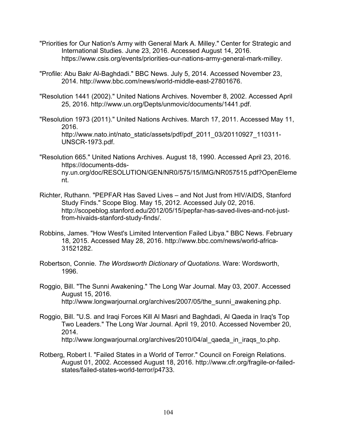- "Priorities for Our Nation's Army with General Mark A. Milley." Center for Strategic and International Studies. June 23, 2016. Accessed August 14, 2016. https://www.csis.org/events/priorities-our-nations-army-general-mark-milley.
- "Profile: Abu Bakr Al-Baghdadi." BBC News. July 5, 2014. Accessed November 23, 2014. http://www.bbc.com/news/world-middle-east-27801676.
- "Resolution 1441 (2002)." United Nations Archives. November 8, 2002. Accessed April 25, 2016. http://www.un.org/Depts/unmovic/documents/1441.pdf.
- "Resolution 1973 (2011)." United Nations Archives. March 17, 2011. Accessed May 11, 2016. http://www.nato.int/nato\_static/assets/pdf/pdf\_2011\_03/20110927\_110311-UNSCR-1973.pdf.
- "Resolution 665." United Nations Archives. August 18, 1990. Accessed April 23, 2016. https://documents-ddsny.un.org/doc/RESOLUTION/GEN/NR0/575/15/IMG/NR057515.pdf?OpenEleme nt.
- Richter, Ruthann. "PEPFAR Has Saved Lives and Not Just from HIV/AIDS, Stanford Study Finds." Scope Blog. May 15, 2012. Accessed July 02, 2016. http://scopeblog.stanford.edu/2012/05/15/pepfar-has-saved-lives-and-not-justfrom-hivaids-stanford-study-finds/.
- Robbins, James. "How West's Limited Intervention Failed Libya." BBC News. February 18, 2015. Accessed May 28, 2016. http://www.bbc.com/news/world-africa-31521282.
- Robertson, Connie. *The Wordsworth Dictionary of Quotations*. Ware: Wordsworth, 1996.
- Roggio, Bill. "The Sunni Awakening." The Long War Journal. May 03, 2007. Accessed August 15, 2016. http://www.longwarjournal.org/archives/2007/05/the\_sunni\_awakening.php.
- Roggio, Bill. "U.S. and Iraqi Forces Kill Al Masri and Baghdadi, Al Qaeda in Iraq's Top Two Leaders." The Long War Journal. April 19, 2010. Accessed November 20, 2014. http://www.longwarjournal.org/archives/2010/04/al\_qaeda\_in\_iraqs\_to.php.
- Rotberg, Robert I. "Failed States in a World of Terror." Council on Foreign Relations. August 01, 2002. Accessed August 18, 2016. http://www.cfr.org/fragile-or-failedstates/failed-states-world-terror/p4733.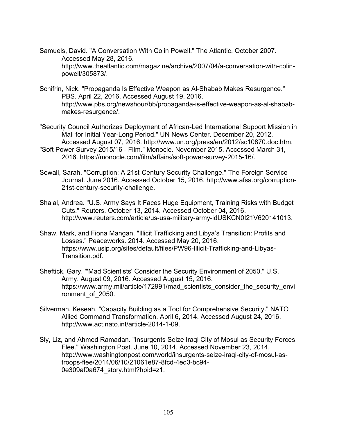- Samuels, David. "A Conversation With Colin Powell." The Atlantic. October 2007. Accessed May 28, 2016. http://www.theatlantic.com/magazine/archive/2007/04/a-conversation-with-colinpowell/305873/.
- Schifrin, Nick. "Propaganda Is Effective Weapon as Al-Shabab Makes Resurgence." PBS. April 22, 2016. Accessed August 19, 2016. http://www.pbs.org/newshour/bb/propaganda-is-effective-weapon-as-al-shababmakes-resurgence/.
- "Security Council Authorizes Deployment of African-Led International Support Mission in Mali for Initial Year-Long Period." UN News Center. December 20, 2012. Accessed August 07, 2016. http://www.un.org/press/en/2012/sc10870.doc.htm.
- "Soft Power Survey 2015/16 Film." Monocle. November 2015. Accessed March 31, 2016. https://monocle.com/film/affairs/soft-power-survey-2015-16/.
- Sewall, Sarah. "Corruption: A 21st-Century Security Challenge." The Foreign Service Journal. June 2016. Accessed October 15, 2016. http://www.afsa.org/corruption-21st-century-security-challenge.
- Shalal, Andrea. "U.S. Army Says It Faces Huge Equipment, Training Risks with Budget Cuts." Reuters. October 13, 2014. Accessed October 04, 2016. http://www.reuters.com/article/us-usa-military-army-idUSKCN0I21V620141013.
- Shaw, Mark, and Fiona Mangan. "Illicit Trafficking and Libya's Transition: Profits and Losses." Peaceworks. 2014. Accessed May 20, 2016. https://www.usip.org/sites/default/files/PW96-Illicit-Trafficking-and-Libyas-Transition.pdf.
- Sheftick, Gary. "'Mad Scientists' Consider the Security Environment of 2050." U.S. Army. August 09, 2016. Accessed August 15, 2016. https://www.army.mil/article/172991/mad scientists consider the security envi ronment of 2050.
- Silverman, Keseah. "Capacity Building as a Tool for Comprehensive Security." NATO Allied Command Transformation. April 6, 2014. Accessed August 24, 2016. http://www.act.nato.int/article-2014-1-09.
- Sly, Liz, and Ahmed Ramadan. "Insurgents Seize Iraqi City of Mosul as Security Forces Flee." Washington Post. June 10, 2014. Accessed November 23, 2014. http://www.washingtonpost.com/world/insurgents-seize-iraqi-city-of-mosul-astroops-flee/2014/06/10/21061e87-8fcd-4ed3-bc94- 0e309af0a674\_story.html?hpid=z1.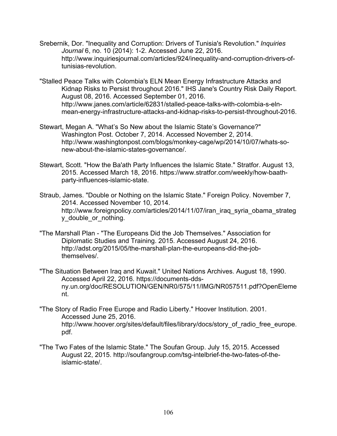- Srebernik, Dor. "Inequality and Corruption: Drivers of Tunisia's Revolution." *Inquiries Journal* 6, no. 10 (2014): 1-2. Accessed June 22, 2016. http://www.inquiriesjournal.com/articles/924/inequality-and-corruption-drivers-oftunisias-revolution.
- "Stalled Peace Talks with Colombia's ELN Mean Energy Infrastructure Attacks and Kidnap Risks to Persist throughout 2016." IHS Jane's Country Risk Daily Report. August 08, 2016. Accessed September 01, 2016. http://www.janes.com/article/62831/stalled-peace-talks-with-colombia-s-elnmean-energy-infrastructure-attacks-and-kidnap-risks-to-persist-throughout-2016.
- Stewart, Megan A. "What's So New about the Islamic State's Governance?" Washington Post. October 7, 2014. Accessed November 2, 2014. http://www.washingtonpost.com/blogs/monkey-cage/wp/2014/10/07/whats-sonew-about-the-islamic-states-governance/.
- Stewart, Scott. "How the Ba'ath Party Influences the Islamic State." Stratfor. August 13, 2015. Accessed March 18, 2016. https://www.stratfor.com/weekly/how-baathparty-influences-islamic-state.
- Straub, James. "Double or Nothing on the Islamic State." Foreign Policy. November 7, 2014. Accessed November 10, 2014. http://www.foreignpolicy.com/articles/2014/11/07/iran\_iraq\_syria\_obama\_strateg y double or nothing.
- "The Marshall Plan "The Europeans Did the Job Themselves." Association for Diplomatic Studies and Training. 2015. Accessed August 24, 2016. http://adst.org/2015/05/the-marshall-plan-the-europeans-did-the-jobthemselves/.
- "The Situation Between Iraq and Kuwait." United Nations Archives. August 18, 1990. Accessed April 22, 2016. https://documents-ddsny.un.org/doc/RESOLUTION/GEN/NR0/575/11/IMG/NR057511.pdf?OpenEleme nt.
- "The Story of Radio Free Europe and Radio Liberty." Hoover Institution. 2001. Accessed June 25, 2016. http://www.hoover.org/sites/default/files/library/docs/story of radio free europe. pdf.
- "The Two Fates of the Islamic State." The Soufan Group. July 15, 2015. Accessed August 22, 2015. http://soufangroup.com/tsg-intelbrief-the-two-fates-of-theislamic-state/.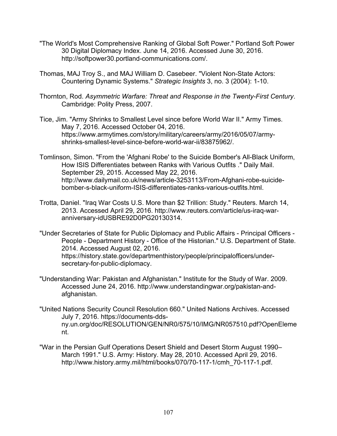- "The World's Most Comprehensive Ranking of Global Soft Power." Portland Soft Power 30 Digital Diplomacy Index. June 14, 2016. Accessed June 30, 2016. http://softpower30.portland-communications.com/.
- Thomas, MAJ Troy S., and MAJ William D. Casebeer. "Violent Non-State Actors: Countering Dynamic Systems." *Strategic Insights* 3, no. 3 (2004): 1-10.
- Thornton, Rod. *Asymmetric Warfare: Threat and Response in the Twenty-First Century*. Cambridge: Polity Press, 2007.
- Tice, Jim. "Army Shrinks to Smallest Level since before World War II." Army Times. May 7, 2016. Accessed October 04, 2016. https://www.armytimes.com/story/military/careers/army/2016/05/07/armyshrinks-smallest-level-since-before-world-war-ii/83875962/.
- Tomlinson, Simon. "From the 'Afghani Robe' to the Suicide Bomber's All-Black Uniform, How ISIS Differentiates between Ranks with Various Outfits ." Daily Mail. September 29, 2015. Accessed May 22, 2016. http://www.dailymail.co.uk/news/article-3253113/From-Afghani-robe-suicidebomber-s-black-uniform-ISIS-differentiates-ranks-various-outfits.html.
- Trotta, Daniel. "Iraq War Costs U.S. More than \$2 Trillion: Study." Reuters. March 14, 2013. Accessed April 29, 2016. http://www.reuters.com/article/us-iraq-waranniversary-idUSBRE92D0PG20130314.
- "Under Secretaries of State for Public Diplomacy and Public Affairs Principal Officers People - Department History - Office of the Historian." U.S. Department of State. 2014. Accessed August 02, 2016. https://history.state.gov/departmenthistory/people/principalofficers/undersecretary-for-public-diplomacy.
- "Understanding War: Pakistan and Afghanistan." Institute for the Study of War. 2009. Accessed June 24, 2016. http://www.understandingwar.org/pakistan-andafghanistan.
- "United Nations Security Council Resolution 660." United Nations Archives. Accessed July 7, 2016. https://documents-ddsny.un.org/doc/RESOLUTION/GEN/NR0/575/10/IMG/NR057510.pdf?OpenEleme nt.
- "War in the Persian Gulf Operations Desert Shield and Desert Storm August 1990– March 1991." U.S. Army: History. May 28, 2010. Accessed April 29, 2016. http://www.history.army.mil/html/books/070/70-117-1/cmh\_70-117-1.pdf.